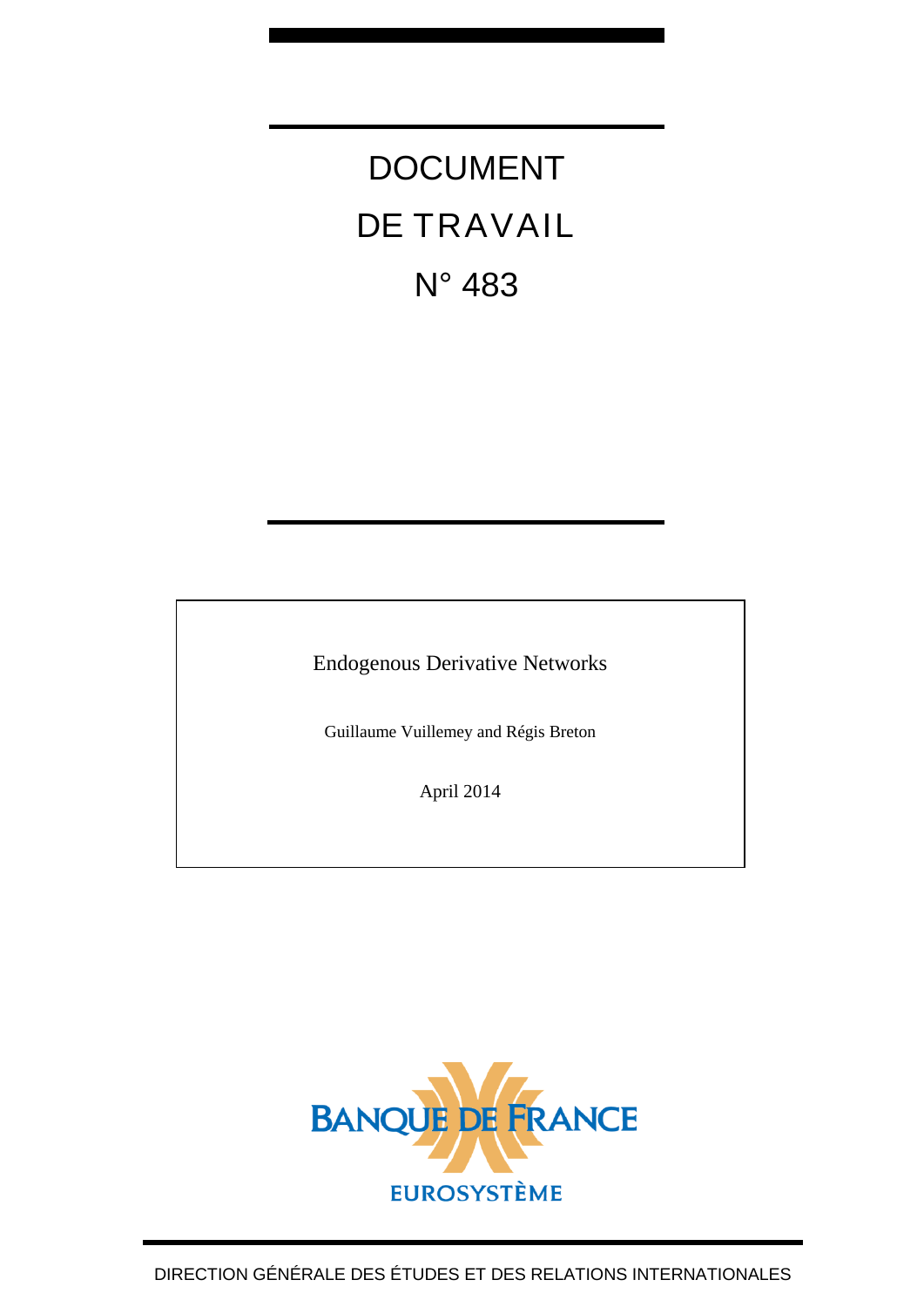# DOCUMENT DE TRAVAIL N° 483

Endogenous Derivative Networks

Guillaume Vuillemey and Régis Breton

April 2014

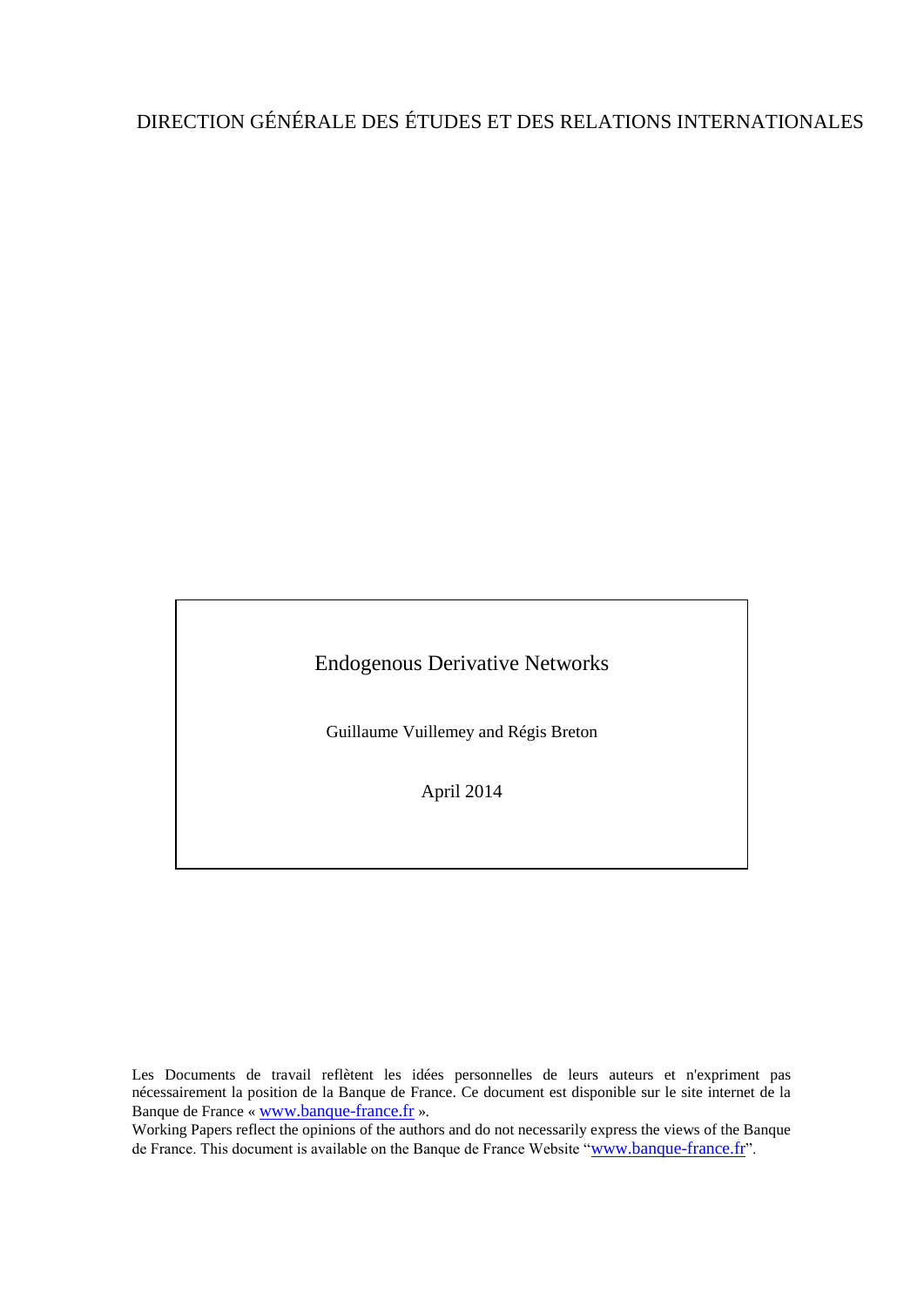## DIRECTION GÉNÉRALE DES ÉTUDES ET DES RELATIONS INTERNATIONALES

Endogenous Derivative Networks

Guillaume Vuillemey and Régis Breton

April 2014

Les Documents de travail reflètent les idées personnelles de leurs auteurs et n'expriment pas nécessairement la position de la Banque de France. Ce document est disponible sur le site internet de la Banque de France « [www.banque-france.fr](http://www.banque-france.fr/) ».

Working Papers reflect the opinions of the authors and do not necessarily express the views of the Banque de France. This document is available on the Banque de France Website "[www.banque-france.fr](http://www.banque-france.fr/)".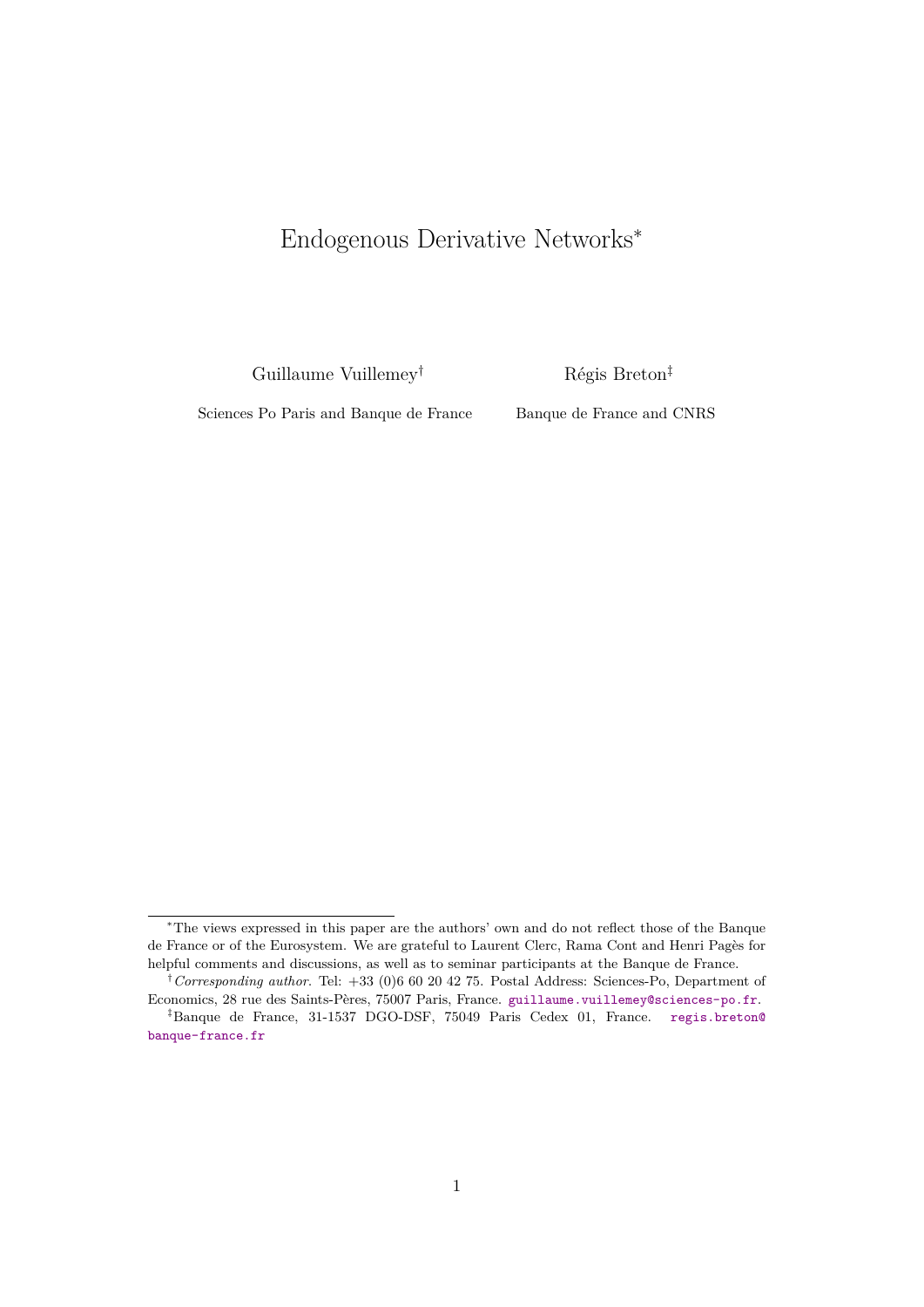# Endogenous Derivative Networks<sup>∗</sup>

Guillaume Vuillemey†

Régis Breton‡

Sciences Po Paris and Banque de France

Banque de France and CNRS

<sup>∗</sup>The views expressed in this paper are the authors' own and do not reflect those of the Banque de France or of the Eurosystem. We are grateful to Laurent Clerc, Rama Cont and Henri Pagès for helpful comments and discussions, as well as to seminar participants at the Banque de France.

<sup>†</sup>*Corresponding author*. Tel: +33 (0)6 60 20 42 75. Postal Address: Sciences-Po, Department of Economics, 28 rue des Saints-Pères, 75007 Paris, France. [guillaume.vuillemey@sciences-po.fr](mailto:guillaume.vuillemey@sciences-po.fr).

<sup>‡</sup>Banque de France, 31-1537 DGO-DSF, 75049 Paris Cedex 01, France. [regis.breton@](mailto:regis.breton@banque-france.fr) [banque-france.fr](mailto:regis.breton@banque-france.fr)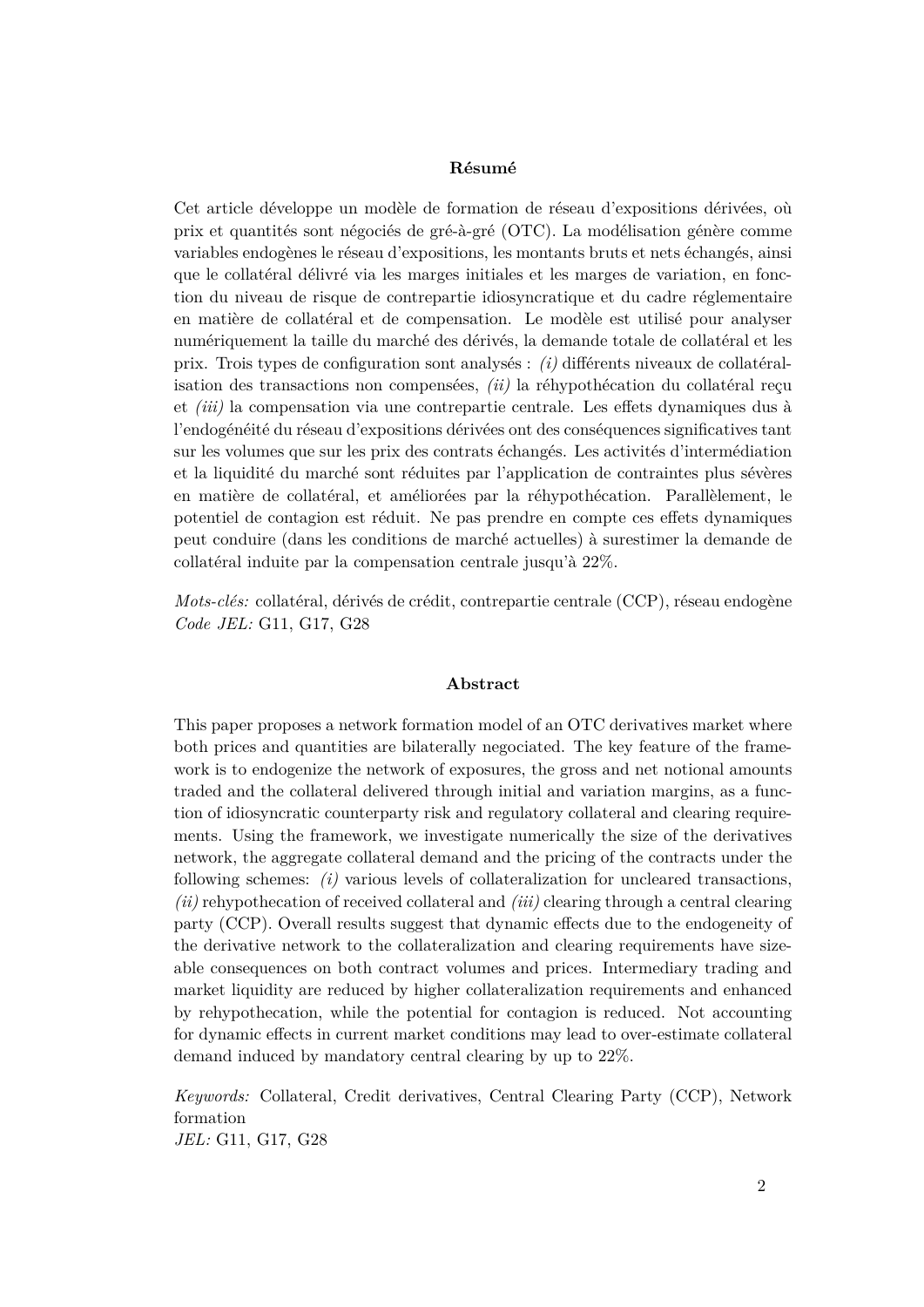#### **Résumé**

Cet article développe un modèle de formation de réseau d'expositions dérivées, où prix et quantités sont négociés de gré-à-gré (OTC). La modélisation génère comme variables endogènes le réseau d'expositions, les montants bruts et nets échangés, ainsi que le collatéral délivré via les marges initiales et les marges de variation, en fonction du niveau de risque de contrepartie idiosyncratique et du cadre réglementaire en matière de collatéral et de compensation. Le modèle est utilisé pour analyser numériquement la taille du marché des dérivés, la demande totale de collatéral et les prix. Trois types de configuration sont analysés : *(i)* différents niveaux de collatéralisation des transactions non compensées, *(ii)* la réhypothécation du collatéral reçu et *(iii)* la compensation via une contrepartie centrale. Les effets dynamiques dus à l'endogénéité du réseau d'expositions dérivées ont des conséquences significatives tant sur les volumes que sur les prix des contrats échangés. Les activités d'intermédiation et la liquidité du marché sont réduites par l'application de contraintes plus sévères en matière de collatéral, et améliorées par la réhypothécation. Parallèlement, le potentiel de contagion est réduit. Ne pas prendre en compte ces effets dynamiques peut conduire (dans les conditions de marché actuelles) à surestimer la demande de collatéral induite par la compensation centrale jusqu'à 22%.

*Mots-clés:* collatéral, dérivés de crédit, contrepartie centrale (CCP), réseau endogène *Code JEL:* G11, G17, G28

#### **Abstract**

This paper proposes a network formation model of an OTC derivatives market where both prices and quantities are bilaterally negociated. The key feature of the framework is to endogenize the network of exposures, the gross and net notional amounts traded and the collateral delivered through initial and variation margins, as a function of idiosyncratic counterparty risk and regulatory collateral and clearing requirements. Using the framework, we investigate numerically the size of the derivatives network, the aggregate collateral demand and the pricing of the contracts under the following schemes: *(i)* various levels of collateralization for uncleared transactions, *(ii)* rehypothecation of received collateral and *(iii)* clearing through a central clearing party (CCP). Overall results suggest that dynamic effects due to the endogeneity of the derivative network to the collateralization and clearing requirements have sizeable consequences on both contract volumes and prices. Intermediary trading and market liquidity are reduced by higher collateralization requirements and enhanced by rehypothecation, while the potential for contagion is reduced. Not accounting for dynamic effects in current market conditions may lead to over-estimate collateral demand induced by mandatory central clearing by up to 22%.

*Keywords:* Collateral, Credit derivatives, Central Clearing Party (CCP), Network formation *JEL:* G11, G17, G28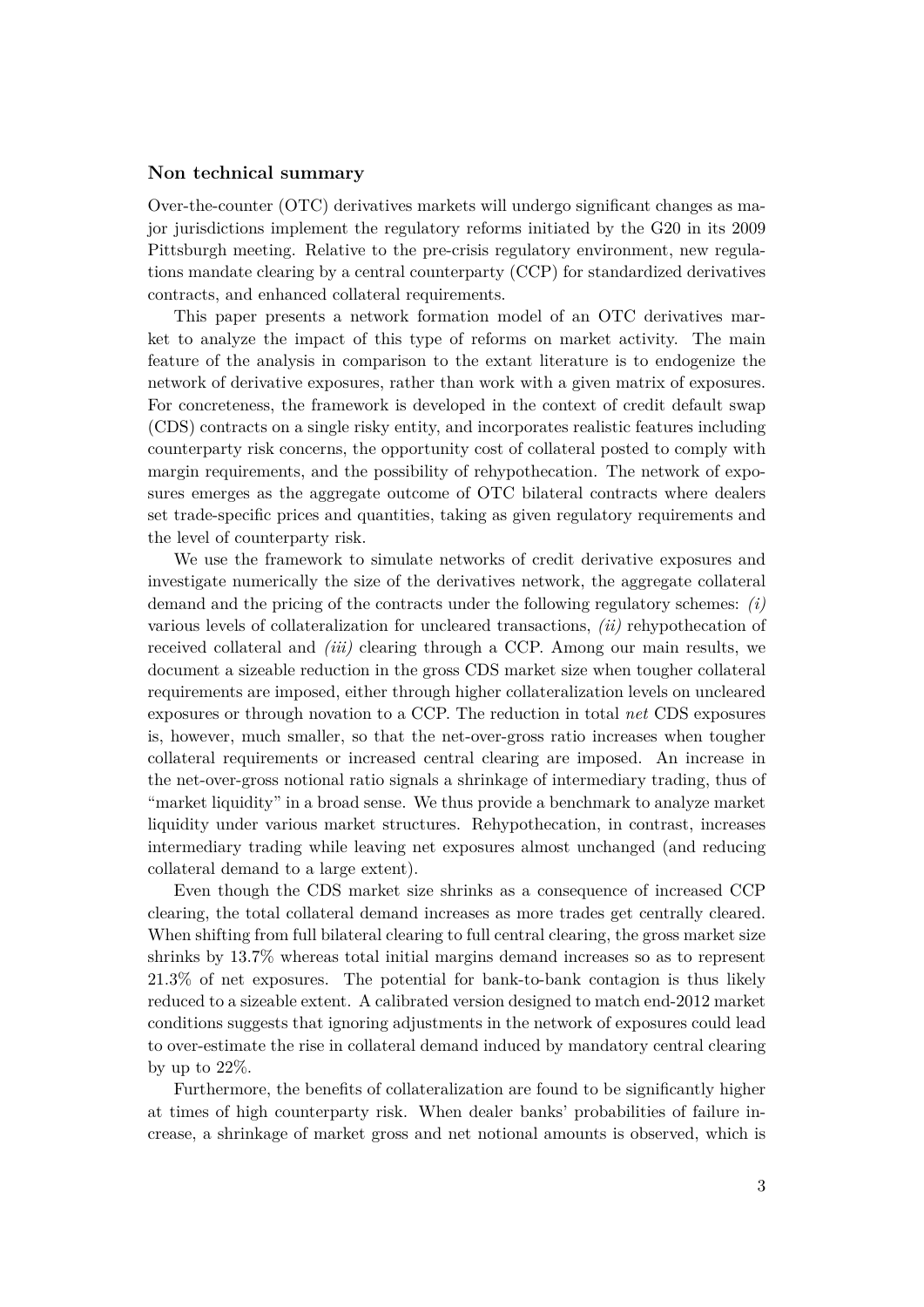#### **Non technical summary**

Over-the-counter (OTC) derivatives markets will undergo significant changes as major jurisdictions implement the regulatory reforms initiated by the G20 in its 2009 Pittsburgh meeting. Relative to the pre-crisis regulatory environment, new regulations mandate clearing by a central counterparty (CCP) for standardized derivatives contracts, and enhanced collateral requirements.

This paper presents a network formation model of an OTC derivatives market to analyze the impact of this type of reforms on market activity. The main feature of the analysis in comparison to the extant literature is to endogenize the network of derivative exposures, rather than work with a given matrix of exposures. For concreteness, the framework is developed in the context of credit default swap (CDS) contracts on a single risky entity, and incorporates realistic features including counterparty risk concerns, the opportunity cost of collateral posted to comply with margin requirements, and the possibility of rehypothecation. The network of exposures emerges as the aggregate outcome of OTC bilateral contracts where dealers set trade-specific prices and quantities, taking as given regulatory requirements and the level of counterparty risk.

We use the framework to simulate networks of credit derivative exposures and investigate numerically the size of the derivatives network, the aggregate collateral demand and the pricing of the contracts under the following regulatory schemes: *(i)* various levels of collateralization for uncleared transactions, *(ii)* rehypothecation of received collateral and *(iii)* clearing through a CCP. Among our main results, we document a sizeable reduction in the gross CDS market size when tougher collateral requirements are imposed, either through higher collateralization levels on uncleared exposures or through novation to a CCP. The reduction in total *net* CDS exposures is, however, much smaller, so that the net-over-gross ratio increases when tougher collateral requirements or increased central clearing are imposed. An increase in the net-over-gross notional ratio signals a shrinkage of intermediary trading, thus of "market liquidity" in a broad sense. We thus provide a benchmark to analyze market liquidity under various market structures. Rehypothecation, in contrast, increases intermediary trading while leaving net exposures almost unchanged (and reducing collateral demand to a large extent).

Even though the CDS market size shrinks as a consequence of increased CCP clearing, the total collateral demand increases as more trades get centrally cleared. When shifting from full bilateral clearing to full central clearing, the gross market size shrinks by 13.7% whereas total initial margins demand increases so as to represent 21.3% of net exposures. The potential for bank-to-bank contagion is thus likely reduced to a sizeable extent. A calibrated version designed to match end-2012 market conditions suggests that ignoring adjustments in the network of exposures could lead to over-estimate the rise in collateral demand induced by mandatory central clearing by up to 22%.

Furthermore, the benefits of collateralization are found to be significantly higher at times of high counterparty risk. When dealer banks' probabilities of failure increase, a shrinkage of market gross and net notional amounts is observed, which is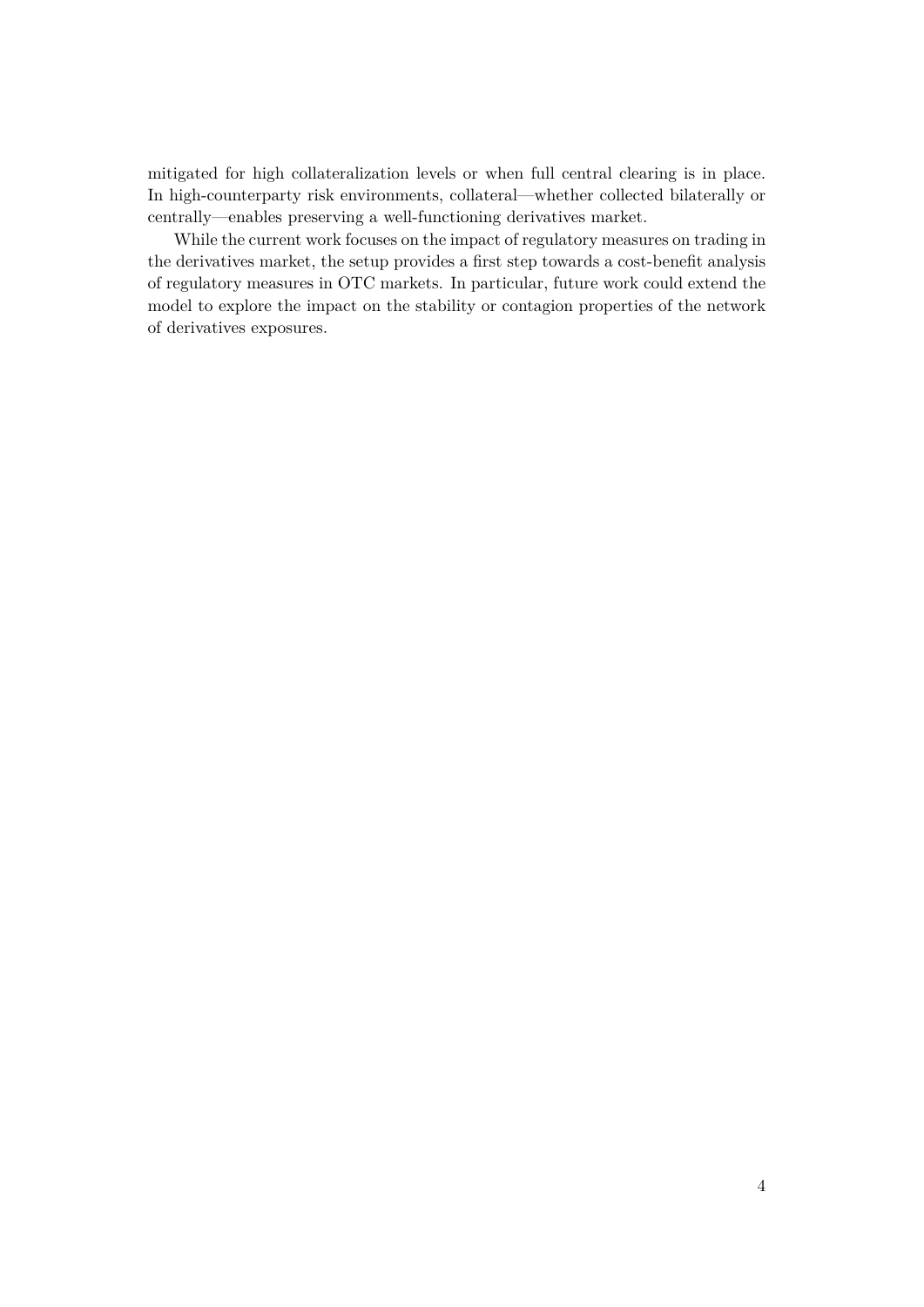mitigated for high collateralization levels or when full central clearing is in place. In high-counterparty risk environments, collateral—whether collected bilaterally or centrally—enables preserving a well-functioning derivatives market.

While the current work focuses on the impact of regulatory measures on trading in the derivatives market, the setup provides a first step towards a cost-benefit analysis of regulatory measures in OTC markets. In particular, future work could extend the model to explore the impact on the stability or contagion properties of the network of derivatives exposures.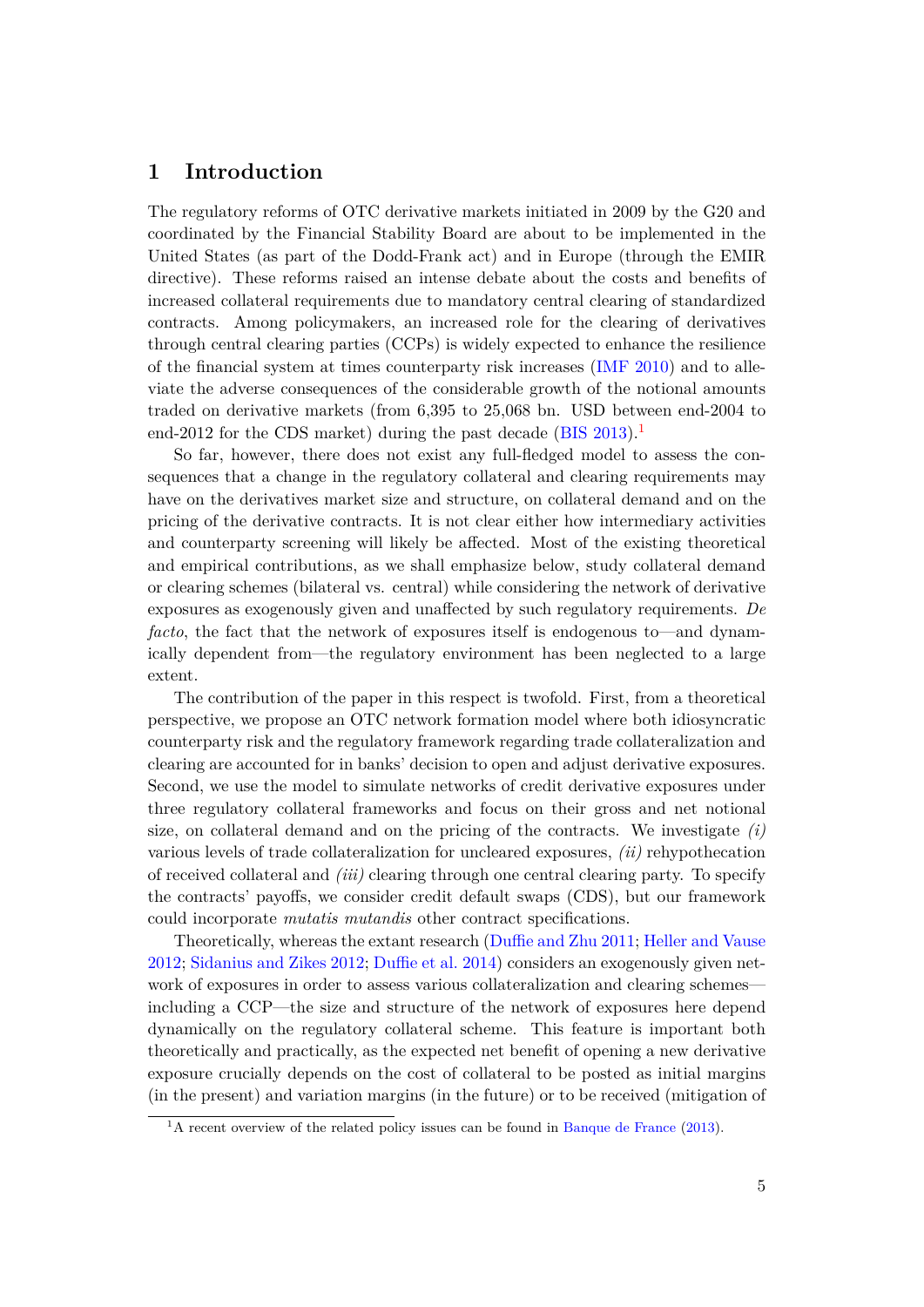## **1 Introduction**

The regulatory reforms of OTC derivative markets initiated in 2009 by the G20 and coordinated by the Financial Stability Board are about to be implemented in the United States (as part of the Dodd-Frank act) and in Europe (through the EMIR directive). These reforms raised an intense debate about the costs and benefits of increased collateral requirements due to mandatory central clearing of standardized contracts. Among policymakers, an increased role for the clearing of derivatives through central clearing parties (CCPs) is widely expected to enhance the resilience of the financial system at times counterparty risk increases [\(IMF](#page-30-0) [2010\)](#page-30-0) and to alleviate the adverse consequences of the considerable growth of the notional amounts traded on derivative markets (from 6,395 to 25,068 bn. USD between end-2004 to end-2012 for the CDS market) during the past decade [\(BIS](#page-29-0) [2013\)](#page-29-0).<sup>[1](#page-6-0)</sup>

So far, however, there does not exist any full-fledged model to assess the consequences that a change in the regulatory collateral and clearing requirements may have on the derivatives market size and structure, on collateral demand and on the pricing of the derivative contracts. It is not clear either how intermediary activities and counterparty screening will likely be affected. Most of the existing theoretical and empirical contributions, as we shall emphasize below, study collateral demand or clearing schemes (bilateral vs. central) while considering the network of derivative exposures as exogenously given and unaffected by such regulatory requirements. *De facto*, the fact that the network of exposures itself is endogenous to—and dynamically dependent from—the regulatory environment has been neglected to a large extent.

The contribution of the paper in this respect is twofold. First, from a theoretical perspective, we propose an OTC network formation model where both idiosyncratic counterparty risk and the regulatory framework regarding trade collateralization and clearing are accounted for in banks' decision to open and adjust derivative exposures. Second, we use the model to simulate networks of credit derivative exposures under three regulatory collateral frameworks and focus on their gross and net notional size, on collateral demand and on the pricing of the contracts. We investigate *(i)* various levels of trade collateralization for uncleared exposures, *(ii)* rehypothecation of received collateral and *(iii)* clearing through one central clearing party. To specify the contracts' payoffs, we consider credit default swaps (CDS), but our framework could incorporate *mutatis mutandis* other contract specifications.

Theoretically, whereas the extant research [\(Duffie and Zhu](#page-30-1) [2011;](#page-30-1) [Heller and Vause](#page-30-2) [2012;](#page-30-2) [Sidanius and Zikes](#page-31-0) [2012;](#page-31-0) [Duffie et al.](#page-30-3) [2014\)](#page-30-3) considers an exogenously given network of exposures in order to assess various collateralization and clearing schemes including a CCP—the size and structure of the network of exposures here depend dynamically on the regulatory collateral scheme. This feature is important both theoretically and practically, as the expected net benefit of opening a new derivative exposure crucially depends on the cost of collateral to be posted as initial margins (in the present) and variation margins (in the future) or to be received (mitigation of

<span id="page-6-0"></span> $1<sup>1</sup>A$  recent overview of the related policy issues can be found in [Banque de France](#page-29-1) [\(2013\)](#page-29-1).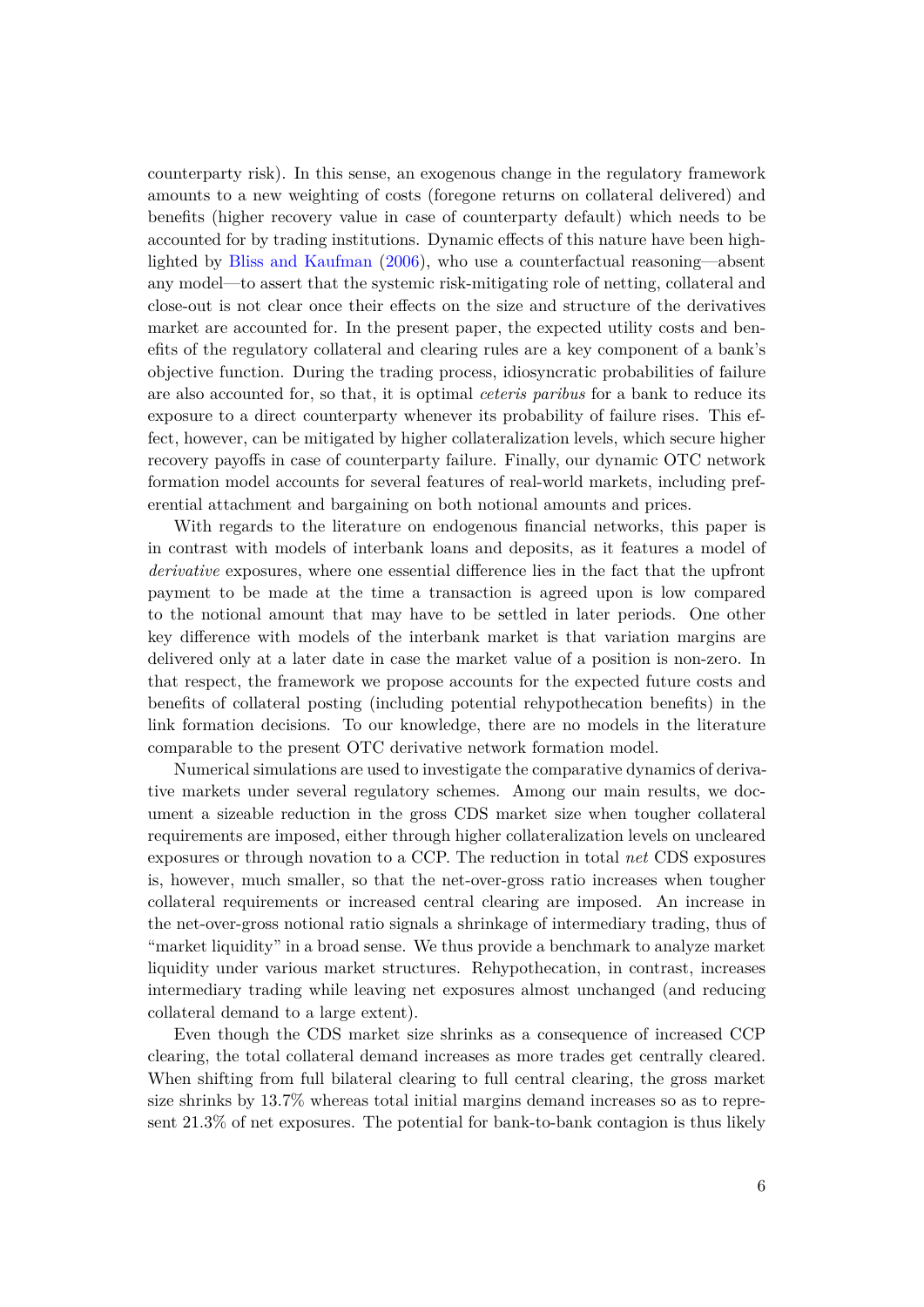counterparty risk). In this sense, an exogenous change in the regulatory framework amounts to a new weighting of costs (foregone returns on collateral delivered) and benefits (higher recovery value in case of counterparty default) which needs to be accounted for by trading institutions. Dynamic effects of this nature have been highlighted by [Bliss and Kaufman](#page-29-2) [\(2006\)](#page-29-2), who use a counterfactual reasoning—absent any model—to assert that the systemic risk-mitigating role of netting, collateral and close-out is not clear once their effects on the size and structure of the derivatives market are accounted for. In the present paper, the expected utility costs and benefits of the regulatory collateral and clearing rules are a key component of a bank's objective function. During the trading process, idiosyncratic probabilities of failure are also accounted for, so that, it is optimal *ceteris paribus* for a bank to reduce its exposure to a direct counterparty whenever its probability of failure rises. This effect, however, can be mitigated by higher collateralization levels, which secure higher recovery payoffs in case of counterparty failure. Finally, our dynamic OTC network formation model accounts for several features of real-world markets, including preferential attachment and bargaining on both notional amounts and prices.

With regards to the literature on endogenous financial networks, this paper is in contrast with models of interbank loans and deposits, as it features a model of *derivative* exposures, where one essential difference lies in the fact that the upfront payment to be made at the time a transaction is agreed upon is low compared to the notional amount that may have to be settled in later periods. One other key difference with models of the interbank market is that variation margins are delivered only at a later date in case the market value of a position is non-zero. In that respect, the framework we propose accounts for the expected future costs and benefits of collateral posting (including potential rehypothecation benefits) in the link formation decisions. To our knowledge, there are no models in the literature comparable to the present OTC derivative network formation model.

Numerical simulations are used to investigate the comparative dynamics of derivative markets under several regulatory schemes. Among our main results, we document a sizeable reduction in the gross CDS market size when tougher collateral requirements are imposed, either through higher collateralization levels on uncleared exposures or through novation to a CCP. The reduction in total *net* CDS exposures is, however, much smaller, so that the net-over-gross ratio increases when tougher collateral requirements or increased central clearing are imposed. An increase in the net-over-gross notional ratio signals a shrinkage of intermediary trading, thus of "market liquidity" in a broad sense. We thus provide a benchmark to analyze market liquidity under various market structures. Rehypothecation, in contrast, increases intermediary trading while leaving net exposures almost unchanged (and reducing collateral demand to a large extent).

Even though the CDS market size shrinks as a consequence of increased CCP clearing, the total collateral demand increases as more trades get centrally cleared. When shifting from full bilateral clearing to full central clearing, the gross market size shrinks by 13.7% whereas total initial margins demand increases so as to represent 21.3% of net exposures. The potential for bank-to-bank contagion is thus likely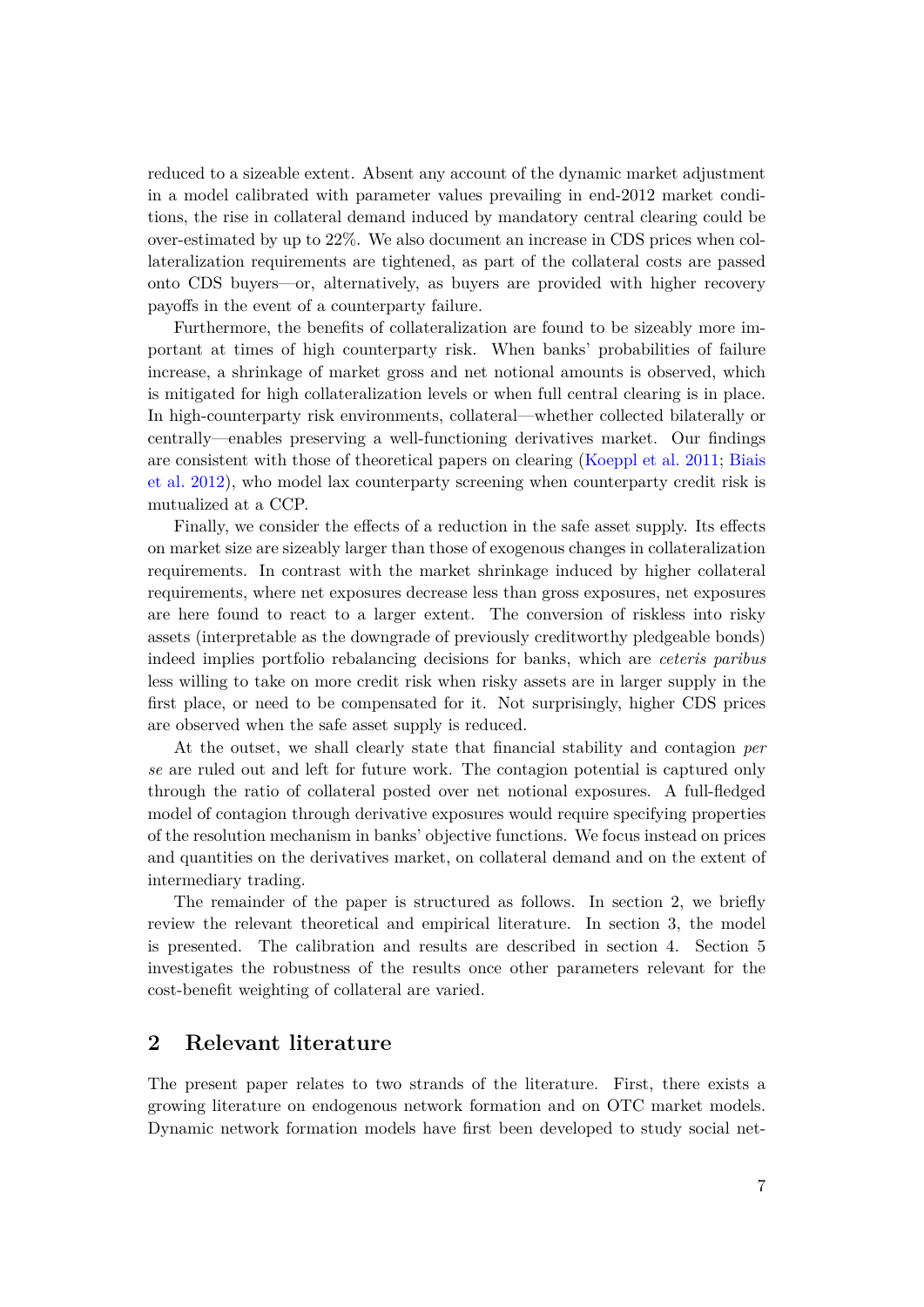reduced to a sizeable extent. Absent any account of the dynamic market adjustment in a model calibrated with parameter values prevailing in end-2012 market conditions, the rise in collateral demand induced by mandatory central clearing could be over-estimated by up to 22%. We also document an increase in CDS prices when collateralization requirements are tightened, as part of the collateral costs are passed onto CDS buyers—or, alternatively, as buyers are provided with higher recovery payoffs in the event of a counterparty failure.

Furthermore, the benefits of collateralization are found to be sizeably more important at times of high counterparty risk. When banks' probabilities of failure increase, a shrinkage of market gross and net notional amounts is observed, which is mitigated for high collateralization levels or when full central clearing is in place. In high-counterparty risk environments, collateral—whether collected bilaterally or centrally—enables preserving a well-functioning derivatives market. Our findings are consistent with those of theoretical papers on clearing [\(Koeppl et al.](#page-30-4) [2011;](#page-30-4) [Biais](#page-29-3) [et al.](#page-29-3) [2012\)](#page-29-3), who model lax counterparty screening when counterparty credit risk is mutualized at a CCP.

Finally, we consider the effects of a reduction in the safe asset supply. Its effects on market size are sizeably larger than those of exogenous changes in collateralization requirements. In contrast with the market shrinkage induced by higher collateral requirements, where net exposures decrease less than gross exposures, net exposures are here found to react to a larger extent. The conversion of riskless into risky assets (interpretable as the downgrade of previously creditworthy pledgeable bonds) indeed implies portfolio rebalancing decisions for banks, which are *ceteris paribus* less willing to take on more credit risk when risky assets are in larger supply in the first place, or need to be compensated for it. Not surprisingly, higher CDS prices are observed when the safe asset supply is reduced.

At the outset, we shall clearly state that financial stability and contagion *per se* are ruled out and left for future work. The contagion potential is captured only through the ratio of collateral posted over net notional exposures. A full-fledged model of contagion through derivative exposures would require specifying properties of the resolution mechanism in banks' objective functions. We focus instead on prices and quantities on the derivatives market, on collateral demand and on the extent of intermediary trading.

The remainder of the paper is structured as follows. In section 2, we briefly review the relevant theoretical and empirical literature. In section 3, the model is presented. The calibration and results are described in section 4. Section 5 investigates the robustness of the results once other parameters relevant for the cost-benefit weighting of collateral are varied.

## **2 Relevant literature**

The present paper relates to two strands of the literature. First, there exists a growing literature on endogenous network formation and on OTC market models. Dynamic network formation models have first been developed to study social net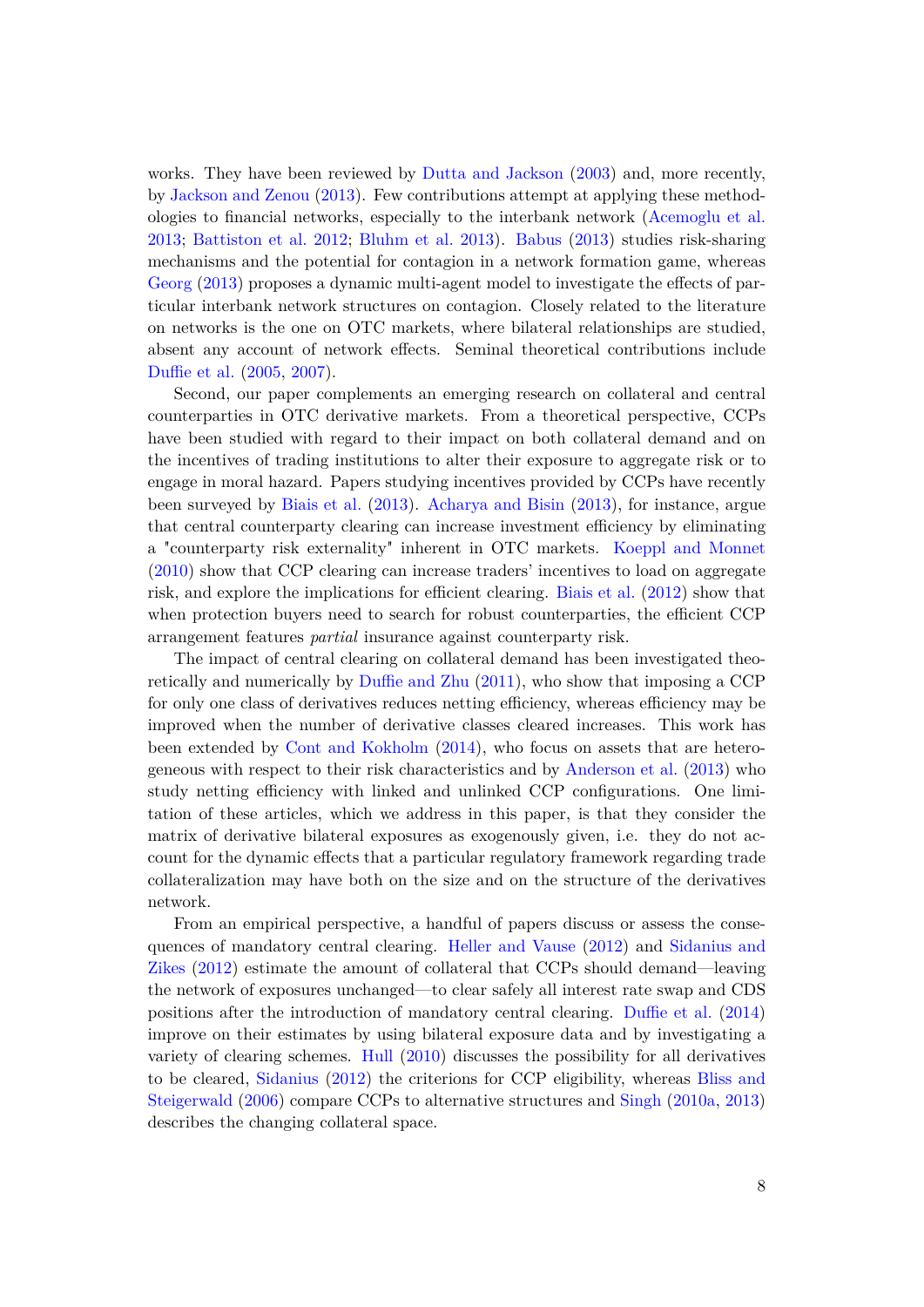works. They have been reviewed by [Dutta and Jackson](#page-30-5) [\(2003\)](#page-30-5) and, more recently, by [Jackson and Zenou](#page-30-6) [\(2013\)](#page-30-6). Few contributions attempt at applying these methodologies to financial networks, especially to the interbank network [\(Acemoglu et al.](#page-29-4) [2013;](#page-29-4) [Battiston et al.](#page-29-5) [2012;](#page-29-5) [Bluhm et al.](#page-29-6) [2013\)](#page-29-6). [Babus](#page-29-7) [\(2013\)](#page-29-7) studies risk-sharing mechanisms and the potential for contagion in a network formation game, whereas [Georg](#page-30-7) [\(2013\)](#page-30-7) proposes a dynamic multi-agent model to investigate the effects of particular interbank network structures on contagion. Closely related to the literature on networks is the one on OTC markets, where bilateral relationships are studied, absent any account of network effects. Seminal theoretical contributions include [Duffie et al.](#page-30-8) [\(2005,](#page-30-8) [2007\)](#page-30-9).

Second, our paper complements an emerging research on collateral and central counterparties in OTC derivative markets. From a theoretical perspective, CCPs have been studied with regard to their impact on both collateral demand and on the incentives of trading institutions to alter their exposure to aggregate risk or to engage in moral hazard. Papers studying incentives provided by CCPs have recently been surveyed by [Biais et al.](#page-29-8) [\(2013\)](#page-29-8). [Acharya and Bisin](#page-29-9) [\(2013\)](#page-29-9), for instance, argue that central counterparty clearing can increase investment efficiency by eliminating a "counterparty risk externality" inherent in OTC markets. [Koeppl and Monnet](#page-30-10) [\(2010\)](#page-30-10) show that CCP clearing can increase traders' incentives to load on aggregate risk, and explore the implications for efficient clearing. [Biais et al.](#page-29-3) [\(2012\)](#page-29-3) show that when protection buyers need to search for robust counterparties, the efficient CCP arrangement features *partial* insurance against counterparty risk.

The impact of central clearing on collateral demand has been investigated theoretically and numerically by [Duffie and Zhu](#page-30-1) [\(2011\)](#page-30-1), who show that imposing a CCP for only one class of derivatives reduces netting efficiency, whereas efficiency may be improved when the number of derivative classes cleared increases. This work has been extended by [Cont and Kokholm](#page-30-11) [\(2014\)](#page-30-11), who focus on assets that are heterogeneous with respect to their risk characteristics and by [Anderson et al.](#page-29-10) [\(2013\)](#page-29-10) who study netting efficiency with linked and unlinked CCP configurations. One limitation of these articles, which we address in this paper, is that they consider the matrix of derivative bilateral exposures as exogenously given, i.e. they do not account for the dynamic effects that a particular regulatory framework regarding trade collateralization may have both on the size and on the structure of the derivatives network.

From an empirical perspective, a handful of papers discuss or assess the consequences of mandatory central clearing. [Heller and Vause](#page-30-2) [\(2012\)](#page-30-2) and [Sidanius and](#page-31-0) [Zikes](#page-31-0) [\(2012\)](#page-31-0) estimate the amount of collateral that CCPs should demand—leaving the network of exposures unchanged—to clear safely all interest rate swap and CDS positions after the introduction of mandatory central clearing. [Duffie et al.](#page-30-3) [\(2014\)](#page-30-3) improve on their estimates by using bilateral exposure data and by investigating a variety of clearing schemes. [Hull](#page-30-12) [\(2010\)](#page-30-12) discusses the possibility for all derivatives to be cleared, [Sidanius](#page-31-1) [\(2012\)](#page-31-1) the criterions for CCP eligibility, whereas [Bliss and](#page-29-11) [Steigerwald](#page-29-11) [\(2006\)](#page-29-11) compare CCPs to alternative structures and [Singh](#page-31-2) [\(2010a,](#page-31-2) [2013\)](#page-31-3) describes the changing collateral space.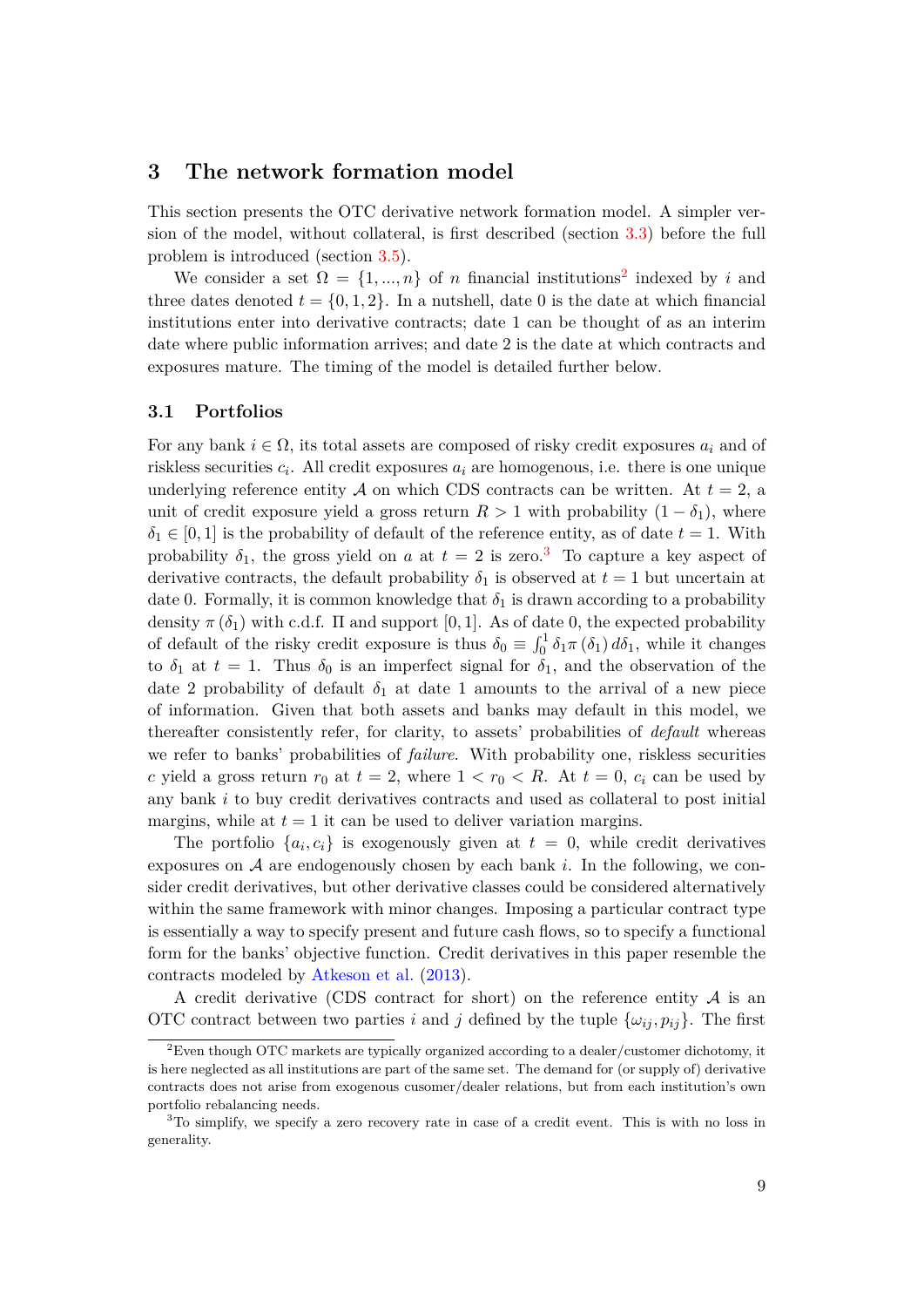## **3 The network formation model**

This section presents the OTC derivative network formation model. A simpler version of the model, without collateral, is first described (section [3.3\)](#page-12-0) before the full problem is introduced (section [3.5\)](#page-14-0).

We consider a set  $\Omega = \{1, ..., n\}$  of *n* financial institutions<sup>[2](#page-10-0)</sup> indexed by *i* and three dates denoted  $t = \{0, 1, 2\}$ . In a nutshell, date 0 is the date at which financial institutions enter into derivative contracts; date 1 can be thought of as an interim date where public information arrives; and date 2 is the date at which contracts and exposures mature. The timing of the model is detailed further below.

## **3.1 Portfolios**

For any bank  $i \in \Omega$ , its total assets are composed of risky credit exposures  $a_i$  and of riskless securities  $c_i$ . All credit exposures  $a_i$  are homogenous, i.e. there is one unique underlying reference entity A on which CDS contracts can be written. At  $t = 2$ , a unit of credit exposure yield a gross return  $R > 1$  with probability  $(1 - \delta_1)$ , where  $\delta_1 \in [0, 1]$  is the probability of default of the reference entity, as of date  $t = 1$ . With probability  $\delta_1$ , the gross yield on *a* at  $t = 2$  is zero.<sup>[3](#page-10-1)</sup> To capture a key aspect of derivative contracts, the default probability  $\delta_1$  is observed at  $t = 1$  but uncertain at date 0. Formally, it is common knowledge that  $\delta_1$  is drawn according to a probability density  $\pi(\delta_1)$  with c.d.f.  $\Pi$  and support [0, 1]. As of date 0, the expected probability of default of the risky credit exposure is thus  $\delta_0 \equiv \int_0^1 \delta_1 \pi(\delta_1) d\delta_1$ , while it changes to  $\delta_1$  at  $t = 1$ . Thus  $\delta_0$  is an imperfect signal for  $\delta_1$ , and the observation of the date 2 probability of default  $\delta_1$  at date 1 amounts to the arrival of a new piece of information. Given that both assets and banks may default in this model, we thereafter consistently refer, for clarity, to assets' probabilities of *default* whereas we refer to banks' probabilities of *failure*. With probability one, riskless securities *c* yield a gross return  $r_0$  at  $t = 2$ , where  $1 < r_0 < R$ . At  $t = 0$ ,  $c_i$  can be used by any bank *i* to buy credit derivatives contracts and used as collateral to post initial margins, while at  $t = 1$  it can be used to deliver variation margins.

The portfolio  $\{a_i, c_i\}$  is exogenously given at  $t = 0$ , while credit derivatives exposures on A are endogenously chosen by each bank *i*. In the following, we consider credit derivatives, but other derivative classes could be considered alternatively within the same framework with minor changes. Imposing a particular contract type is essentially a way to specify present and future cash flows, so to specify a functional form for the banks' objective function. Credit derivatives in this paper resemble the contracts modeled by [Atkeson et al.](#page-29-12) [\(2013\)](#page-29-12).

A credit derivative (CDS contract for short) on the reference entity  $A$  is an OTC contract between two parties *i* and *j* defined by the tuple  $\{\omega_{ij}, p_{ij}\}$ . The first

<span id="page-10-0"></span><sup>2</sup>Even though OTC markets are typically organized according to a dealer/customer dichotomy, it is here neglected as all institutions are part of the same set. The demand for (or supply of) derivative contracts does not arise from exogenous cusomer/dealer relations, but from each institution's own portfolio rebalancing needs.

<span id="page-10-1"></span><sup>&</sup>lt;sup>3</sup>To simplify, we specify a zero recovery rate in case of a credit event. This is with no loss in generality.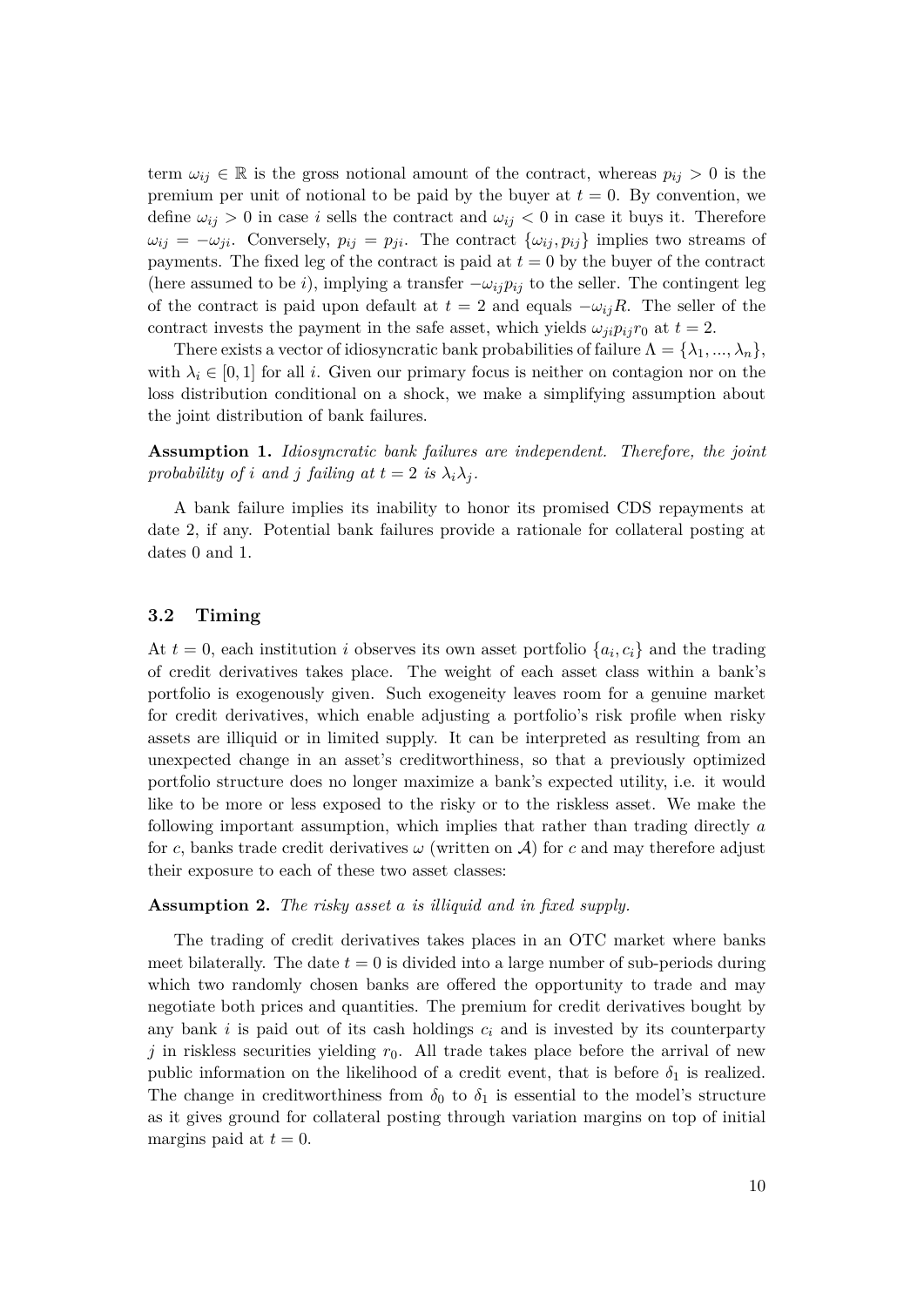term  $\omega_{ij} \in \mathbb{R}$  is the gross notional amount of the contract, whereas  $p_{ij} > 0$  is the premium per unit of notional to be paid by the buyer at  $t = 0$ . By convention, we define  $\omega_{ij} > 0$  in case *i* sells the contract and  $\omega_{ij} < 0$  in case it buys it. Therefore  $\omega_{ij} = -\omega_{ji}$ . Conversely,  $p_{ij} = p_{ji}$ . The contract  $\{\omega_{ij}, p_{ij}\}$  implies two streams of payments. The fixed leg of the contract is paid at  $t = 0$  by the buyer of the contract (here assumed to be *i*), implying a transfer  $-\omega_{ij}p_{ij}$  to the seller. The contingent leg of the contract is paid upon default at  $t = 2$  and equals  $-\omega_{ij}R$ . The seller of the contract invests the payment in the safe asset, which yields  $\omega_{ji}p_{ij}r_0$  at  $t=2$ .

There exists a vector of idiosyncratic bank probabilities of failure  $\Lambda = {\lambda_1, ..., \lambda_n}$ , with  $\lambda_i \in [0,1]$  for all *i*. Given our primary focus is neither on contagion nor on the loss distribution conditional on a shock, we make a simplifying assumption about the joint distribution of bank failures.

**Assumption 1.** *Idiosyncratic bank failures are independent. Therefore, the joint probability of <i>i and j failing at*  $t = 2$  *is*  $\lambda_i \lambda_j$ *.* 

A bank failure implies its inability to honor its promised CDS repayments at date 2, if any. Potential bank failures provide a rationale for collateral posting at dates 0 and 1.

## **3.2 Timing**

At  $t = 0$ , each institution *i* observes its own asset portfolio  $\{a_i, c_i\}$  and the trading of credit derivatives takes place. The weight of each asset class within a bank's portfolio is exogenously given. Such exogeneity leaves room for a genuine market for credit derivatives, which enable adjusting a portfolio's risk profile when risky assets are illiquid or in limited supply. It can be interpreted as resulting from an unexpected change in an asset's creditworthiness, so that a previously optimized portfolio structure does no longer maximize a bank's expected utility, i.e. it would like to be more or less exposed to the risky or to the riskless asset. We make the following important assumption, which implies that rather than trading directly *a* for *c*, banks trade credit derivatives  $\omega$  (written on A) for *c* and may therefore adjust their exposure to each of these two asset classes:

## **Assumption 2.** *The risky asset a is illiquid and in fixed supply.*

The trading of credit derivatives takes places in an OTC market where banks meet bilaterally. The date  $t = 0$  is divided into a large number of sub-periods during which two randomly chosen banks are offered the opportunity to trade and may negotiate both prices and quantities. The premium for credit derivatives bought by any bank  $i$  is paid out of its cash holdings  $c_i$  and is invested by its counterparty *j* in riskless securities yielding  $r<sub>0</sub>$ . All trade takes place before the arrival of new public information on the likelihood of a credit event, that is before  $\delta_1$  is realized. The change in creditworthiness from  $\delta_0$  to  $\delta_1$  is essential to the model's structure as it gives ground for collateral posting through variation margins on top of initial margins paid at  $t = 0$ .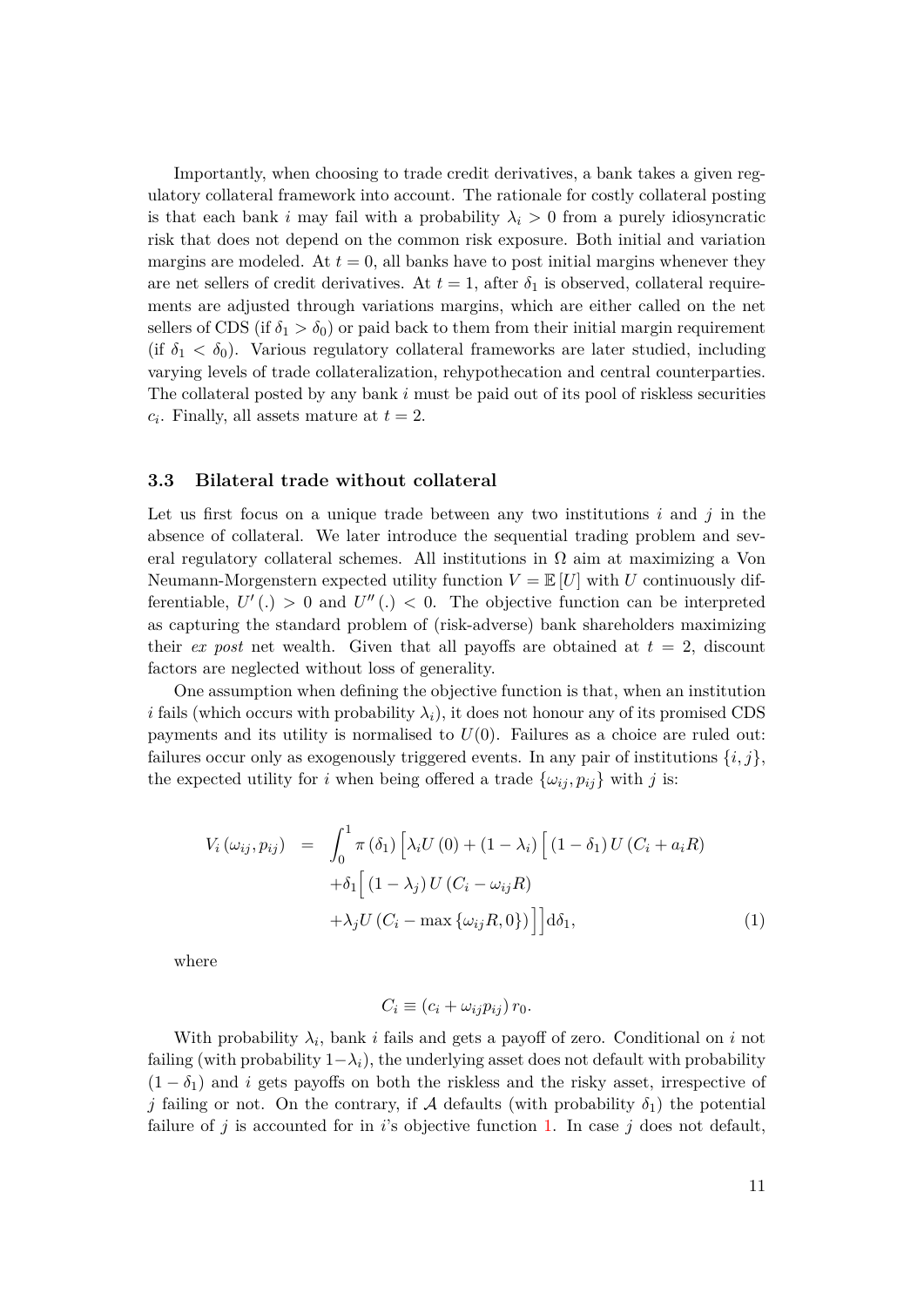Importantly, when choosing to trade credit derivatives, a bank takes a given regulatory collateral framework into account. The rationale for costly collateral posting is that each bank *i* may fail with a probability  $\lambda_i > 0$  from a purely idiosyncratic risk that does not depend on the common risk exposure. Both initial and variation margins are modeled. At  $t = 0$ , all banks have to post initial margins whenever they are net sellers of credit derivatives. At  $t = 1$ , after  $\delta_1$  is observed, collateral requirements are adjusted through variations margins, which are either called on the net sellers of CDS (if  $\delta_1 > \delta_0$ ) or paid back to them from their initial margin requirement (if  $\delta_1 < \delta_0$ ). Various regulatory collateral frameworks are later studied, including varying levels of trade collateralization, rehypothecation and central counterparties. The collateral posted by any bank *i* must be paid out of its pool of riskless securities  $c_i$ . Finally, all assets mature at  $t = 2$ .

### <span id="page-12-0"></span>**3.3 Bilateral trade without collateral**

Let us first focus on a unique trade between any two institutions *i* and *j* in the absence of collateral. We later introduce the sequential trading problem and several regulatory collateral schemes. All institutions in  $\Omega$  aim at maximizing a Von Neumann-Morgenstern expected utility function  $V = \mathbb{E}[U]$  with *U* continuously differentiable,  $U'(.) > 0$  and  $U''(.) < 0$ . The objective function can be interpreted as capturing the standard problem of (risk-adverse) bank shareholders maximizing their *ex post* net wealth. Given that all payoffs are obtained at  $t = 2$ , discount factors are neglected without loss of generality.

One assumption when defining the objective function is that, when an institution *i* fails (which occurs with probability  $\lambda_i$ ), it does not honour any of its promised CDS payments and its utility is normalised to  $U(0)$ . Failures as a choice are ruled out: failures occur only as exogenously triggered events. In any pair of institutions  $\{i, j\}$ , the expected utility for *i* when being offered a trade  $\{\omega_{ij}, p_{ij}\}\$  with *j* is:

<span id="page-12-1"></span>
$$
V_i(\omega_{ij}, p_{ij}) = \int_0^1 \pi(\delta_1) \left[ \lambda_i U(0) + (1 - \lambda_i) \left[ (1 - \delta_1) U(C_i + a_i R) + \delta_1 \left[ (1 - \lambda_j) U(C_i - \omega_{ij} R) + \lambda_j U(C_i - \max \{\omega_{ij} R, 0\}) \right] \right] d\delta_1,
$$
\n(1)

where

$$
C_i \equiv (c_i + \omega_{ij} p_{ij}) r_0.
$$

With probability  $\lambda_i$ , bank *i* fails and gets a payoff of zero. Conditional on *i* not failing (with probability  $1-\lambda_i$ ), the underlying asset does not default with probability  $(1 - \delta_1)$  and *i* gets payoffs on both the riskless and the risky asset, irrespective of *j* failing or not. On the contrary, if A defaults (with probability  $\delta_1$ ) the potential failure of *j* is accounted for in *i*'s objective function [1.](#page-12-1) In case *j* does not default,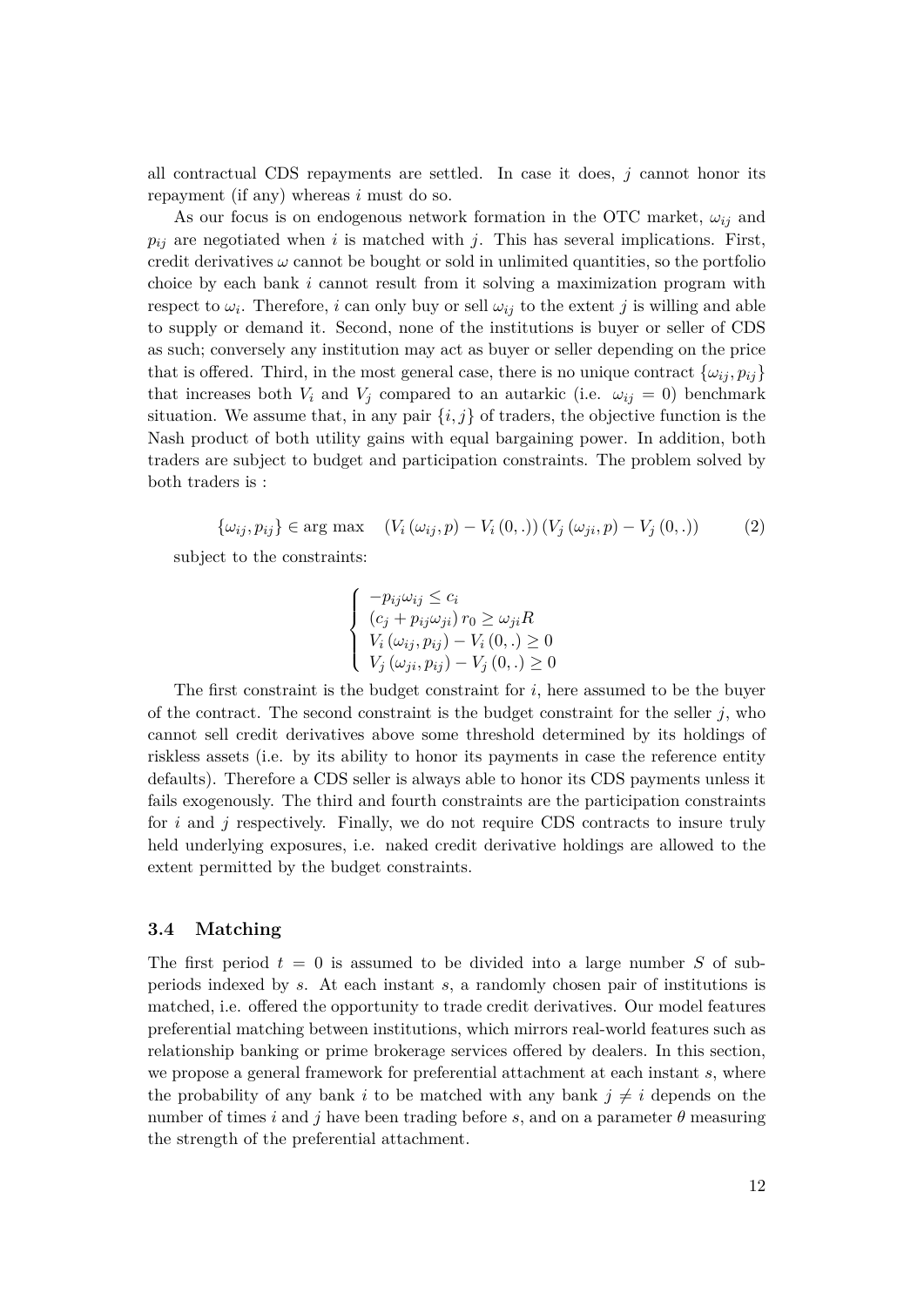all contractual CDS repayments are settled. In case it does, *j* cannot honor its repayment (if any) whereas *i* must do so.

As our focus is on endogenous network formation in the OTC market,  $\omega_{ij}$  and  $p_{ij}$  are negotiated when *i* is matched with *j*. This has several implications. First, credit derivatives  $\omega$  cannot be bought or sold in unlimited quantities, so the portfolio choice by each bank *i* cannot result from it solving a maximization program with respect to  $\omega_i$ . Therefore, *i* can only buy or sell  $\omega_{ij}$  to the extent *j* is willing and able to supply or demand it. Second, none of the institutions is buyer or seller of CDS as such; conversely any institution may act as buyer or seller depending on the price that is offered. Third, in the most general case, there is no unique contract  $\{\omega_{ij}, p_{ij}\}$ that increases both  $V_i$  and  $V_j$  compared to an autarkic (i.e.  $\omega_{ij} = 0$ ) benchmark situation. We assume that, in any pair  $\{i, j\}$  of traders, the objective function is the Nash product of both utility gains with equal bargaining power. In addition, both traders are subject to budget and participation constraints. The problem solved by both traders is :

 $\{\omega_{ij}, p_{ij}\} \in \arg \max \quad (V_i(\omega_{ij}, p) - V_i(0, .)) (V_i(\omega_{ji}, p) - V_i(0, .))$  (2) subject to the constraints:

$$
\begin{cases}\n-p_{ij}\omega_{ij} \le c_i \\
(c_j + p_{ij}\omega_{ji})\,r_0 \ge \omega_{ji}R \\
V_i(\omega_{ij}, p_{ij}) - V_i(0,.) \ge 0 \\
V_j(\omega_{ji}, p_{ij}) - V_j(0,.) \ge 0\n\end{cases}
$$

The first constraint is the budget constraint for *i*, here assumed to be the buyer of the contract. The second constraint is the budget constraint for the seller  $j$ , who cannot sell credit derivatives above some threshold determined by its holdings of riskless assets (i.e. by its ability to honor its payments in case the reference entity defaults). Therefore a CDS seller is always able to honor its CDS payments unless it fails exogenously. The third and fourth constraints are the participation constraints for *i* and *j* respectively. Finally, we do not require CDS contracts to insure truly held underlying exposures, i.e. naked credit derivative holdings are allowed to the extent permitted by the budget constraints.

## **3.4 Matching**

The first period  $t = 0$  is assumed to be divided into a large number *S* of subperiods indexed by *s*. At each instant *s*, a randomly chosen pair of institutions is matched, i.e. offered the opportunity to trade credit derivatives. Our model features preferential matching between institutions, which mirrors real-world features such as relationship banking or prime brokerage services offered by dealers. In this section, we propose a general framework for preferential attachment at each instant *s*, where the probability of any bank *i* to be matched with any bank  $j \neq i$  depends on the number of times *i* and *j* have been trading before *s*, and on a parameter  $\theta$  measuring the strength of the preferential attachment.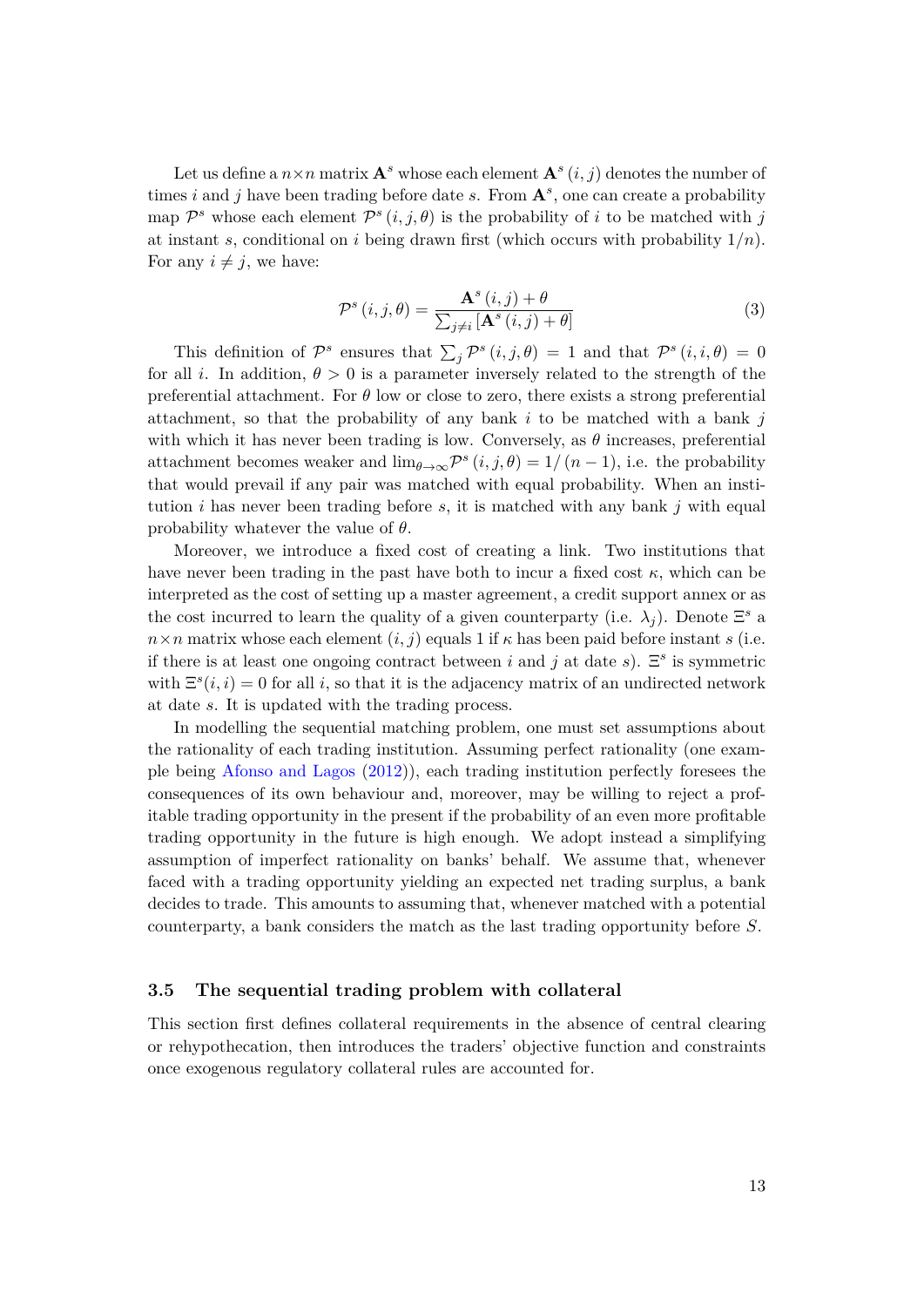Let us define a  $n \times n$  matrix  $\mathbf{A}^s$  whose each element  $\mathbf{A}^s$   $(i, j)$  denotes the number of times *i* and *j* have been trading before date *s*. From **A***<sup>s</sup>* , one can create a probability map  $\mathcal{P}^s$  whose each element  $\mathcal{P}^s(i, j, \theta)$  is the probability of *i* to be matched with *j* at instant *s*, conditional on *i* being drawn first (which occurs with probability 1*/n*). For any  $i \neq j$ , we have:

$$
\mathcal{P}^{s}(i,j,\theta) = \frac{\mathbf{A}^{s}(i,j) + \theta}{\sum_{j \neq i} [\mathbf{A}^{s}(i,j) + \theta]} \tag{3}
$$

This definition of  $\mathcal{P}^s$  ensures that  $\sum_j \mathcal{P}^s(i,j,\theta) = 1$  and that  $\mathcal{P}^s(i,i,\theta) = 0$ for all *i*. In addition,  $\theta > 0$  is a parameter inversely related to the strength of the preferential attachment. For *θ* low or close to zero, there exists a strong preferential attachment, so that the probability of any bank *i* to be matched with a bank *j* with which it has never been trading is low. Conversely, as  $\theta$  increases, preferential attachment becomes weaker and  $\lim_{\theta \to \infty} \mathcal{P}^s(i,j,\theta) = 1/(n-1)$ , i.e. the probability that would prevail if any pair was matched with equal probability. When an institution *i* has never been trading before *s*, it is matched with any bank *j* with equal probability whatever the value of *θ*.

Moreover, we introduce a fixed cost of creating a link. Two institutions that have never been trading in the past have both to incur a fixed cost  $\kappa$ , which can be interpreted as the cost of setting up a master agreement, a credit support annex or as the cost incurred to learn the quality of a given counterparty (i.e.  $\lambda_j$ ). Denote  $\Xi^s$  a  $n \times n$  matrix whose each element  $(i, j)$  equals 1 if  $\kappa$  has been paid before instant *s* (i.e. if there is at least one ongoing contract between *i* and *j* at date *s*).  $\Xi^s$  is symmetric with  $\Xi^s(i, i) = 0$  for all *i*, so that it is the adjacency matrix of an undirected network at date *s*. It is updated with the trading process.

In modelling the sequential matching problem, one must set assumptions about the rationality of each trading institution. Assuming perfect rationality (one example being [Afonso and Lagos](#page-29-13) [\(2012\)](#page-29-13)), each trading institution perfectly foresees the consequences of its own behaviour and, moreover, may be willing to reject a profitable trading opportunity in the present if the probability of an even more profitable trading opportunity in the future is high enough. We adopt instead a simplifying assumption of imperfect rationality on banks' behalf. We assume that, whenever faced with a trading opportunity yielding an expected net trading surplus, a bank decides to trade. This amounts to assuming that, whenever matched with a potential counterparty, a bank considers the match as the last trading opportunity before *S*.

## <span id="page-14-0"></span>**3.5 The sequential trading problem with collateral**

This section first defines collateral requirements in the absence of central clearing or rehypothecation, then introduces the traders' objective function and constraints once exogenous regulatory collateral rules are accounted for.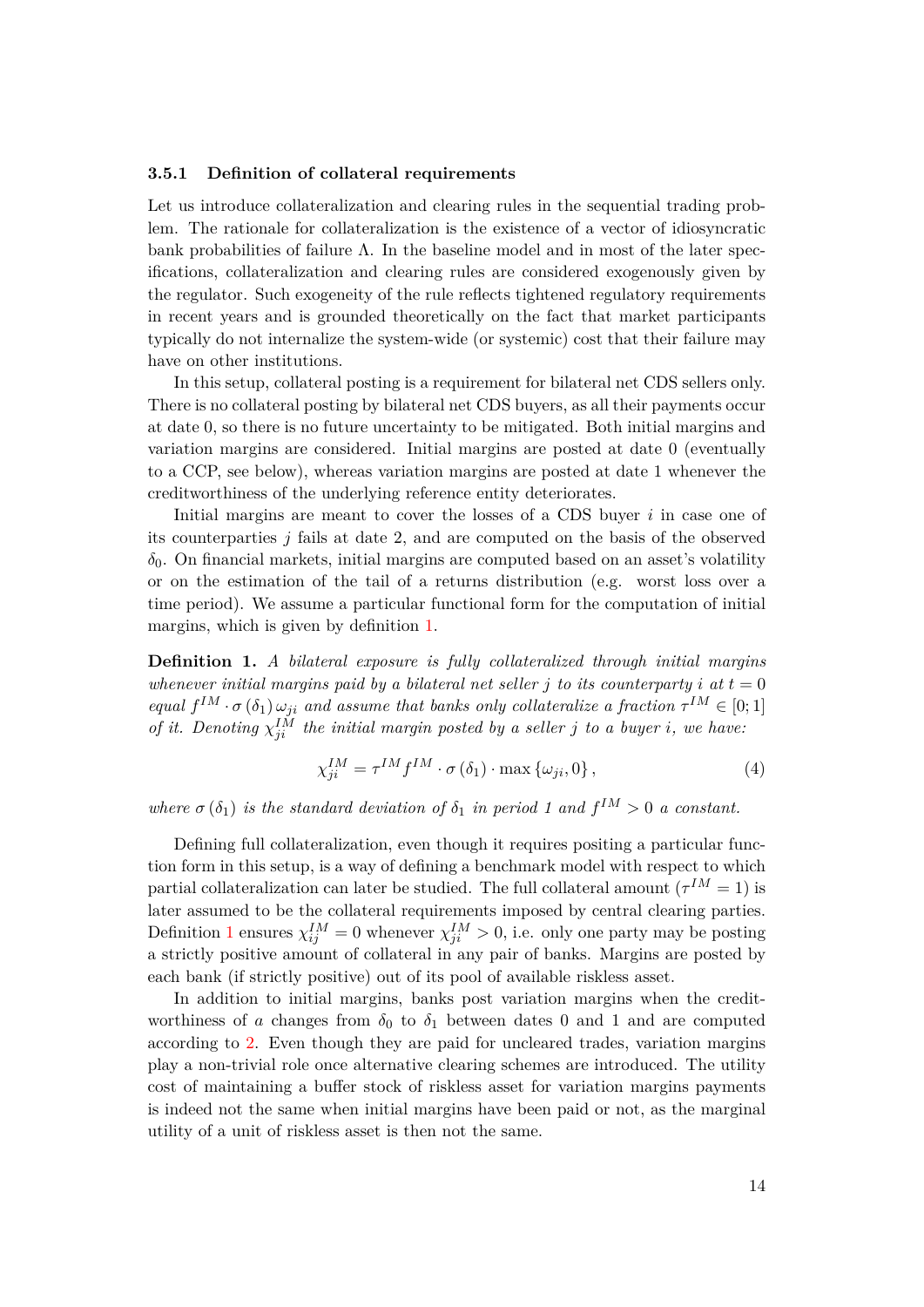#### **3.5.1 Definition of collateral requirements**

Let us introduce collateralization and clearing rules in the sequential trading problem. The rationale for collateralization is the existence of a vector of idiosyncratic bank probabilities of failure  $\Lambda$ . In the baseline model and in most of the later specifications, collateralization and clearing rules are considered exogenously given by the regulator. Such exogeneity of the rule reflects tightened regulatory requirements in recent years and is grounded theoretically on the fact that market participants typically do not internalize the system-wide (or systemic) cost that their failure may have on other institutions.

In this setup, collateral posting is a requirement for bilateral net CDS sellers only. There is no collateral posting by bilateral net CDS buyers, as all their payments occur at date 0, so there is no future uncertainty to be mitigated. Both initial margins and variation margins are considered. Initial margins are posted at date 0 (eventually to a CCP, see below), whereas variation margins are posted at date 1 whenever the creditworthiness of the underlying reference entity deteriorates.

Initial margins are meant to cover the losses of a CDS buyer *i* in case one of its counterparties *j* fails at date 2, and are computed on the basis of the observed  $\delta_0$ . On financial markets, initial margins are computed based on an asset's volatility or on the estimation of the tail of a returns distribution (e.g. worst loss over a time period). We assume a particular functional form for the computation of initial margins, which is given by definition [1.](#page-15-0)

<span id="page-15-0"></span>**Definition 1.** *A bilateral exposure is fully collateralized through initial margins whenever initial margins paid by a bilateral net seller*  $j$  *to its counterparty*  $i$  *at*  $t = 0$ *equal*  $f^{\uparrow M} \cdot \sigma(\delta_1) \omega_{ji}$  *and assume that banks only collateralize a fraction*  $\tau^{\uparrow M} \in [0; 1]$ *of it. Denoting*  $\chi_{ji}^{IM}$  *the initial margin posted by a seller j to a buyer i, we have:* 

<span id="page-15-1"></span>
$$
\chi_{ji}^{IM} = \tau^{IM} f^{IM} \cdot \sigma \left( \delta_1 \right) \cdot \max \left\{ \omega_{ji}, 0 \right\},\tag{4}
$$

*where*  $\sigma(\delta_1)$  *is the standard deviation of*  $\delta_1$  *in period* 1 and  $f^{\{M\}} > 0$  *a constant.* 

Defining full collateralization, even though it requires positing a particular function form in this setup, is a way of defining a benchmark model with respect to which partial collateralization can later be studied. The full collateral amount  $({\tau}^{IM} = 1)$  is later assumed to be the collateral requirements imposed by central clearing parties. Definition [1](#page-15-0) ensures  $\chi_{ij}^{IM} = 0$  whenever  $\chi_{ji}^{IM} > 0$ , i.e. only one party may be posting a strictly positive amount of collateral in any pair of banks. Margins are posted by each bank (if strictly positive) out of its pool of available riskless asset.

In addition to initial margins, banks post variation margins when the creditworthiness of *a* changes from  $\delta_0$  to  $\delta_1$  between dates 0 and 1 and are computed according to [2.](#page-16-0) Even though they are paid for uncleared trades, variation margins play a non-trivial role once alternative clearing schemes are introduced. The utility cost of maintaining a buffer stock of riskless asset for variation margins payments is indeed not the same when initial margins have been paid or not, as the marginal utility of a unit of riskless asset is then not the same.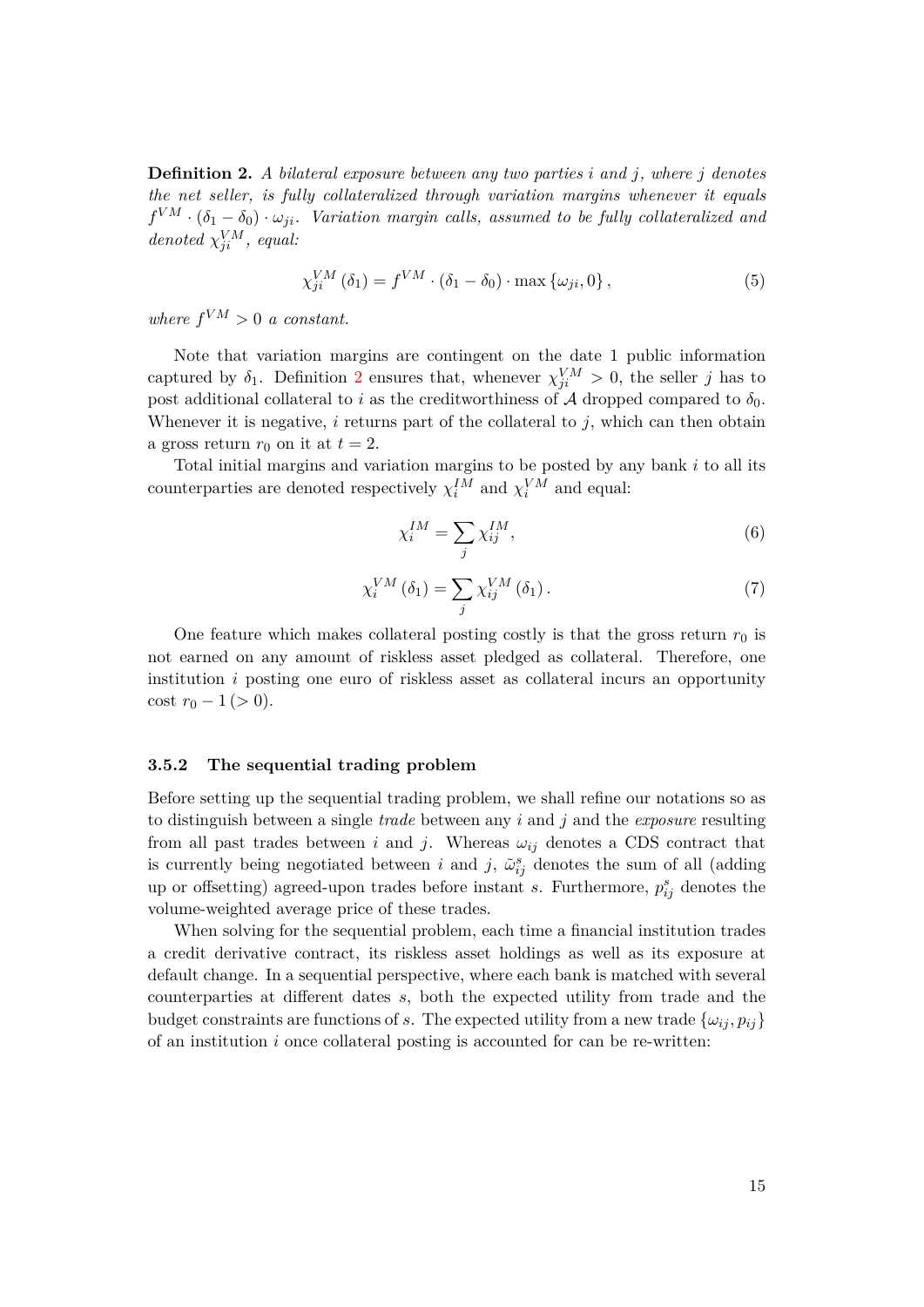<span id="page-16-0"></span>**Definition 2.** *A bilateral exposure between any two parties i and j, where j denotes the net seller, is fully collateralized through variation margins whenever it equals*  $f^{VM} \cdot (\delta_1 - \delta_0) \cdot \omega_{ji}$ . Variation margin calls, assumed to be fully collateralized and *denoted*  $\chi_{ji}^{VM}$ *, equal:* 

<span id="page-16-1"></span>
$$
\chi_{ji}^{VM}(\delta_1) = f^{VM} \cdot (\delta_1 - \delta_0) \cdot \max \{ \omega_{ji}, 0 \},\tag{5}
$$

*where*  $f^{VM} > 0$  *a constant.* 

Note that variation margins are contingent on the date 1 public information captured by  $\delta_1$ . Definition [2](#page-16-0) ensures that, whenever  $\chi_{ji}^{VM} > 0$ , the seller *j* has to post additional collateral to *i* as the creditworthiness of A dropped compared to  $\delta_0$ . Whenever it is negative, *i* returns part of the collateral to *j*, which can then obtain a gross return  $r_0$  on it at  $t=2$ .

Total initial margins and variation margins to be posted by any bank *i* to all its counterparties are denoted respectively  $\chi_i^{IM}$  and  $\chi_i^{VM}$  and equal:

$$
\chi_i^{IM} = \sum_j \chi_{ij}^{IM},\tag{6}
$$

$$
\chi_i^{VM}(\delta_1) = \sum_j \chi_{ij}^{VM}(\delta_1). \tag{7}
$$

One feature which makes collateral posting costly is that the gross return  $r_0$  is not earned on any amount of riskless asset pledged as collateral. Therefore, one institution *i* posting one euro of riskless asset as collateral incurs an opportunity cost  $r_0 - 1$  ( $> 0$ ).

#### **3.5.2 The sequential trading problem**

Before setting up the sequential trading problem, we shall refine our notations so as to distinguish between a single *trade* between any *i* and *j* and the *exposure* resulting from all past trades between *i* and *j*. Whereas  $\omega_{ij}$  denotes a CDS contract that is currently being negotiated between *i* and *j*,  $\tilde{\omega}_{ij}^s$  denotes the sum of all (adding up or offsetting) agreed-upon trades before instant *s*. Furthermore,  $p_{ij}^s$  denotes the volume-weighted average price of these trades.

When solving for the sequential problem, each time a financial institution trades a credit derivative contract, its riskless asset holdings as well as its exposure at default change. In a sequential perspective, where each bank is matched with several counterparties at different dates *s*, both the expected utility from trade and the budget constraints are functions of *s*. The expected utility from a new trade  $\{\omega_{ij}, p_{ij}\}$ of an institution *i* once collateral posting is accounted for can be re-written: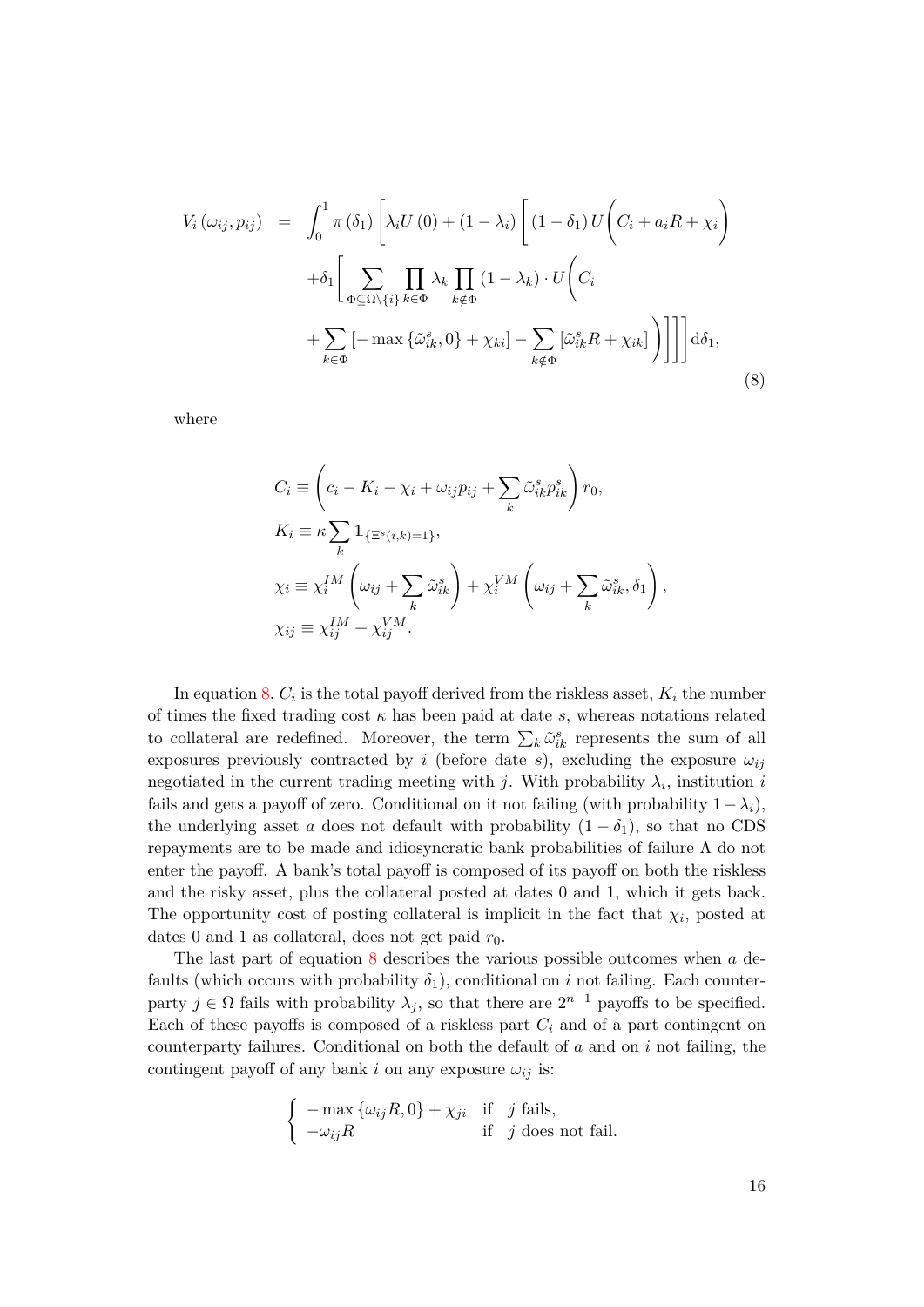<span id="page-17-0"></span>
$$
V_{i}(\omega_{ij}, p_{ij}) = \int_{0}^{1} \pi(\delta_{1}) \left[ \lambda_{i} U(0) + (1 - \lambda_{i}) \left[ (1 - \delta_{1}) U \left( C_{i} + a_{i} R + \chi_{i} \right) \right] \right] + \delta_{1} \left[ \sum_{\Phi \subseteq \Omega \setminus \{i\}} \prod_{k \in \Phi} \lambda_{k} \prod_{k \notin \Phi} (1 - \lambda_{k}) \cdot U \left( C_{i} \right) \right] + \sum_{k \in \Phi} \left[ - \max \left\{ \tilde{\omega}_{ik}^{s}, 0 \right\} + \chi_{ki} \right] - \sum_{k \notin \Phi} \left[ \tilde{\omega}_{ik}^{s} R + \chi_{ik} \right] \right) \right] \right] d\delta_{1}, \tag{8}
$$

where

$$
C_i \equiv \left(c_i - K_i - \chi_i + \omega_{ij}p_{ij} + \sum_k \tilde{\omega}_{ik}^s p_{ik}^s\right) r_0,
$$
  
\n
$$
K_i \equiv \kappa \sum_k \mathbb{1}_{\{\Xi^s(i,k)=1\}},
$$
  
\n
$$
\chi_i \equiv \chi_i^{IM} \left(\omega_{ij} + \sum_k \tilde{\omega}_{ik}^s\right) + \chi_i^{VM} \left(\omega_{ij} + \sum_k \tilde{\omega}_{ik}^s, \delta_1\right),
$$
  
\n
$$
\chi_{ij} \equiv \chi_{ij}^{IM} + \chi_{ij}^{VM}.
$$

In equation [8,](#page-17-0)  $C_i$  is the total payoff derived from the riskless asset,  $K_i$  the number of times the fixed trading cost  $\kappa$  has been paid at date  $s$ , whereas notations related to collateral are redefined. Moreover, the term  $\sum_k \tilde{\omega}_{ik}^s$  represents the sum of all exposures previously contracted by *i* (before date *s*), excluding the exposure  $\omega_{ij}$ negotiated in the current trading meeting with *j*. With probability  $\lambda_i$ , institution *i* fails and gets a payoff of zero. Conditional on it not failing (with probability  $1-\lambda_i$ ), the underlying asset *a* does not default with probability  $(1 - \delta_1)$ , so that no CDS repayments are to be made and idiosyncratic bank probabilities of failure  $\Lambda$  do not enter the payoff. A bank's total payoff is composed of its payoff on both the riskless and the risky asset, plus the collateral posted at dates 0 and 1, which it gets back. The opportunity cost of posting collateral is implicit in the fact that  $\chi_i$ , posted at dates 0 and 1 as collateral, does not get paid  $r_0$ .

The last part of equation [8](#page-17-0) describes the various possible outcomes when *a* defaults (which occurs with probability  $\delta_1$ ), conditional on *i* not failing. Each counterparty  $j \in \Omega$  fails with probability  $\lambda_j$ , so that there are  $2^{n-1}$  payoffs to be specified. Each of these payoffs is composed of a riskless part *C<sup>i</sup>* and of a part contingent on counterparty failures. Conditional on both the default of *a* and on *i* not failing, the contingent payoff of any bank *i* on any exposure  $\omega_{ij}$  is:

$$
\begin{cases}\n-\max\left\{\omega_{ij}R,0\right\} + \chi_{ji} & \text{if } j \text{ fails}, \\
-\omega_{ij}R & \text{if } j \text{ does not fail}.\n\end{cases}
$$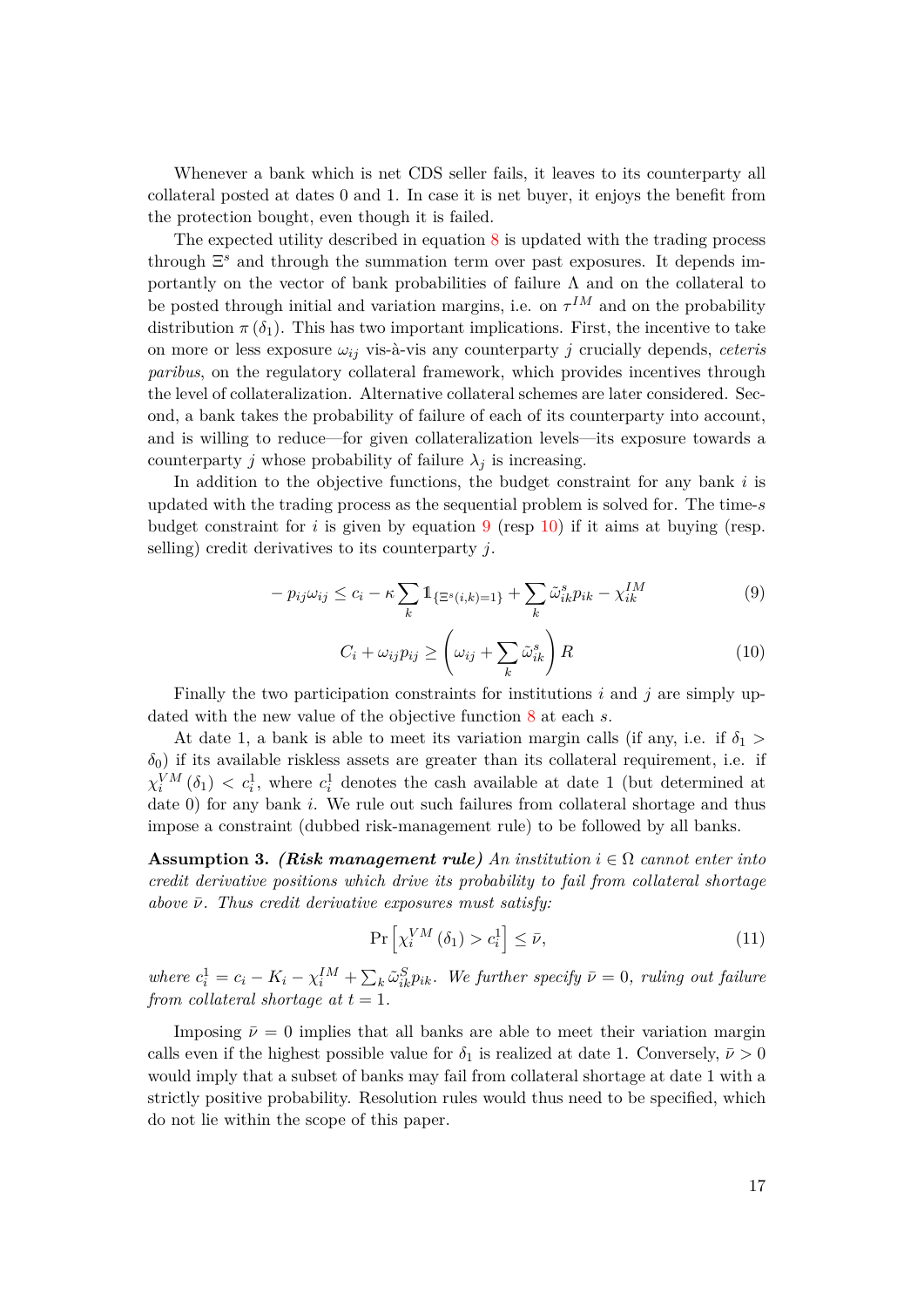Whenever a bank which is net CDS seller fails, it leaves to its counterparty all collateral posted at dates 0 and 1. In case it is net buyer, it enjoys the benefit from the protection bought, even though it is failed.

The expected utility described in equation [8](#page-17-0) is updated with the trading process through Ξ *<sup>s</sup>* and through the summation term over past exposures. It depends importantly on the vector of bank probabilities of failure  $\Lambda$  and on the collateral to be posted through initial and variation margins, i.e. on  $\tau^{IM}$  and on the probability distribution  $\pi(\delta_1)$ . This has two important implications. First, the incentive to take on more or less exposure  $\omega_{ij}$  vis-à-vis any counterparty *j* crucially depends, *ceteris paribus*, on the regulatory collateral framework, which provides incentives through the level of collateralization. Alternative collateral schemes are later considered. Second, a bank takes the probability of failure of each of its counterparty into account, and is willing to reduce—for given collateralization levels—its exposure towards a counterparty *j* whose probability of failure  $\lambda_j$  is increasing.

In addition to the objective functions, the budget constraint for any bank *i* is updated with the trading process as the sequential problem is solved for. The time-*s* budget constraint for  $i$  is given by equation  $9$  (resp [10\)](#page-18-1) if it aims at buying (resp. selling) credit derivatives to its counterparty *j*.

<span id="page-18-0"></span>
$$
-p_{ij}\omega_{ij} \leq c_i - \kappa \sum_{k} 1_{\{\Xi^s(i,k)=1\}} + \sum_{k} \tilde{\omega}_{ik}^s p_{ik} - \chi_{ik}^{IM}
$$
\n(9)

<span id="page-18-1"></span>
$$
C_i + \omega_{ij} p_{ij} \ge \left(\omega_{ij} + \sum_k \tilde{\omega}_{ik}^s\right) R \tag{10}
$$

Finally the two participation constraints for institutions *i* and *j* are simply updated with the new value of the objective function [8](#page-17-0) at each *s*.

At date 1, a bank is able to meet its variation margin calls (if any, i.e. if  $\delta_1$ )  $\delta_0$ ) if its available riskless assets are greater than its collateral requirement, i.e. if  $\chi_i^{VM}(\delta_1) \langle c_i^1, \text{ where } c_i^1 \text{ denotes the cash available at date 1 (but determined at } \delta_1)$ date 0) for any bank *i*. We rule out such failures from collateral shortage and thus impose a constraint (dubbed risk-management rule) to be followed by all banks.

<span id="page-18-3"></span>**Assumption 3.** *(Risk management rule) An institution*  $i \in \Omega$  *cannot enter into credit derivative positions which drive its probability to fail from collateral shortage above*  $\bar{\nu}$ *. Thus credit derivative exposures must satisfy:* 

<span id="page-18-2"></span>
$$
\Pr\left[\chi_i^{VM}\left(\delta_1\right) > c_i^1\right] \le \bar{\nu},\tag{11}
$$

where  $c_i^1 = c_i - K_i - \chi_i^M + \sum_k \tilde{\omega}_{ik}^S p_{ik}$ . We further specify  $\bar{\nu} = 0$ , ruling out failure *from collateral shortage at*  $t = 1$ *.* 

Imposing  $\bar{\nu} = 0$  implies that all banks are able to meet their variation margin calls even if the highest possible value for  $\delta_1$  is realized at date 1. Conversely,  $\bar{\nu} > 0$ would imply that a subset of banks may fail from collateral shortage at date 1 with a strictly positive probability. Resolution rules would thus need to be specified, which do not lie within the scope of this paper.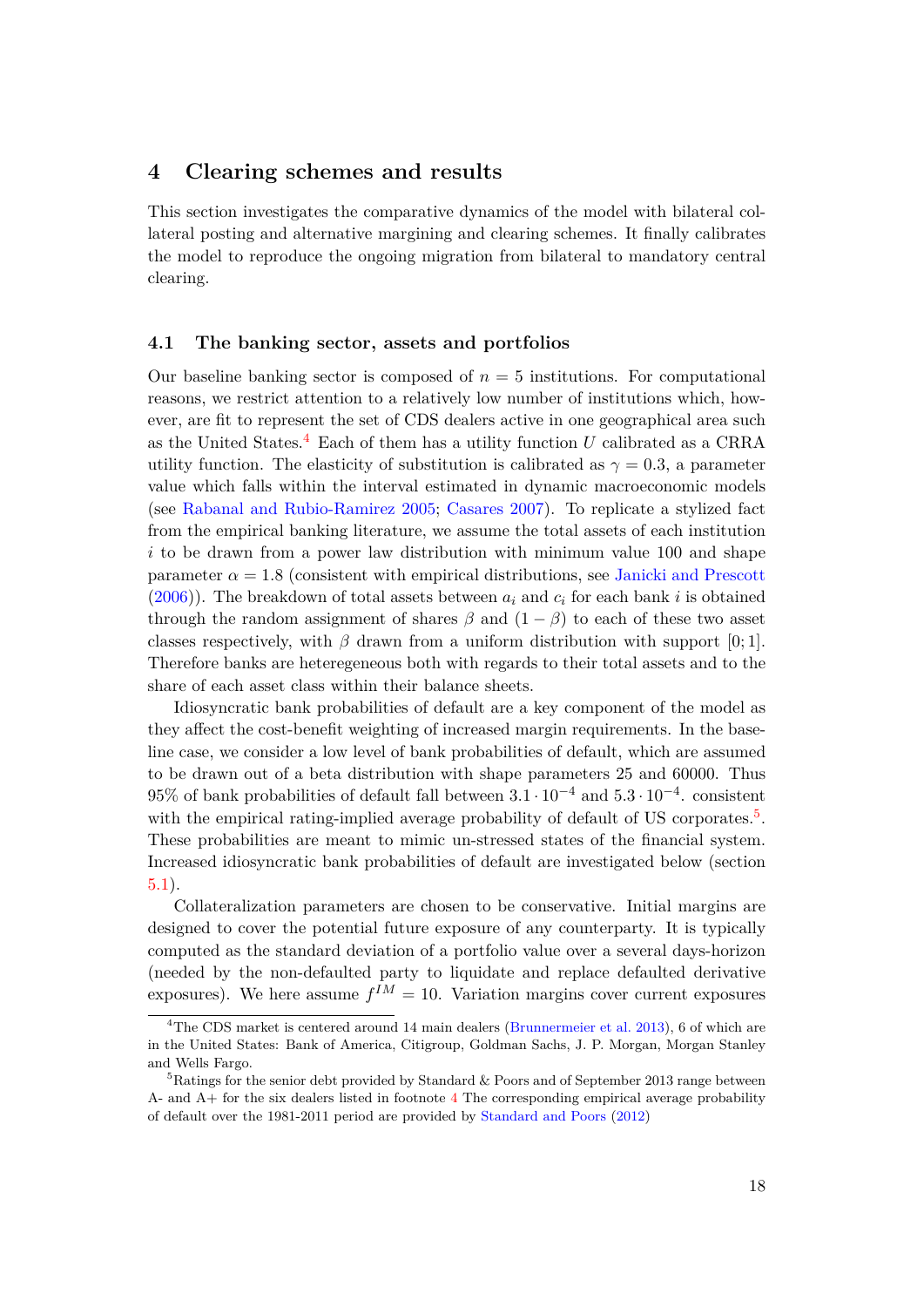## **4 Clearing schemes and results**

This section investigates the comparative dynamics of the model with bilateral collateral posting and alternative margining and clearing schemes. It finally calibrates the model to reproduce the ongoing migration from bilateral to mandatory central clearing.

### <span id="page-19-2"></span>**4.1 The banking sector, assets and portfolios**

Our baseline banking sector is composed of  $n = 5$  institutions. For computational reasons, we restrict attention to a relatively low number of institutions which, however, are fit to represent the set of CDS dealers active in one geographical area such as the United States.[4](#page-19-0) Each of them has a utility function *U* calibrated as a CRRA utility function. The elasticity of substitution is calibrated as  $\gamma = 0.3$ , a parameter value which falls within the interval estimated in dynamic macroeconomic models (see [Rabanal and Rubio-Ramirez](#page-31-4) [2005;](#page-31-4) [Casares](#page-30-13) [2007\)](#page-30-13). To replicate a stylized fact from the empirical banking literature, we assume the total assets of each institution *i* to be drawn from a power law distribution with minimum value 100 and shape parameter  $\alpha = 1.8$  (consistent with empirical distributions, see [Janicki and Prescott](#page-30-14)  $(2006)$ ). The breakdown of total assets between  $a_i$  and  $c_i$  for each bank *i* is obtained through the random assignment of shares  $\beta$  and  $(1 - \beta)$  to each of these two asset classes respectively, with  $\beta$  drawn from a uniform distribution with support [0; 1]. Therefore banks are heteregeneous both with regards to their total assets and to the share of each asset class within their balance sheets.

Idiosyncratic bank probabilities of default are a key component of the model as they affect the cost-benefit weighting of increased margin requirements. In the baseline case, we consider a low level of bank probabilities of default, which are assumed to be drawn out of a beta distribution with shape parameters 25 and 60000. Thus 95% of bank probabilities of default fall between 3*.*1 · 10−<sup>4</sup> and 5*.*3 · 10−<sup>4</sup> . consistent with the empirical rating-implied average probability of default of US corporates.<sup>[5](#page-19-1)</sup>. These probabilities are meant to mimic un-stressed states of the financial system. Increased idiosyncratic bank probabilities of default are investigated below (section [5.1\)](#page-25-0).

Collateralization parameters are chosen to be conservative. Initial margins are designed to cover the potential future exposure of any counterparty. It is typically computed as the standard deviation of a portfolio value over a several days-horizon (needed by the non-defaulted party to liquidate and replace defaulted derivative exposures). We here assume  $f^{IM} = 10$ . Variation margins cover current exposures

<span id="page-19-0"></span><sup>&</sup>lt;sup>4</sup>The CDS market is centered around 14 main dealers [\(Brunnermeier et al.](#page-29-14) [2013\)](#page-29-14), 6 of which are in the United States: Bank of America, Citigroup, Goldman Sachs, J. P. Morgan, Morgan Stanley and Wells Fargo.

<span id="page-19-1"></span><sup>&</sup>lt;sup>5</sup>Ratings for the senior debt provided by Standard & Poors and of September 2013 range between A- and A+ for the six dealers listed in footnote [4](#page-19-0) The corresponding empirical average probability of default over the 1981-2011 period are provided by [Standard and Poors](#page-31-5) [\(2012\)](#page-31-5)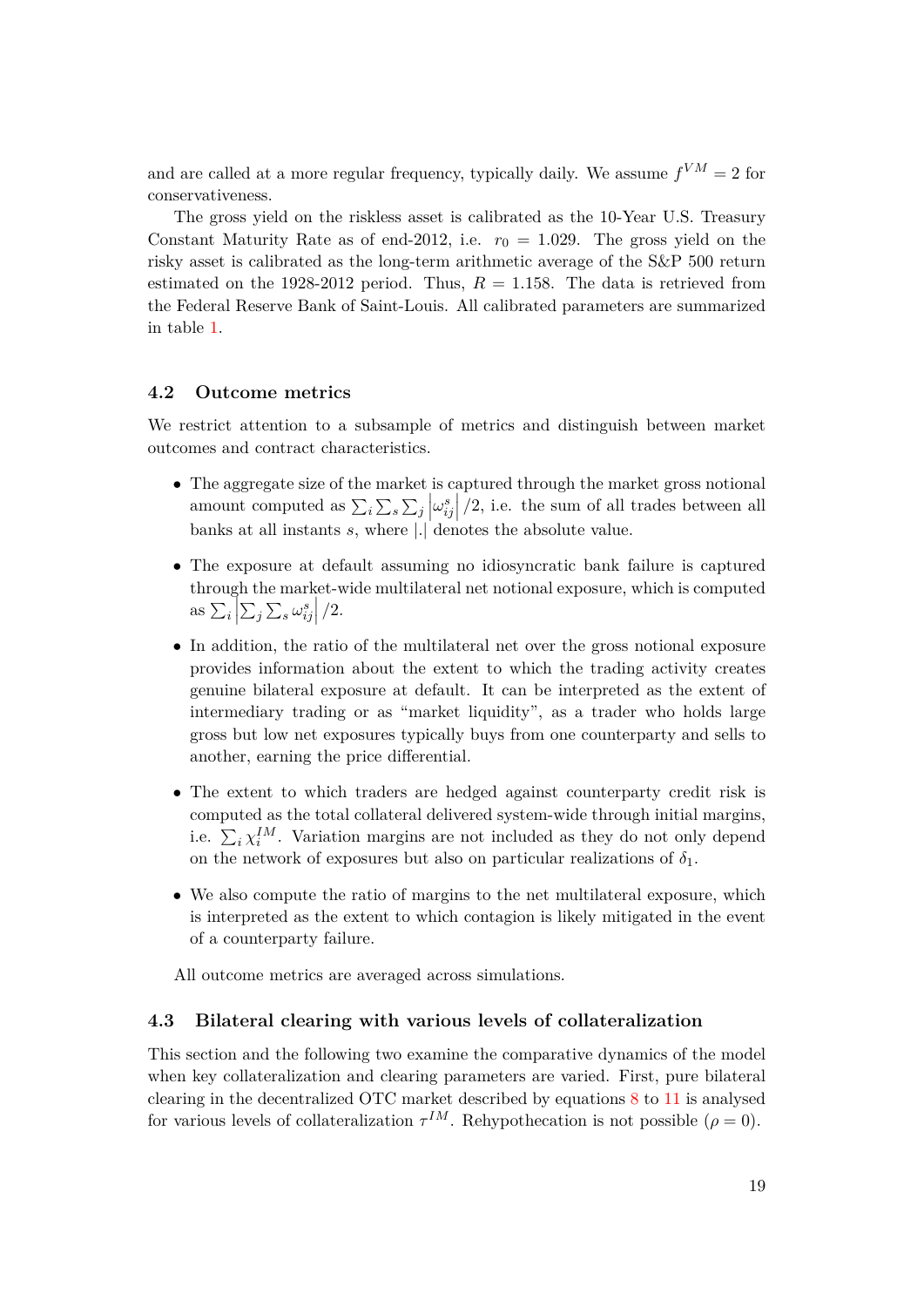and are called at a more regular frequency, typically daily. We assume  $f^{VM} = 2$  for conservativeness.

The gross yield on the riskless asset is calibrated as the 10-Year U.S. Treasury Constant Maturity Rate as of end-2012, i.e.  $r_0 = 1.029$ . The gross yield on the risky asset is calibrated as the long-term arithmetic average of the S&P 500 return estimated on the 1928-2012 period. Thus,  $R = 1.158$ . The data is retrieved from the Federal Reserve Bank of Saint-Louis. All calibrated parameters are summarized in table [1.](#page-32-0)

## **4.2 Outcome metrics**

We restrict attention to a subsample of metrics and distinguish between market outcomes and contract characteristics.

- The aggregate size of the market is captured through the market gross notional amount computed as  $\sum_i \sum_s \sum_j \left| \omega_{ij}^s \right|/2$ , i.e. the sum of all trades between all banks at all instants *s*, where |*.*| denotes the absolute value.
- The exposure at default assuming no idiosyncratic bank failure is captured through the market-wide multilateral net notional exposure, which is computed as  $\sum_{i} \left| \sum_{j} \sum_{s} \omega_{ij}^{s} \right|/2$ .
- In addition, the ratio of the multilateral net over the gross notional exposure provides information about the extent to which the trading activity creates genuine bilateral exposure at default. It can be interpreted as the extent of intermediary trading or as "market liquidity", as a trader who holds large gross but low net exposures typically buys from one counterparty and sells to another, earning the price differential.
- The extent to which traders are hedged against counterparty credit risk is computed as the total collateral delivered system-wide through initial margins, i.e.  $\sum_i \chi_i^{IM}$ . Variation margins are not included as they do not only depend on the network of exposures but also on particular realizations of  $\delta_1$ .
- We also compute the ratio of margins to the net multilateral exposure, which is interpreted as the extent to which contagion is likely mitigated in the event of a counterparty failure.

All outcome metrics are averaged across simulations.

## <span id="page-20-0"></span>**4.3 Bilateral clearing with various levels of collateralization**

This section and the following two examine the comparative dynamics of the model when key collateralization and clearing parameters are varied. First, pure bilateral clearing in the decentralized OTC market described by equations [8](#page-17-0) to [11](#page-18-2) is analysed for various levels of collateralization  $\tau^{IM}$ . Rehypothecation is not possible ( $\rho = 0$ ).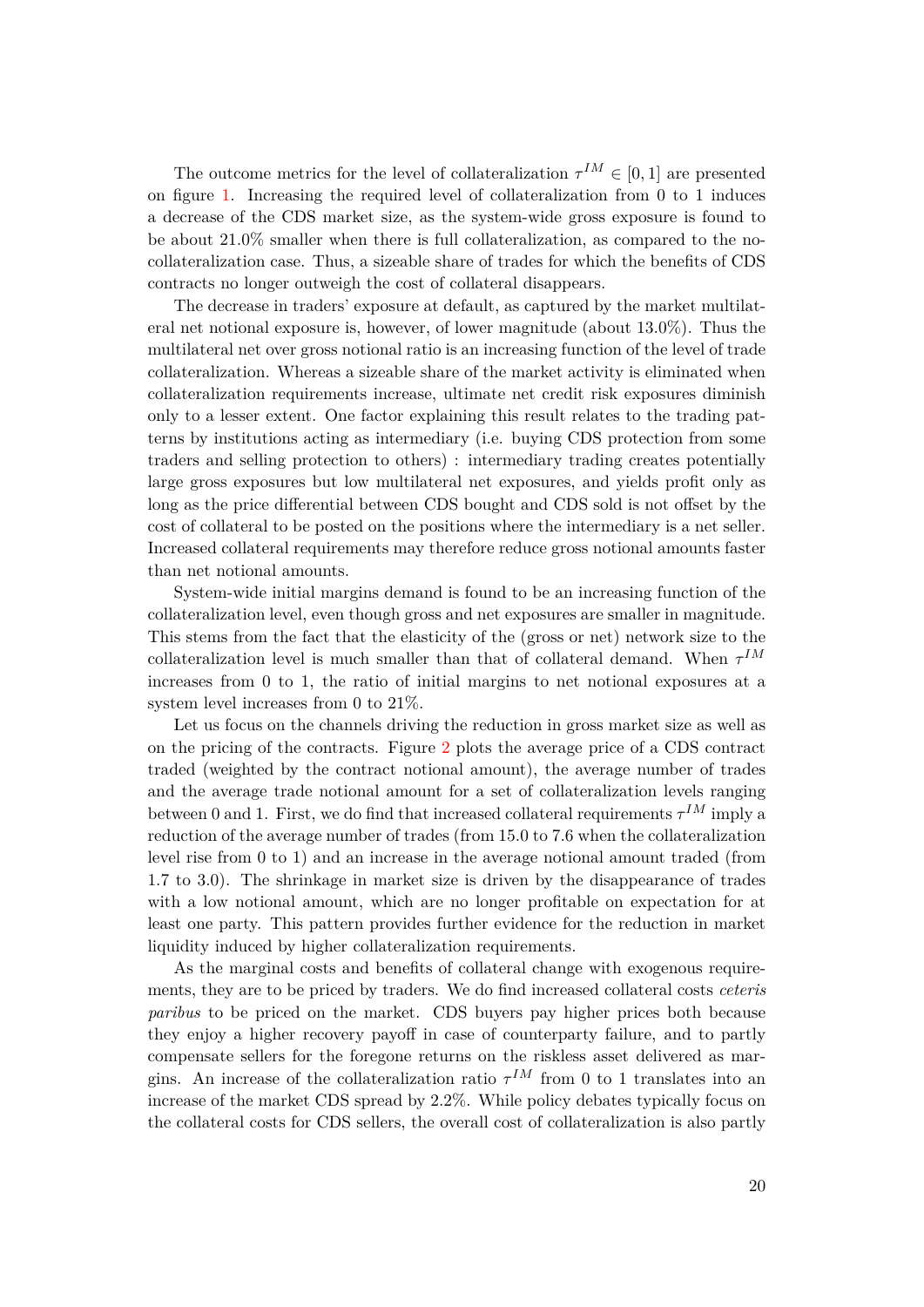The outcome metrics for the level of collateralization  $\tau^{IM} \in [0,1]$  are presented on figure [1.](#page-34-0) Increasing the required level of collateralization from 0 to 1 induces a decrease of the CDS market size, as the system-wide gross exposure is found to be about 21.0% smaller when there is full collateralization, as compared to the nocollateralization case. Thus, a sizeable share of trades for which the benefits of CDS contracts no longer outweigh the cost of collateral disappears.

The decrease in traders' exposure at default, as captured by the market multilateral net notional exposure is, however, of lower magnitude (about 13.0%). Thus the multilateral net over gross notional ratio is an increasing function of the level of trade collateralization. Whereas a sizeable share of the market activity is eliminated when collateralization requirements increase, ultimate net credit risk exposures diminish only to a lesser extent. One factor explaining this result relates to the trading patterns by institutions acting as intermediary (i.e. buying CDS protection from some traders and selling protection to others) : intermediary trading creates potentially large gross exposures but low multilateral net exposures, and yields profit only as long as the price differential between CDS bought and CDS sold is not offset by the cost of collateral to be posted on the positions where the intermediary is a net seller. Increased collateral requirements may therefore reduce gross notional amounts faster than net notional amounts.

System-wide initial margins demand is found to be an increasing function of the collateralization level, even though gross and net exposures are smaller in magnitude. This stems from the fact that the elasticity of the (gross or net) network size to the collateralization level is much smaller than that of collateral demand. When  $\tau^{IM}$ increases from 0 to 1, the ratio of initial margins to net notional exposures at a system level increases from 0 to 21%.

Let us focus on the channels driving the reduction in gross market size as well as on the pricing of the contracts. Figure [2](#page-35-0) plots the average price of a CDS contract traded (weighted by the contract notional amount), the average number of trades and the average trade notional amount for a set of collateralization levels ranging between 0 and 1. First, we do find that increased collateral requirements  $\tau^{IM}$  imply a reduction of the average number of trades (from 15.0 to 7.6 when the collateralization level rise from 0 to 1) and an increase in the average notional amount traded (from 1.7 to 3.0). The shrinkage in market size is driven by the disappearance of trades with a low notional amount, which are no longer profitable on expectation for at least one party. This pattern provides further evidence for the reduction in market liquidity induced by higher collateralization requirements.

As the marginal costs and benefits of collateral change with exogenous requirements, they are to be priced by traders. We do find increased collateral costs *ceteris paribus* to be priced on the market. CDS buyers pay higher prices both because they enjoy a higher recovery payoff in case of counterparty failure, and to partly compensate sellers for the foregone returns on the riskless asset delivered as margins. An increase of the collateralization ratio  $\tau^{IM}$  from 0 to 1 translates into an increase of the market CDS spread by 2.2%. While policy debates typically focus on the collateral costs for CDS sellers, the overall cost of collateralization is also partly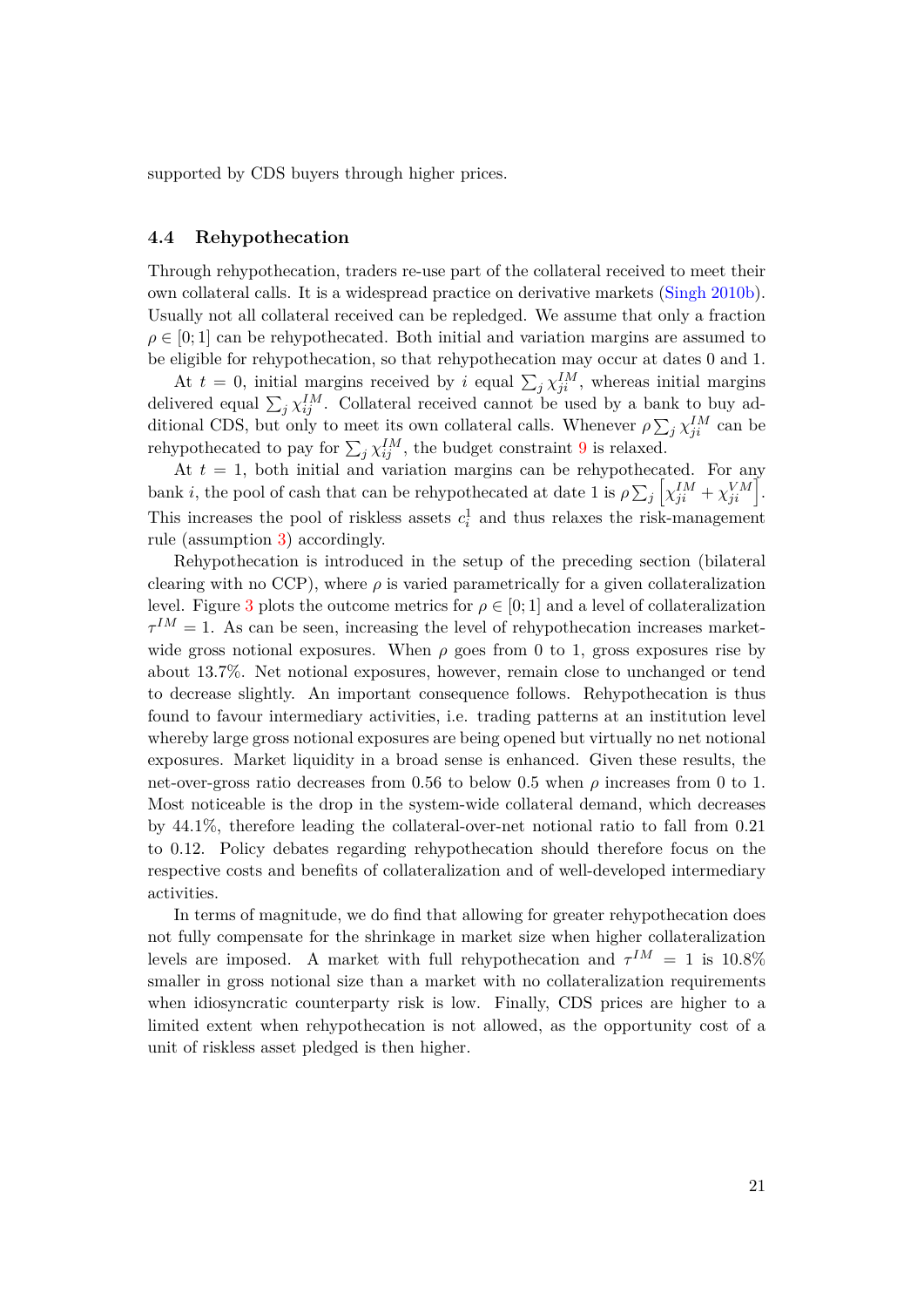supported by CDS buyers through higher prices.

## **4.4 Rehypothecation**

Through rehypothecation, traders re-use part of the collateral received to meet their own collateral calls. It is a widespread practice on derivative markets [\(Singh](#page-31-6) [2010b\)](#page-31-6). Usually not all collateral received can be repledged. We assume that only a fraction  $\rho \in [0; 1]$  can be rehypothecated. Both initial and variation margins are assumed to be eligible for rehypothecation, so that rehypothecation may occur at dates 0 and 1.

At  $t = 0$ , initial margins received by *i* equal  $\sum_j \chi_{ji}^{IM}$ , whereas initial margins delivered equal  $\sum_j \chi_{ij}^{IM}$ . Collateral received cannot be used by a bank to buy additional CDS, but only to meet its own collateral calls. Whenever  $\rho \sum_j \chi_{ji}^{IM}$  can be rehypothecated to pay for  $\sum_j \chi_{ij}^{IM}$ , the budget constraint [9](#page-18-0) is relaxed.

At  $t = 1$ , both initial and variation margins can be rehypothecated. For any bank *i*, the pool of cash that can be rehypothecated at date 1 is  $\rho \sum_j \left[ \chi_{ji}^{IM} + \chi_{ji}^{VM} \right]$ . This increases the pool of riskless assets  $c_i^1$  and thus relaxes the risk-management rule (assumption [3\)](#page-18-3) accordingly.

Rehypothecation is introduced in the setup of the preceding section (bilateral clearing with no CCP), where  $\rho$  is varied parametrically for a given collateralization level. Figure [3](#page-36-0) plots the outcome metrics for  $\rho \in [0, 1]$  and a level of collateralization  $\tau^{IM} = 1$ . As can be seen, increasing the level of rehypothecation increases marketwide gross notional exposures. When  $\rho$  goes from 0 to 1, gross exposures rise by about 13.7%. Net notional exposures, however, remain close to unchanged or tend to decrease slightly. An important consequence follows. Rehypothecation is thus found to favour intermediary activities, i.e. trading patterns at an institution level whereby large gross notional exposures are being opened but virtually no net notional exposures. Market liquidity in a broad sense is enhanced. Given these results, the net-over-gross ratio decreases from 0.56 to below 0.5 when  $\rho$  increases from 0 to 1. Most noticeable is the drop in the system-wide collateral demand, which decreases by 44.1%, therefore leading the collateral-over-net notional ratio to fall from 0.21 to 0.12. Policy debates regarding rehypothecation should therefore focus on the respective costs and benefits of collateralization and of well-developed intermediary activities.

In terms of magnitude, we do find that allowing for greater rehypothecation does not fully compensate for the shrinkage in market size when higher collateralization levels are imposed. A market with full rehypothecation and  $\tau^{IM} = 1$  is 10.8% smaller in gross notional size than a market with no collateralization requirements when idiosyncratic counterparty risk is low. Finally, CDS prices are higher to a limited extent when rehypothecation is not allowed, as the opportunity cost of a unit of riskless asset pledged is then higher.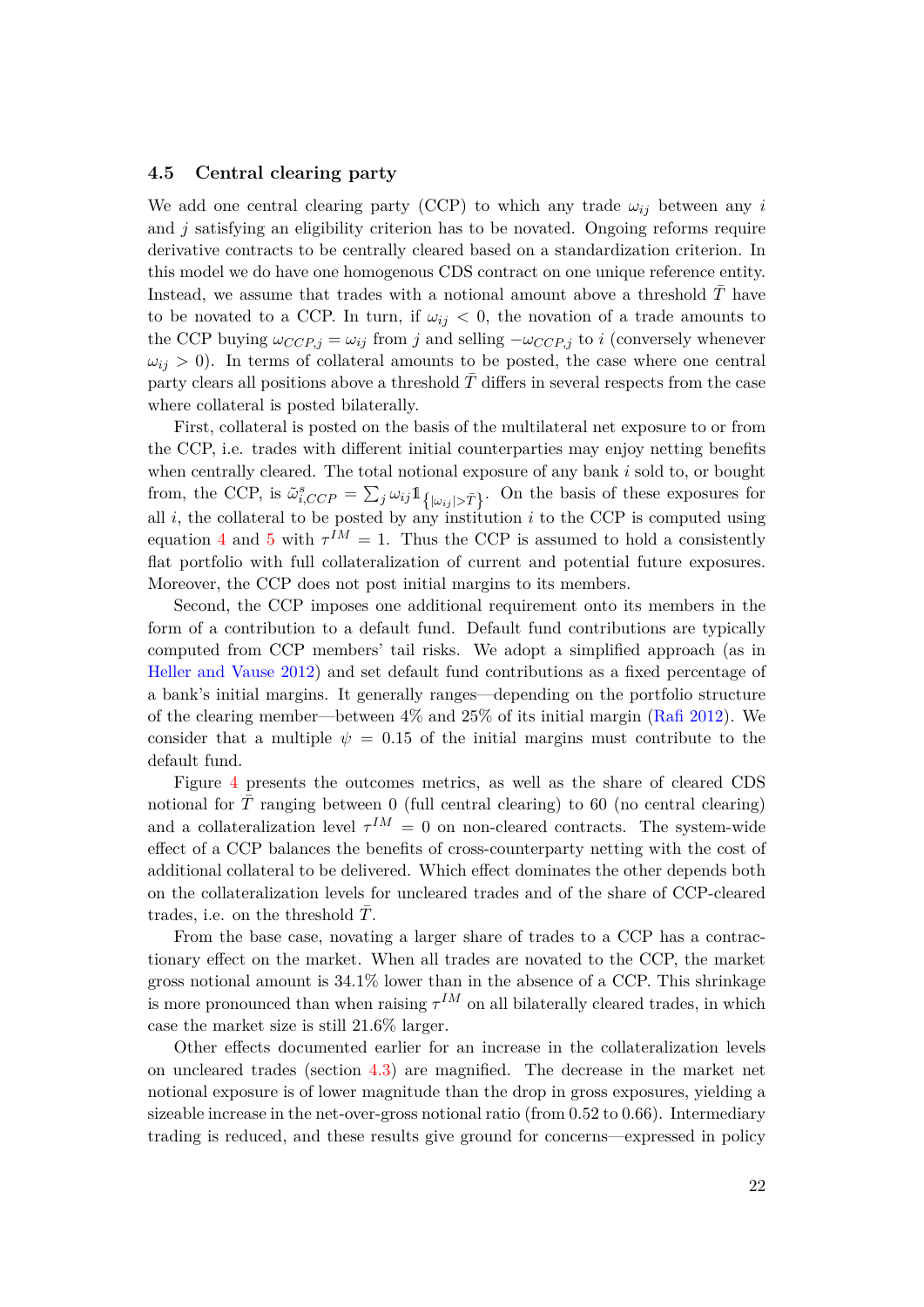#### **4.5 Central clearing party**

We add one central clearing party (CCP) to which any trade  $\omega_{ij}$  between any *i* and *j* satisfying an eligibility criterion has to be novated. Ongoing reforms require derivative contracts to be centrally cleared based on a standardization criterion. In this model we do have one homogenous CDS contract on one unique reference entity. Instead, we assume that trades with a notional amount above a threshold  $T$  have to be novated to a CCP. In turn, if  $\omega_{ij} < 0$ , the novation of a trade amounts to the CCP buying  $\omega_{CCP,j} = \omega_{ij}$  from *j* and selling  $-\omega_{CCP,j}$  to *i* (conversely whenever  $\omega_{ij} > 0$ ). In terms of collateral amounts to be posted, the case where one central party clears all positions above a threshold  $T$  differs in several respects from the case where collateral is posted bilaterally.

First, collateral is posted on the basis of the multilateral net exposure to or from the CCP, i.e. trades with different initial counterparties may enjoy netting benefits when centrally cleared. The total notional exposure of any bank *i* sold to, or bought from, the CCP, is  $\tilde{\omega}_{i,CCP}^s = \sum_j \omega_{ij} \mathbb{1}_{\{| \omega_{ij} | > \bar{T} \}}$ . On the basis of these exposures for all  $i$ , the collateral to be posted by any institution  $i$  to the CCP is computed using equation [4](#page-15-1) and [5](#page-16-1) with  $\tau^{IM} = 1$ . Thus the CCP is assumed to hold a consistently flat portfolio with full collateralization of current and potential future exposures. Moreover, the CCP does not post initial margins to its members.

Second, the CCP imposes one additional requirement onto its members in the form of a contribution to a default fund. Default fund contributions are typically computed from CCP members' tail risks. We adopt a simplified approach (as in [Heller and Vause](#page-30-2) [2012\)](#page-30-2) and set default fund contributions as a fixed percentage of a bank's initial margins. It generally ranges—depending on the portfolio structure of the clearing member—between  $4\%$  and  $25\%$  of its initial margin [\(Rafi](#page-31-7) [2012\)](#page-31-7). We consider that a multiple  $\psi = 0.15$  of the initial margins must contribute to the default fund.

Figure [4](#page-37-0) presents the outcomes metrics, as well as the share of cleared CDS notional for  $T$  ranging between  $0$  (full central clearing) to  $60$  (no central clearing) and a collateralization level  $\tau^{IM} = 0$  on non-cleared contracts. The system-wide effect of a CCP balances the benefits of cross-counterparty netting with the cost of additional collateral to be delivered. Which effect dominates the other depends both on the collateralization levels for uncleared trades and of the share of CCP-cleared trades, i.e. on the threshold T.

From the base case, novating a larger share of trades to a CCP has a contractionary effect on the market. When all trades are novated to the CCP, the market gross notional amount is 34.1% lower than in the absence of a CCP. This shrinkage is more pronounced than when raising  $\tau^{IM}$  on all bilaterally cleared trades, in which case the market size is still 21.6% larger.

Other effects documented earlier for an increase in the collateralization levels on uncleared trades (section [4.3\)](#page-20-0) are magnified. The decrease in the market net notional exposure is of lower magnitude than the drop in gross exposures, yielding a sizeable increase in the net-over-gross notional ratio (from 0.52 to 0.66). Intermediary trading is reduced, and these results give ground for concerns—expressed in policy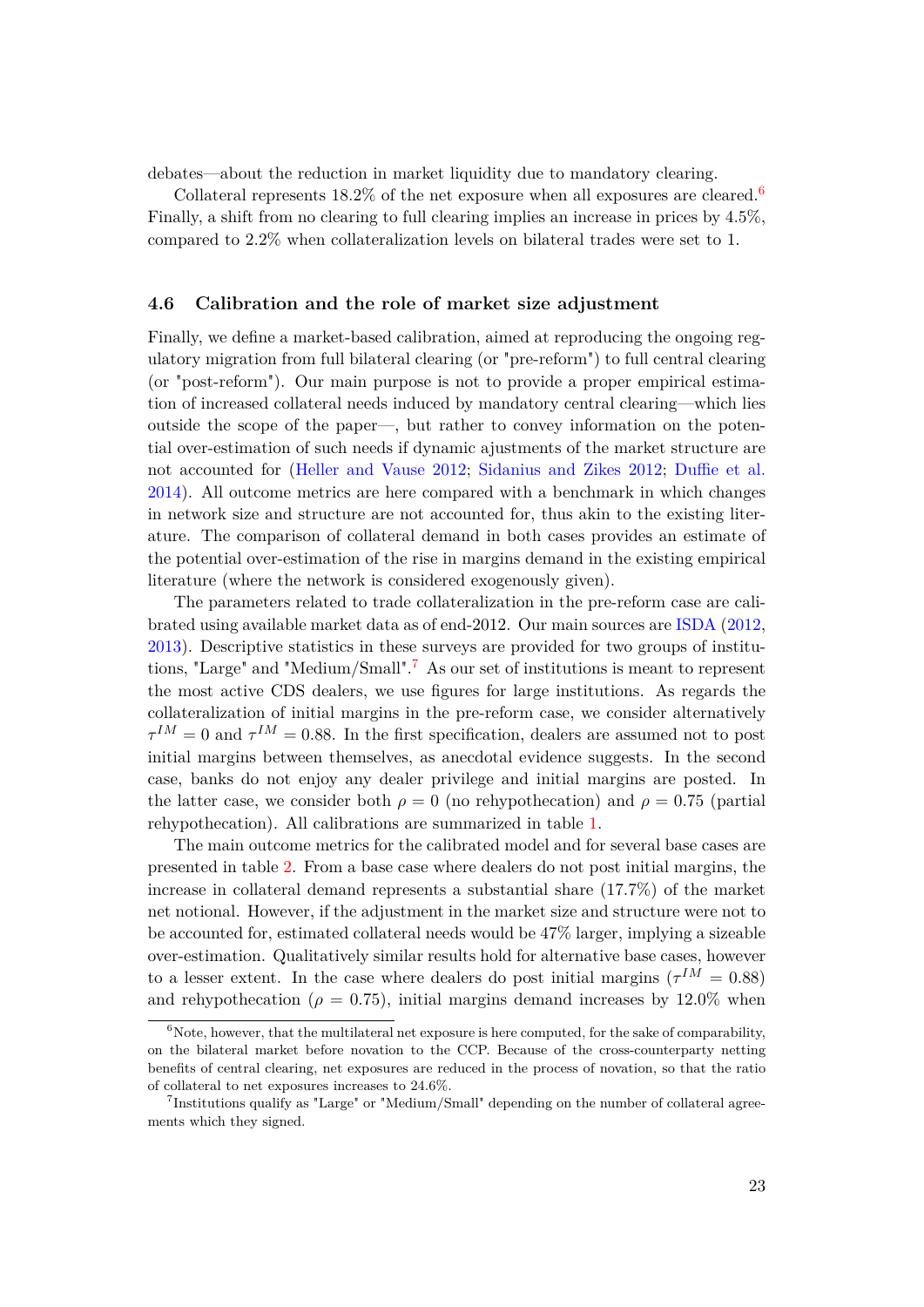debates—about the reduction in market liquidity due to mandatory clearing.

Collateral represents  $18.2\%$  of the net exposure when all exposures are cleared.<sup>[6](#page-24-0)</sup> Finally, a shift from no clearing to full clearing implies an increase in prices by 4.5%, compared to 2.2% when collateralization levels on bilateral trades were set to 1.

## <span id="page-24-2"></span>**4.6 Calibration and the role of market size adjustment**

Finally, we define a market-based calibration, aimed at reproducing the ongoing regulatory migration from full bilateral clearing (or "pre-reform") to full central clearing (or "post-reform"). Our main purpose is not to provide a proper empirical estimation of increased collateral needs induced by mandatory central clearing—which lies outside the scope of the paper—, but rather to convey information on the potential over-estimation of such needs if dynamic ajustments of the market structure are not accounted for [\(Heller and Vause](#page-30-2) [2012;](#page-30-2) [Sidanius and Zikes](#page-31-0) [2012;](#page-31-0) [Duffie et al.](#page-30-3) [2014\)](#page-30-3). All outcome metrics are here compared with a benchmark in which changes in network size and structure are not accounted for, thus akin to the existing literature. The comparison of collateral demand in both cases provides an estimate of the potential over-estimation of the rise in margins demand in the existing empirical literature (where the network is considered exogenously given).

The parameters related to trade collateralization in the pre-reform case are calibrated using available market data as of end-2012. Our main sources are [ISDA](#page-30-15) [\(2012,](#page-30-15) [2013\)](#page-30-16). Descriptive statistics in these surveys are provided for two groups of institutions, "Large" and "Medium/Small".[7](#page-24-1) As our set of institutions is meant to represent the most active CDS dealers, we use figures for large institutions. As regards the collateralization of initial margins in the pre-reform case, we consider alternatively  $\tau^{IM} = 0$  and  $\tau^{IM} = 0.88$ . In the first specification, dealers are assumed not to post initial margins between themselves, as anecdotal evidence suggests. In the second case, banks do not enjoy any dealer privilege and initial margins are posted. In the latter case, we consider both  $\rho = 0$  (no rehypothecation) and  $\rho = 0.75$  (partial rehypothecation). All calibrations are summarized in table [1.](#page-32-0)

The main outcome metrics for the calibrated model and for several base cases are presented in table [2.](#page-33-0) From a base case where dealers do not post initial margins, the increase in collateral demand represents a substantial share (17.7%) of the market net notional. However, if the adjustment in the market size and structure were not to be accounted for, estimated collateral needs would be 47% larger, implying a sizeable over-estimation. Qualitatively similar results hold for alternative base cases, however to a lesser extent. In the case where dealers do post initial margins ( $\tau^{IM} = 0.88$ ) and rehypothecation ( $\rho = 0.75$ ), initial margins demand increases by 12.0% when

<span id="page-24-0"></span> $6N$ ote, however, that the multilateral net exposure is here computed, for the sake of comparability, on the bilateral market before novation to the CCP. Because of the cross-counterparty netting benefits of central clearing, net exposures are reduced in the process of novation, so that the ratio of collateral to net exposures increases to 24.6%.

<span id="page-24-1"></span><sup>&</sup>lt;sup>7</sup>Institutions qualify as "Large" or "Medium/Small" depending on the number of collateral agreements which they signed.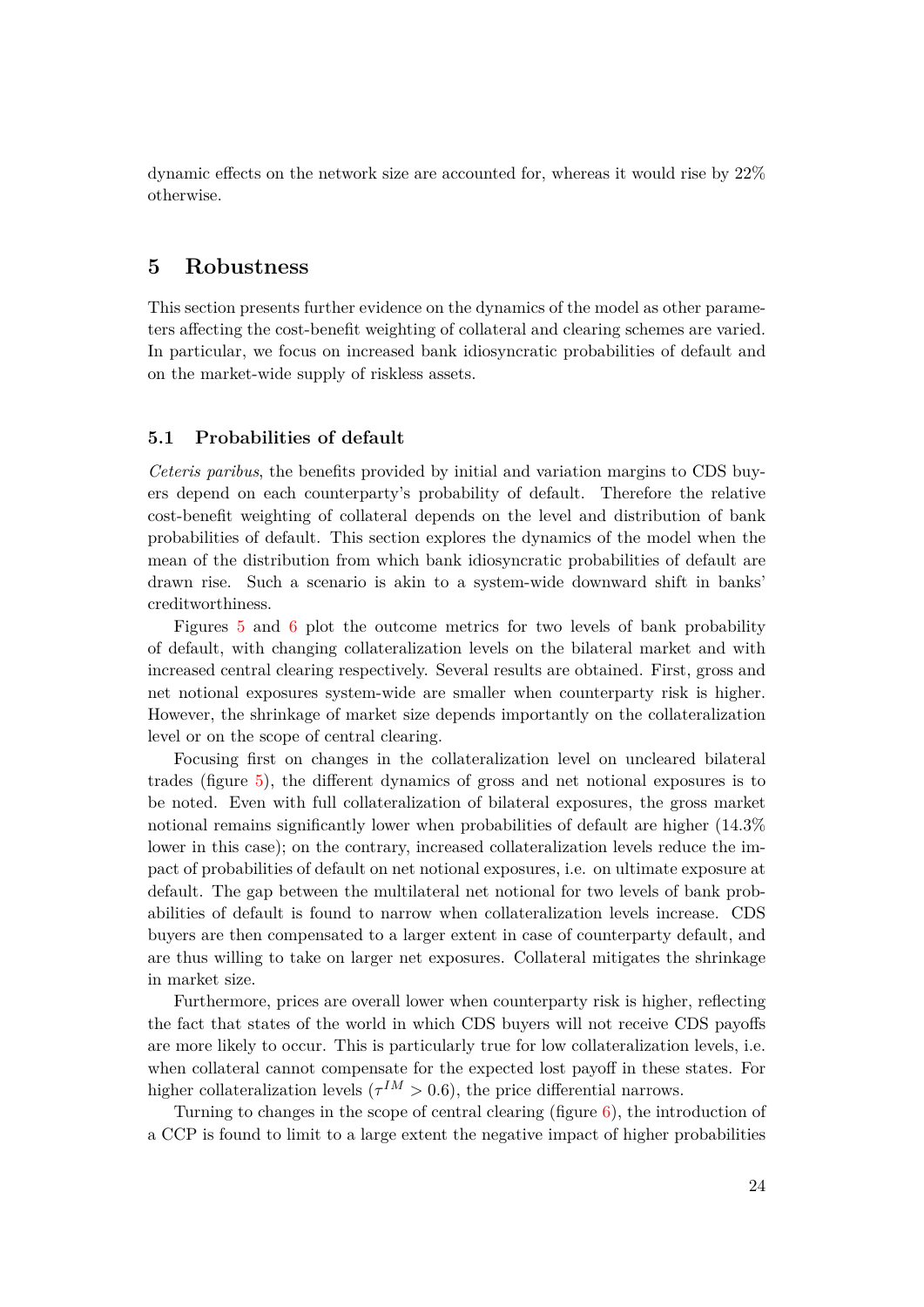dynamic effects on the network size are accounted for, whereas it would rise by 22% otherwise.

## **5 Robustness**

This section presents further evidence on the dynamics of the model as other parameters affecting the cost-benefit weighting of collateral and clearing schemes are varied. In particular, we focus on increased bank idiosyncratic probabilities of default and on the market-wide supply of riskless assets.

## <span id="page-25-0"></span>**5.1 Probabilities of default**

*Ceteris paribus*, the benefits provided by initial and variation margins to CDS buyers depend on each counterparty's probability of default. Therefore the relative cost-benefit weighting of collateral depends on the level and distribution of bank probabilities of default. This section explores the dynamics of the model when the mean of the distribution from which bank idiosyncratic probabilities of default are drawn rise. Such a scenario is akin to a system-wide downward shift in banks' creditworthiness.

Figures [5](#page-38-0) and [6](#page-39-0) plot the outcome metrics for two levels of bank probability of default, with changing collateralization levels on the bilateral market and with increased central clearing respectively. Several results are obtained. First, gross and net notional exposures system-wide are smaller when counterparty risk is higher. However, the shrinkage of market size depends importantly on the collateralization level or on the scope of central clearing.

Focusing first on changes in the collateralization level on uncleared bilateral trades (figure [5\)](#page-38-0), the different dynamics of gross and net notional exposures is to be noted. Even with full collateralization of bilateral exposures, the gross market notional remains significantly lower when probabilities of default are higher (14.3% lower in this case); on the contrary, increased collateralization levels reduce the impact of probabilities of default on net notional exposures, i.e. on ultimate exposure at default. The gap between the multilateral net notional for two levels of bank probabilities of default is found to narrow when collateralization levels increase. CDS buyers are then compensated to a larger extent in case of counterparty default, and are thus willing to take on larger net exposures. Collateral mitigates the shrinkage in market size.

Furthermore, prices are overall lower when counterparty risk is higher, reflecting the fact that states of the world in which CDS buyers will not receive CDS payoffs are more likely to occur. This is particularly true for low collateralization levels, i.e. when collateral cannot compensate for the expected lost payoff in these states. For higher collateralization levels ( $\tau^{IM} > 0.6$ ), the price differential narrows.

Turning to changes in the scope of central clearing (figure [6\)](#page-39-0), the introduction of a CCP is found to limit to a large extent the negative impact of higher probabilities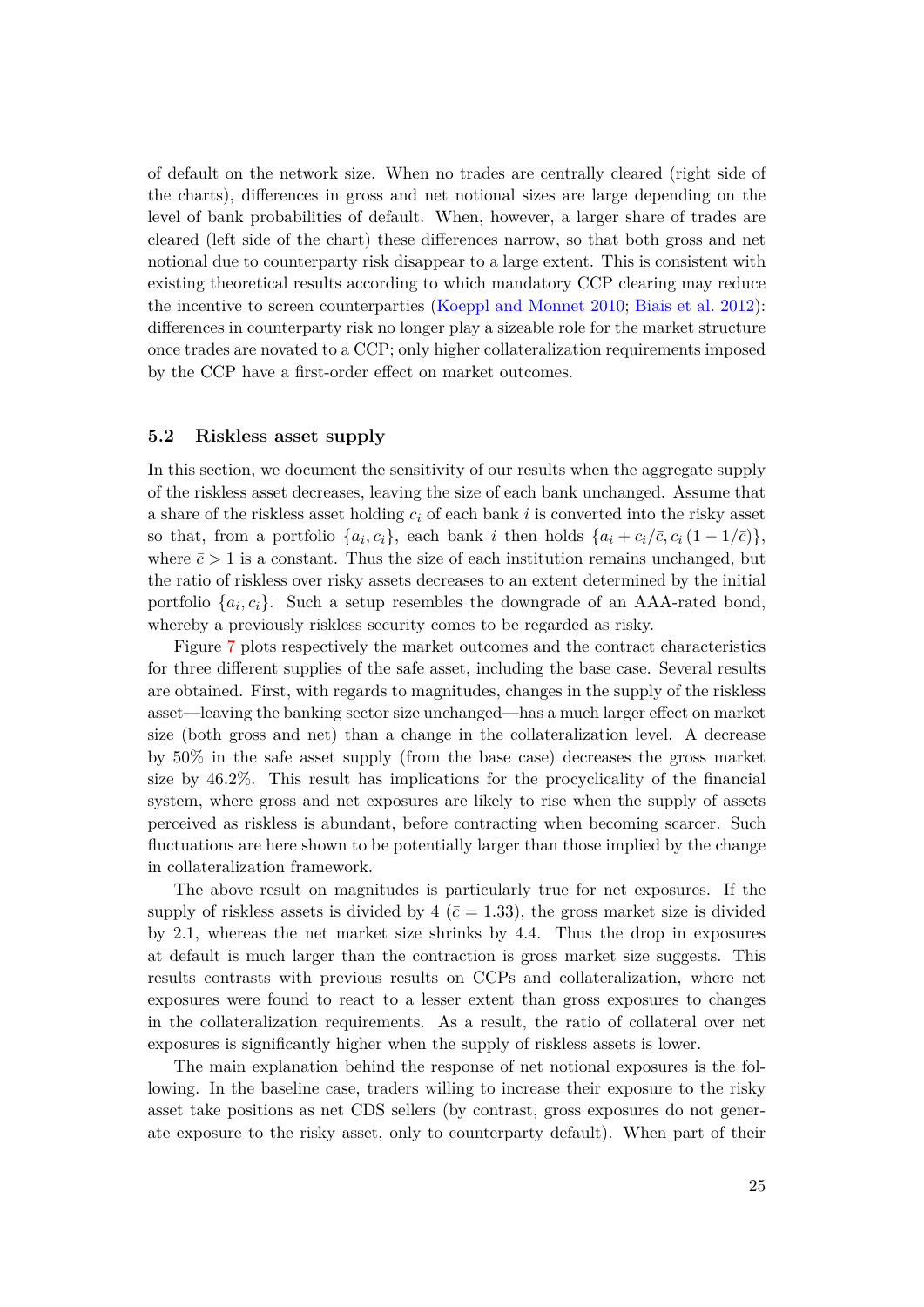of default on the network size. When no trades are centrally cleared (right side of the charts), differences in gross and net notional sizes are large depending on the level of bank probabilities of default. When, however, a larger share of trades are cleared (left side of the chart) these differences narrow, so that both gross and net notional due to counterparty risk disappear to a large extent. This is consistent with existing theoretical results according to which mandatory CCP clearing may reduce the incentive to screen counterparties [\(Koeppl and Monnet](#page-30-10) [2010;](#page-30-10) [Biais et al.](#page-29-3) [2012\)](#page-29-3): differences in counterparty risk no longer play a sizeable role for the market structure once trades are novated to a CCP; only higher collateralization requirements imposed by the CCP have a first-order effect on market outcomes.

## **5.2 Riskless asset supply**

In this section, we document the sensitivity of our results when the aggregate supply of the riskless asset decreases, leaving the size of each bank unchanged. Assume that a share of the riskless asset holding *c<sup>i</sup>* of each bank *i* is converted into the risky asset so that, from a portfolio  $\{a_i, c_i\}$ , each bank *i* then holds  $\{a_i + c_i/\bar{c}, c_i(1 - 1/\bar{c})\}$ , where  $\bar{c} > 1$  is a constant. Thus the size of each institution remains unchanged, but the ratio of riskless over risky assets decreases to an extent determined by the initial portfolio  $\{a_i, c_i\}$ . Such a setup resembles the downgrade of an AAA-rated bond, whereby a previously riskless security comes to be regarded as risky.

Figure [7](#page-40-0) plots respectively the market outcomes and the contract characteristics for three different supplies of the safe asset, including the base case. Several results are obtained. First, with regards to magnitudes, changes in the supply of the riskless asset—leaving the banking sector size unchanged—has a much larger effect on market size (both gross and net) than a change in the collateralization level. A decrease by 50% in the safe asset supply (from the base case) decreases the gross market size by 46.2%. This result has implications for the procyclicality of the financial system, where gross and net exposures are likely to rise when the supply of assets perceived as riskless is abundant, before contracting when becoming scarcer. Such fluctuations are here shown to be potentially larger than those implied by the change in collateralization framework.

The above result on magnitudes is particularly true for net exposures. If the supply of riskless assets is divided by 4 ( $\bar{c}$  = 1.33), the gross market size is divided by 2.1, whereas the net market size shrinks by 4.4. Thus the drop in exposures at default is much larger than the contraction is gross market size suggests. This results contrasts with previous results on CCPs and collateralization, where net exposures were found to react to a lesser extent than gross exposures to changes in the collateralization requirements. As a result, the ratio of collateral over net exposures is significantly higher when the supply of riskless assets is lower.

The main explanation behind the response of net notional exposures is the following. In the baseline case, traders willing to increase their exposure to the risky asset take positions as net CDS sellers (by contrast, gross exposures do not generate exposure to the risky asset, only to counterparty default). When part of their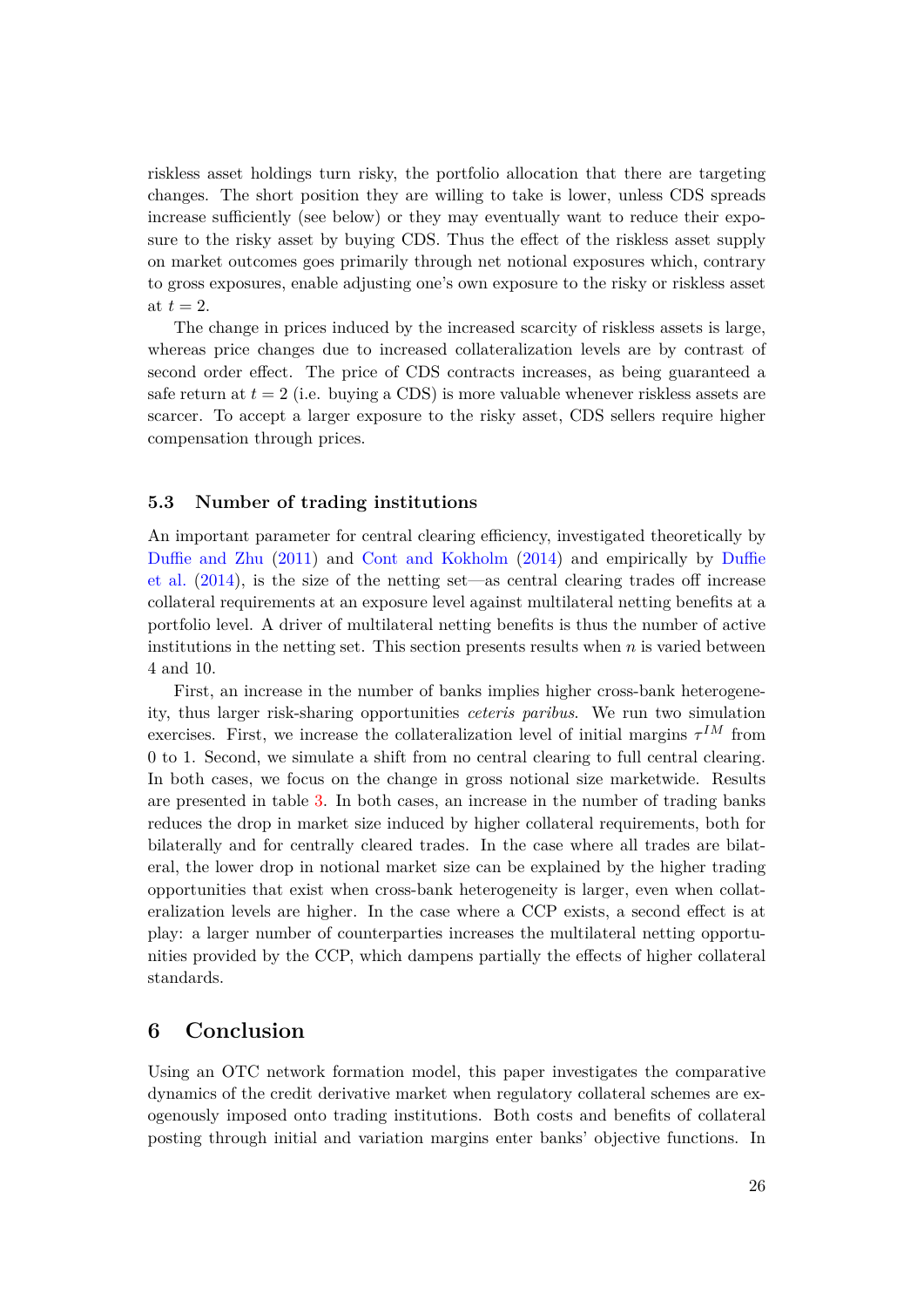riskless asset holdings turn risky, the portfolio allocation that there are targeting changes. The short position they are willing to take is lower, unless CDS spreads increase sufficiently (see below) or they may eventually want to reduce their exposure to the risky asset by buying CDS. Thus the effect of the riskless asset supply on market outcomes goes primarily through net notional exposures which, contrary to gross exposures, enable adjusting one's own exposure to the risky or riskless asset at  $t=2$ .

The change in prices induced by the increased scarcity of riskless assets is large, whereas price changes due to increased collateralization levels are by contrast of second order effect. The price of CDS contracts increases, as being guaranteed a safe return at  $t = 2$  (i.e. buying a CDS) is more valuable whenever riskless assets are scarcer. To accept a larger exposure to the risky asset, CDS sellers require higher compensation through prices.

## **5.3 Number of trading institutions**

An important parameter for central clearing efficiency, investigated theoretically by [Duffie and Zhu](#page-30-1) [\(2011\)](#page-30-1) and [Cont and Kokholm](#page-30-11) [\(2014\)](#page-30-11) and empirically by [Duffie](#page-30-3) [et al.](#page-30-3) [\(2014\)](#page-30-3), is the size of the netting set—as central clearing trades off increase collateral requirements at an exposure level against multilateral netting benefits at a portfolio level. A driver of multilateral netting benefits is thus the number of active institutions in the netting set. This section presents results when  $n$  is varied between 4 and 10.

First, an increase in the number of banks implies higher cross-bank heterogeneity, thus larger risk-sharing opportunities *ceteris paribus*. We run two simulation exercises. First, we increase the collateralization level of initial margins  $\tau^{IM}$  from 0 to 1. Second, we simulate a shift from no central clearing to full central clearing. In both cases, we focus on the change in gross notional size marketwide. Results are presented in table [3.](#page-33-1) In both cases, an increase in the number of trading banks reduces the drop in market size induced by higher collateral requirements, both for bilaterally and for centrally cleared trades. In the case where all trades are bilateral, the lower drop in notional market size can be explained by the higher trading opportunities that exist when cross-bank heterogeneity is larger, even when collateralization levels are higher. In the case where a CCP exists, a second effect is at play: a larger number of counterparties increases the multilateral netting opportunities provided by the CCP, which dampens partially the effects of higher collateral standards.

## **6 Conclusion**

Using an OTC network formation model, this paper investigates the comparative dynamics of the credit derivative market when regulatory collateral schemes are exogenously imposed onto trading institutions. Both costs and benefits of collateral posting through initial and variation margins enter banks' objective functions. In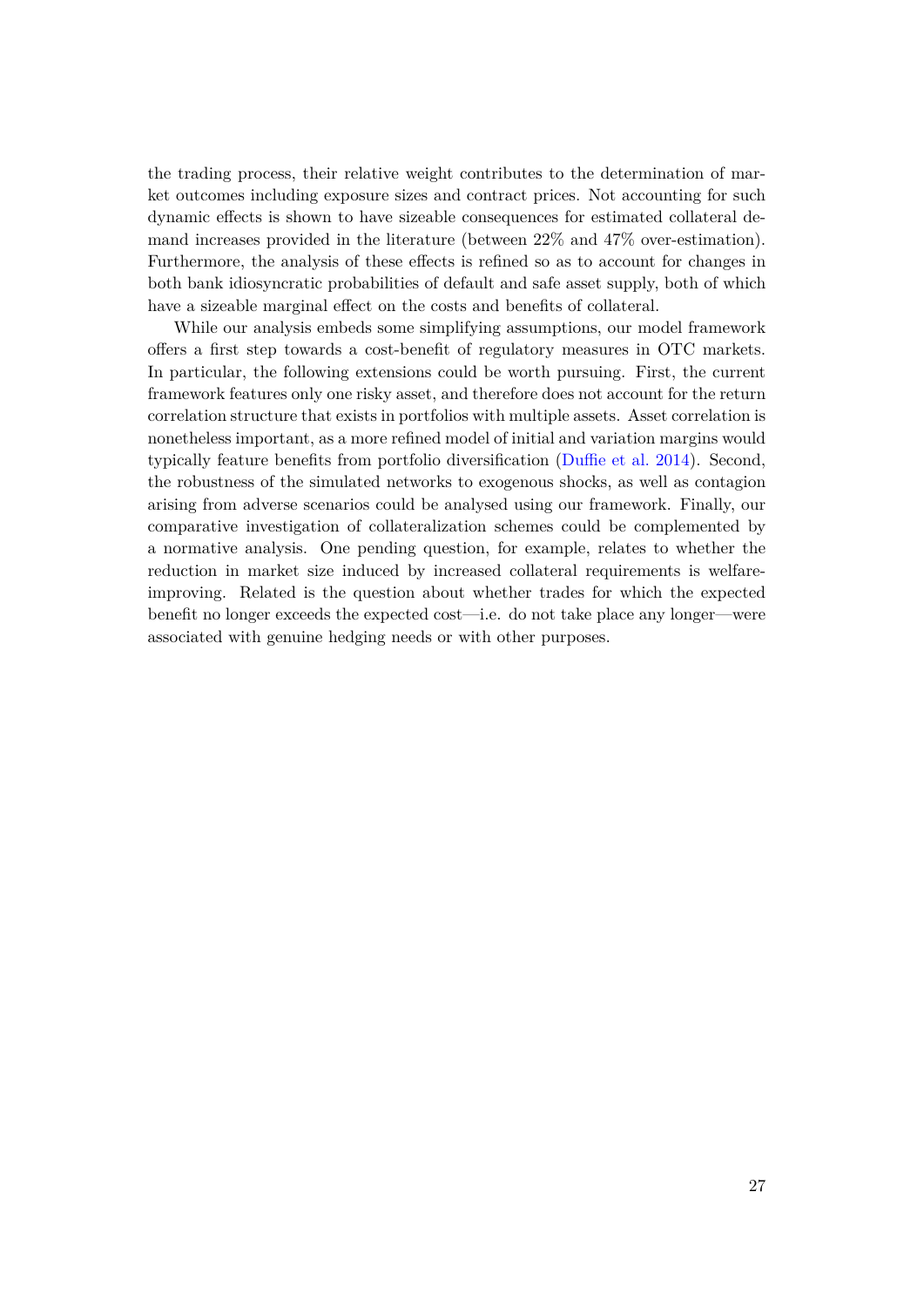the trading process, their relative weight contributes to the determination of market outcomes including exposure sizes and contract prices. Not accounting for such dynamic effects is shown to have sizeable consequences for estimated collateral demand increases provided in the literature (between 22% and 47% over-estimation). Furthermore, the analysis of these effects is refined so as to account for changes in both bank idiosyncratic probabilities of default and safe asset supply, both of which have a sizeable marginal effect on the costs and benefits of collateral.

While our analysis embeds some simplifying assumptions, our model framework offers a first step towards a cost-benefit of regulatory measures in OTC markets. In particular, the following extensions could be worth pursuing. First, the current framework features only one risky asset, and therefore does not account for the return correlation structure that exists in portfolios with multiple assets. Asset correlation is nonetheless important, as a more refined model of initial and variation margins would typically feature benefits from portfolio diversification [\(Duffie et al.](#page-30-3) [2014\)](#page-30-3). Second, the robustness of the simulated networks to exogenous shocks, as well as contagion arising from adverse scenarios could be analysed using our framework. Finally, our comparative investigation of collateralization schemes could be complemented by a normative analysis. One pending question, for example, relates to whether the reduction in market size induced by increased collateral requirements is welfareimproving. Related is the question about whether trades for which the expected benefit no longer exceeds the expected cost—i.e. do not take place any longer—were associated with genuine hedging needs or with other purposes.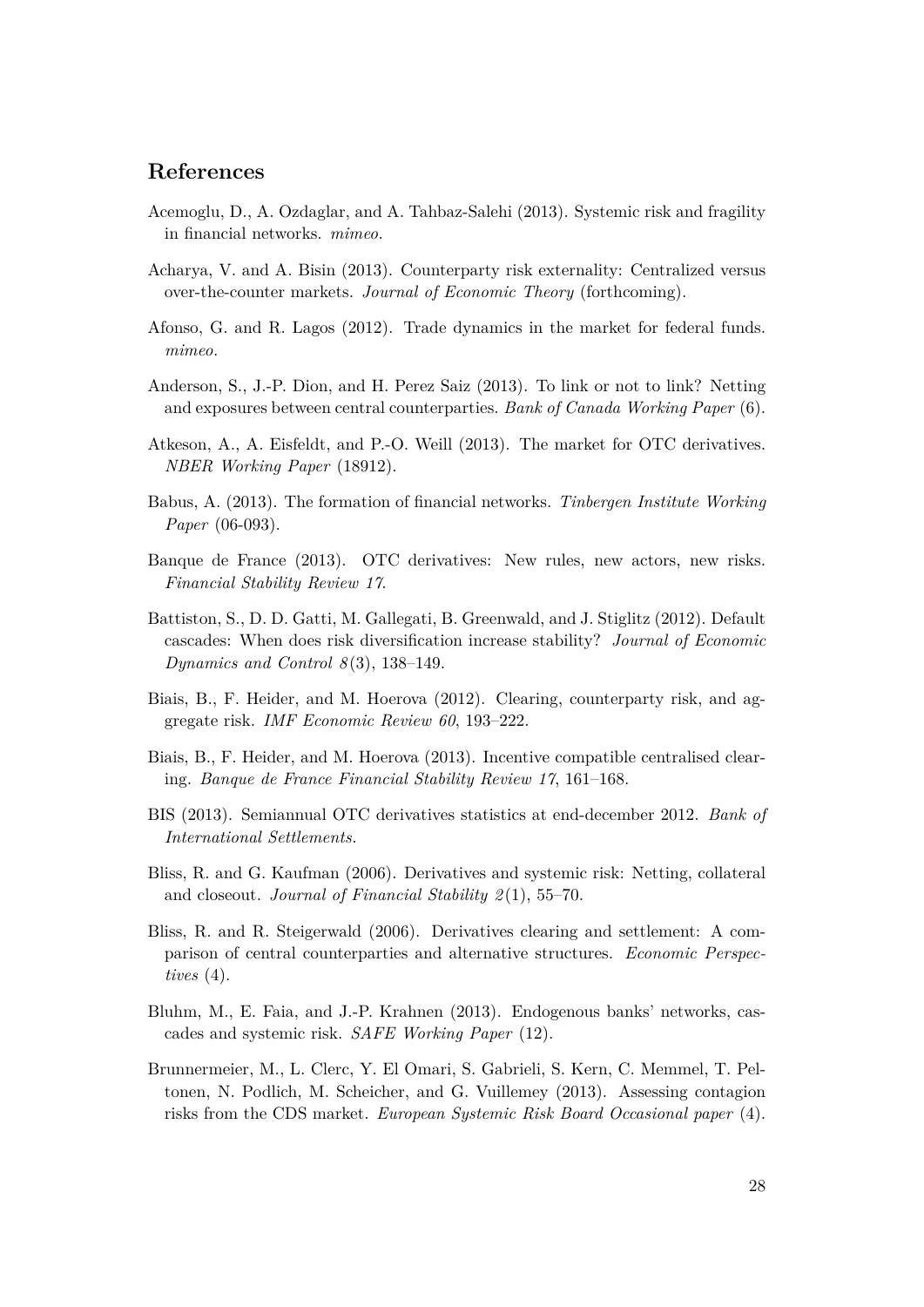## **References**

- <span id="page-29-4"></span>Acemoglu, D., A. Ozdaglar, and A. Tahbaz-Salehi (2013). Systemic risk and fragility in financial networks. *mimeo*.
- <span id="page-29-9"></span>Acharya, V. and A. Bisin (2013). Counterparty risk externality: Centralized versus over-the-counter markets. *Journal of Economic Theory* (forthcoming).
- <span id="page-29-13"></span>Afonso, G. and R. Lagos (2012). Trade dynamics in the market for federal funds. *mimeo*.
- <span id="page-29-10"></span>Anderson, S., J.-P. Dion, and H. Perez Saiz (2013). To link or not to link? Netting and exposures between central counterparties. *Bank of Canada Working Paper* (6).
- <span id="page-29-12"></span>Atkeson, A., A. Eisfeldt, and P.-O. Weill (2013). The market for OTC derivatives. *NBER Working Paper* (18912).
- <span id="page-29-7"></span>Babus, A. (2013). The formation of financial networks. *Tinbergen Institute Working Paper* (06-093).
- <span id="page-29-1"></span>Banque de France (2013). OTC derivatives: New rules, new actors, new risks. *Financial Stability Review 17*.
- <span id="page-29-5"></span>Battiston, S., D. D. Gatti, M. Gallegati, B. Greenwald, and J. Stiglitz (2012). Default cascades: When does risk diversification increase stability? *Journal of Economic Dynamics and Control 8* (3), 138–149.
- <span id="page-29-3"></span>Biais, B., F. Heider, and M. Hoerova (2012). Clearing, counterparty risk, and aggregate risk. *IMF Economic Review 60*, 193–222.
- <span id="page-29-8"></span>Biais, B., F. Heider, and M. Hoerova (2013). Incentive compatible centralised clearing. *Banque de France Financial Stability Review 17*, 161–168.
- <span id="page-29-0"></span>BIS (2013). Semiannual OTC derivatives statistics at end-december 2012. *Bank of International Settlements*.
- <span id="page-29-2"></span>Bliss, R. and G. Kaufman (2006). Derivatives and systemic risk: Netting, collateral and closeout. *Journal of Financial Stability 2* (1), 55–70.
- <span id="page-29-11"></span>Bliss, R. and R. Steigerwald (2006). Derivatives clearing and settlement: A comparison of central counterparties and alternative structures. *Economic Perspectives* (4).
- <span id="page-29-6"></span>Bluhm, M., E. Faia, and J.-P. Krahnen (2013). Endogenous banks' networks, cascades and systemic risk. *SAFE Working Paper* (12).
- <span id="page-29-14"></span>Brunnermeier, M., L. Clerc, Y. El Omari, S. Gabrieli, S. Kern, C. Memmel, T. Peltonen, N. Podlich, M. Scheicher, and G. Vuillemey (2013). Assessing contagion risks from the CDS market. *European Systemic Risk Board Occasional paper* (4).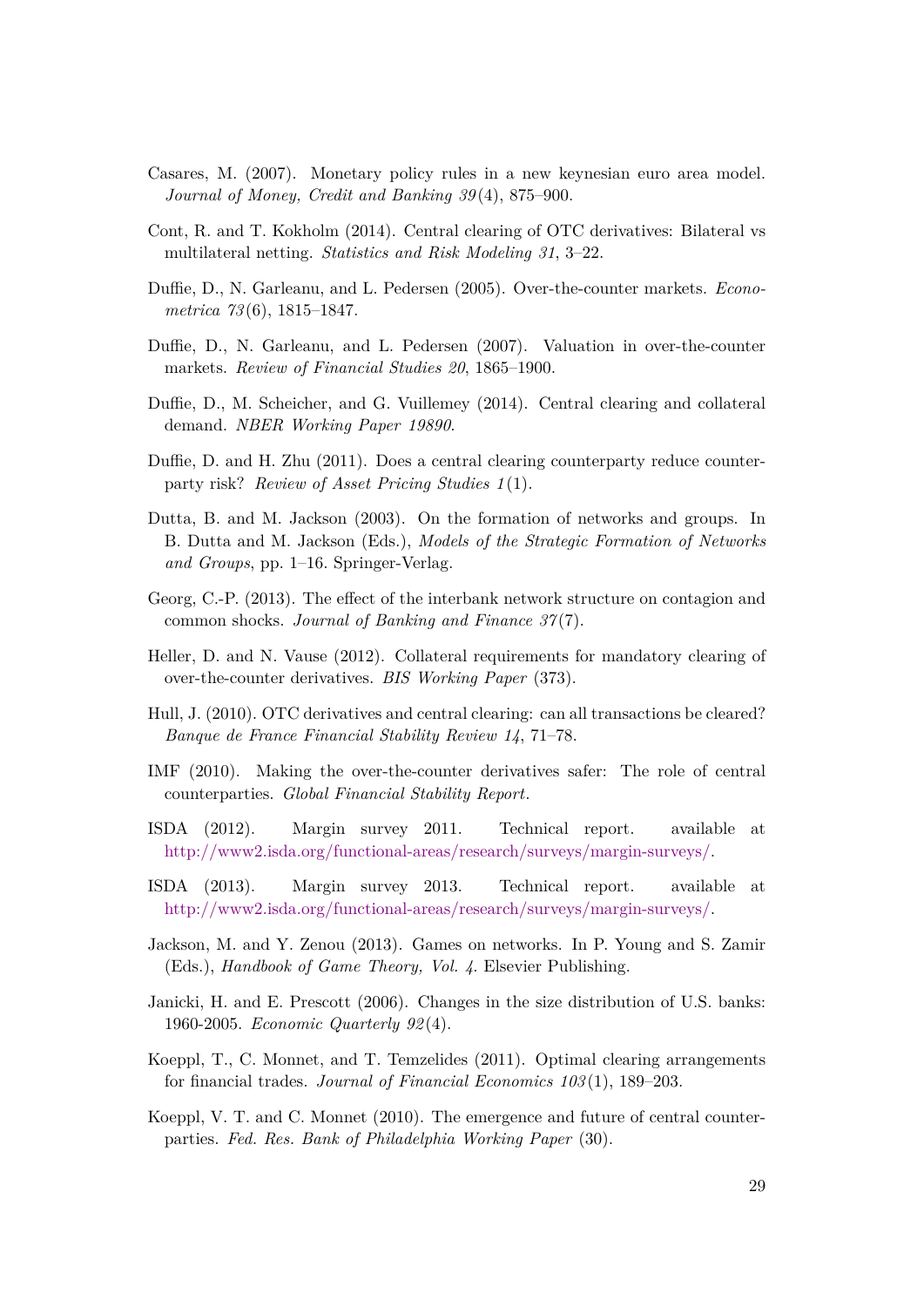- <span id="page-30-13"></span>Casares, M. (2007). Monetary policy rules in a new keynesian euro area model. *Journal of Money, Credit and Banking 39* (4), 875–900.
- <span id="page-30-11"></span>Cont, R. and T. Kokholm (2014). Central clearing of OTC derivatives: Bilateral vs multilateral netting. *Statistics and Risk Modeling 31*, 3–22.
- <span id="page-30-8"></span>Duffie, D., N. Garleanu, and L. Pedersen (2005). Over-the-counter markets. *Econometrica 73* (6), 1815–1847.
- <span id="page-30-9"></span>Duffie, D., N. Garleanu, and L. Pedersen (2007). Valuation in over-the-counter markets. *Review of Financial Studies 20*, 1865–1900.
- <span id="page-30-3"></span>Duffie, D., M. Scheicher, and G. Vuillemey (2014). Central clearing and collateral demand. *NBER Working Paper 19890*.
- <span id="page-30-1"></span>Duffie, D. and H. Zhu (2011). Does a central clearing counterparty reduce counterparty risk? *Review of Asset Pricing Studies 1* (1).
- <span id="page-30-5"></span>Dutta, B. and M. Jackson (2003). On the formation of networks and groups. In B. Dutta and M. Jackson (Eds.), *Models of the Strategic Formation of Networks and Groups*, pp. 1–16. Springer-Verlag.
- <span id="page-30-7"></span>Georg, C.-P. (2013). The effect of the interbank network structure on contagion and common shocks. *Journal of Banking and Finance 37* (7).
- <span id="page-30-2"></span>Heller, D. and N. Vause (2012). Collateral requirements for mandatory clearing of over-the-counter derivatives. *BIS Working Paper* (373).
- <span id="page-30-12"></span>Hull, J. (2010). OTC derivatives and central clearing: can all transactions be cleared? *Banque de France Financial Stability Review 14*, 71–78.
- <span id="page-30-0"></span>IMF (2010). Making the over-the-counter derivatives safer: The role of central counterparties. *Global Financial Stability Report*.
- <span id="page-30-15"></span>ISDA (2012). Margin survey 2011. Technical report. available at [http://www2.isda.org/functional-areas/research/surveys/margin-surveys/.](http://www2.isda.org/attachment/MzAzMQ==/ISDA%20Margin%20Survey%202011%20Final.pdf)
- <span id="page-30-16"></span>ISDA (2013). Margin survey 2013. Technical report. available at [http://www2.isda.org/functional-areas/research/surveys/margin-surveys/.](http://www2.isda.org/attachment/NTcxMQ==/ISDA%20Margin%20Survey%202013%20FINAL.pdf)
- <span id="page-30-6"></span>Jackson, M. and Y. Zenou (2013). Games on networks. In P. Young and S. Zamir (Eds.), *Handbook of Game Theory, Vol. 4*. Elsevier Publishing.
- <span id="page-30-14"></span>Janicki, H. and E. Prescott (2006). Changes in the size distribution of U.S. banks: 1960-2005. *Economic Quarterly 92* (4).
- <span id="page-30-4"></span>Koeppl, T., C. Monnet, and T. Temzelides (2011). Optimal clearing arrangements for financial trades. *Journal of Financial Economics 103* (1), 189–203.
- <span id="page-30-10"></span>Koeppl, V. T. and C. Monnet (2010). The emergence and future of central counterparties. *Fed. Res. Bank of Philadelphia Working Paper* (30).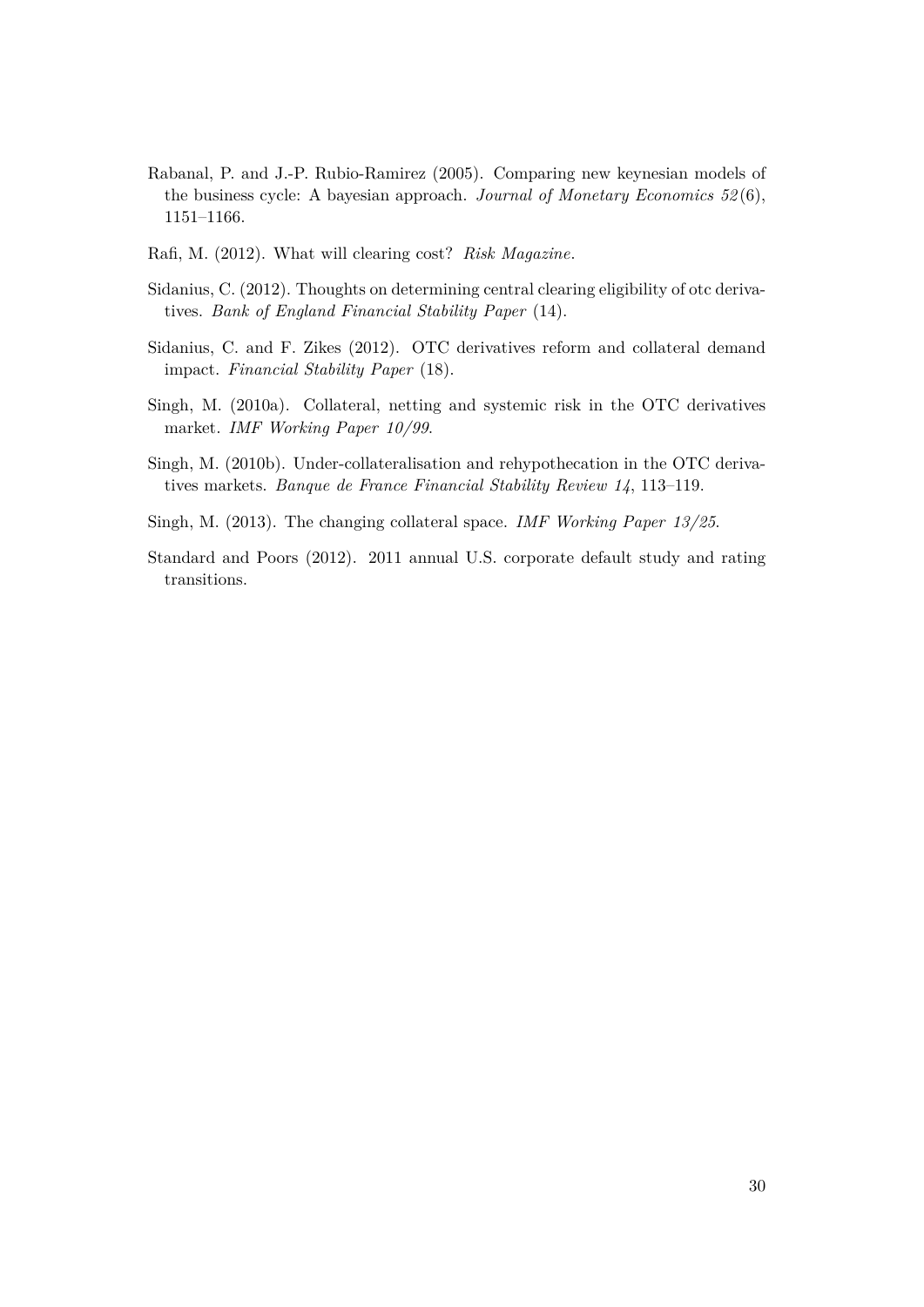- <span id="page-31-4"></span>Rabanal, P. and J.-P. Rubio-Ramirez (2005). Comparing new keynesian models of the business cycle: A bayesian approach. *Journal of Monetary Economics 52* (6), 1151–1166.
- <span id="page-31-7"></span>Rafi, M. (2012). What will clearing cost? *Risk Magazine*.
- <span id="page-31-1"></span>Sidanius, C. (2012). Thoughts on determining central clearing eligibility of otc derivatives. *Bank of England Financial Stability Paper* (14).
- <span id="page-31-0"></span>Sidanius, C. and F. Zikes (2012). OTC derivatives reform and collateral demand impact. *Financial Stability Paper* (18).
- <span id="page-31-2"></span>Singh, M. (2010a). Collateral, netting and systemic risk in the OTC derivatives market. *IMF Working Paper 10/99*.
- <span id="page-31-6"></span>Singh, M. (2010b). Under-collateralisation and rehypothecation in the OTC derivatives markets. *Banque de France Financial Stability Review 14*, 113–119.
- <span id="page-31-3"></span>Singh, M. (2013). The changing collateral space. *IMF Working Paper 13/25*.
- <span id="page-31-5"></span>Standard and Poors (2012). 2011 annual U.S. corporate default study and rating transitions.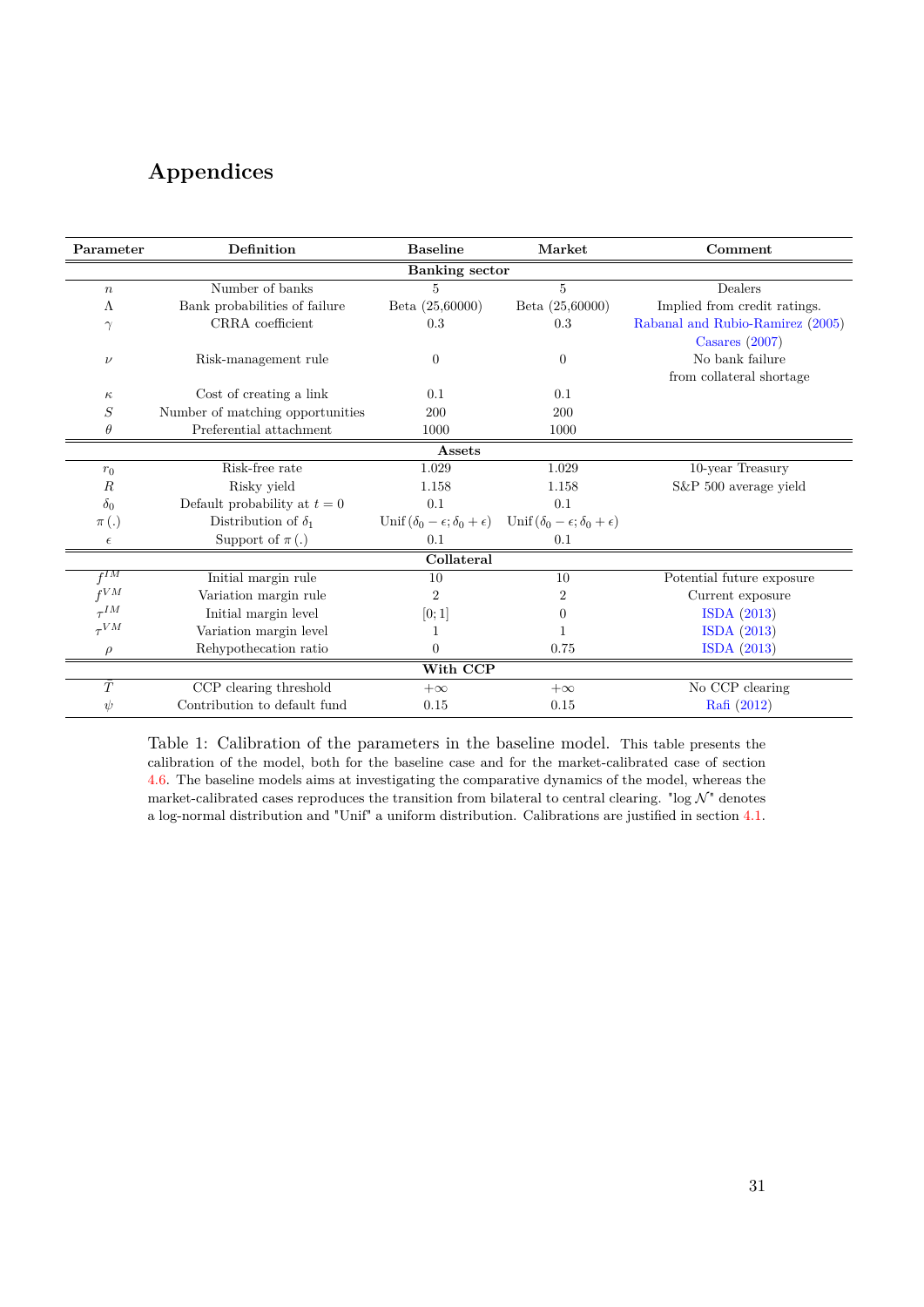# <span id="page-32-0"></span>**Appendices**

| Parameter             | Definition                       | <b>Baseline</b>                                   | Market                                            | Comment                                              |  |  |  |  |  |
|-----------------------|----------------------------------|---------------------------------------------------|---------------------------------------------------|------------------------------------------------------|--|--|--|--|--|
| <b>Banking</b> sector |                                  |                                                   |                                                   |                                                      |  |  |  |  |  |
| $\boldsymbol{n}$      | Number of banks                  | 5                                                 | 5                                                 | Dealers                                              |  |  |  |  |  |
| Λ                     | Bank probabilities of failure    | Beta (25,60000)                                   | Beta (25,60000)                                   | Implied from credit ratings.                         |  |  |  |  |  |
| $\gamma$              | CRRA coefficient                 | 0.3                                               | 0.3                                               | Rabanal and Rubio-Ramirez (2005)<br>Casares $(2007)$ |  |  |  |  |  |
| $\nu$                 | Risk-management rule             | $\theta$                                          | $\theta$                                          | No bank failure<br>from collateral shortage          |  |  |  |  |  |
| $\kappa$              | Cost of creating a link          | 0.1                                               | 0.1                                               |                                                      |  |  |  |  |  |
| $\, S \,$             | Number of matching opportunities | 200                                               | 200                                               |                                                      |  |  |  |  |  |
| $\theta$              | Preferential attachment          | 1000                                              | 1000                                              |                                                      |  |  |  |  |  |
| Assets                |                                  |                                                   |                                                   |                                                      |  |  |  |  |  |
| $r_0$                 | Risk-free rate                   | 1.029                                             | 1.029                                             | 10-year Treasury                                     |  |  |  |  |  |
| R                     | Risky yield                      | 1.158                                             | 1.158                                             | S&P 500 average yield                                |  |  |  |  |  |
| $\delta_0$            | Default probability at $t=0$     | 0.1                                               | 0.1                                               |                                                      |  |  |  |  |  |
| $\pi(.)$              | Distribution of $\delta_1$       | Unif $(\delta_0 - \epsilon; \delta_0 + \epsilon)$ | Unif $(\delta_0 - \epsilon; \delta_0 + \epsilon)$ |                                                      |  |  |  |  |  |
| $\epsilon$            | Support of $\pi(.)$              | 0.1                                               | 0.1                                               |                                                      |  |  |  |  |  |
| Collateral            |                                  |                                                   |                                                   |                                                      |  |  |  |  |  |
| $f^{IM}$              | Initial margin rule              | 10                                                | 10                                                | Potential future exposure                            |  |  |  |  |  |
| $f^{VM}$              | Variation margin rule            | $\overline{2}$                                    | 2                                                 | Current exposure                                     |  |  |  |  |  |
| $\tau^{IM}$           | Initial margin level             | [0;1]                                             | $\Omega$                                          | ISDA (2013)                                          |  |  |  |  |  |
| $\tau V M$            | Variation margin level           | 1                                                 |                                                   | ISDA (2013)                                          |  |  |  |  |  |
|                       | Rehypothecation ratio            | $\Omega$                                          | 0.75                                              | ISDA (2013)                                          |  |  |  |  |  |
| With CCP              |                                  |                                                   |                                                   |                                                      |  |  |  |  |  |
| $\bar{T}$             | CCP clearing threshold           | $+\infty$                                         | $+\infty$                                         | No CCP clearing                                      |  |  |  |  |  |
| $\psi$                | Contribution to default fund     | 0.15                                              | 0.15                                              | Rafi (2012)                                          |  |  |  |  |  |

Table 1: Calibration of the parameters in the baseline model. This table presents the calibration of the model, both for the baseline case and for the market-calibrated case of section [4.6.](#page-24-2) The baseline models aims at investigating the comparative dynamics of the model, whereas the market-calibrated cases reproduces the transition from bilateral to central clearing. "log  $\mathcal{N}$ " denotes a log-normal distribution and "Unif" a uniform distribution. Calibrations are justified in section [4.1.](#page-19-2)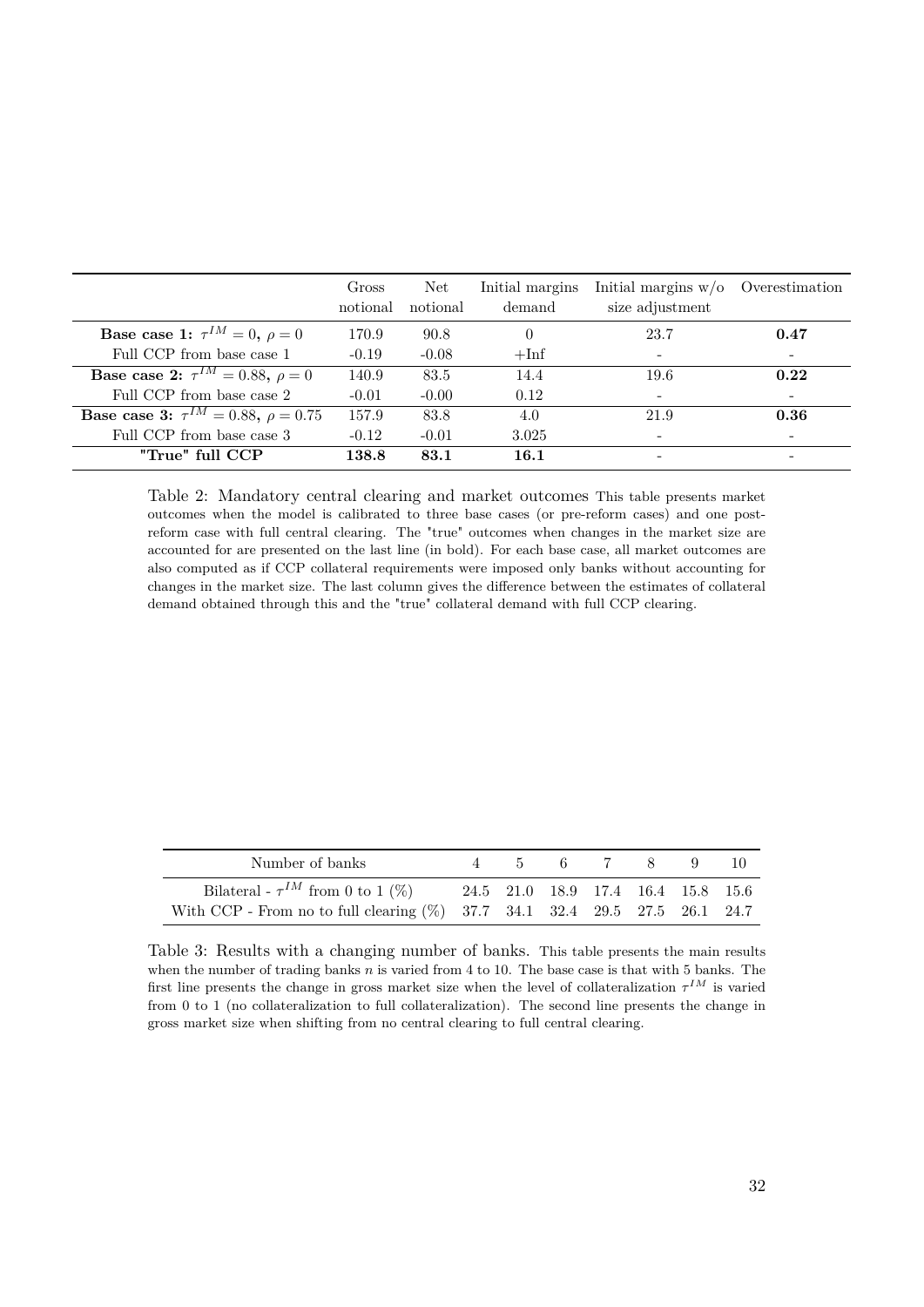<span id="page-33-0"></span>

|                                                        | Gross<br>notional | Net<br>notional | Initial margins<br>demand | Initial margins $w/o$ Overestimation<br>size adjustment |                          |
|--------------------------------------------------------|-------------------|-----------------|---------------------------|---------------------------------------------------------|--------------------------|
| <b>Base case 1:</b> $\tau^{IM} = 0, \ \rho = 0$        | 170.9             | 90.8            | $\theta$                  | 23.7                                                    | 0.47                     |
| Full CCP from base case 1                              | $-0.19$           | $-0.08$         | $+Inf$                    | $\overline{\phantom{a}}$                                |                          |
| <b>Base case 2:</b> $\tau^{IM} = 0.88, \ \rho = 0$     | 140.9             | 83.5            | 14.4                      | 19.6                                                    | 0.22                     |
| Full CCP from base case 2                              | $-0.01$           | $-0.00$         | 0.12                      | $\overline{\phantom{a}}$                                | $\overline{\phantom{a}}$ |
| <b>Base case 3:</b> $\tau^{IM} = 0.88$ , $\rho = 0.75$ | 157.9             | 83.8            | 4.0                       | 21.9                                                    | 0.36                     |
| Full CCP from base case 3                              | $-0.12$           | $-0.01$         | 3.025                     | $\overline{\phantom{a}}$                                |                          |
| "True" full CCP                                        | 138.8             | 83.1            | 16.1                      |                                                         |                          |

Table 2: Mandatory central clearing and market outcomes This table presents market outcomes when the model is calibrated to three base cases (or pre-reform cases) and one postreform case with full central clearing. The "true" outcomes when changes in the market size are accounted for are presented on the last line (in bold). For each base case, all market outcomes are also computed as if CCP collateral requirements were imposed only banks without accounting for changes in the market size. The last column gives the difference between the estimates of collateral demand obtained through this and the "true" collateral demand with full CCP clearing.

<span id="page-33-1"></span>

| Number of banks                                                                                                       |                                    | 5 6 7 8 | $\overline{9}$ |  |
|-----------------------------------------------------------------------------------------------------------------------|------------------------------------|---------|----------------|--|
| Bilateral - $\tau^{IM}$ from 0 to 1 (%)<br>With CCP - From no to full clearing (%) 37.7 34.1 32.4 29.5 27.5 26.1 24.7 | 24.5 21.0 18.9 17.4 16.4 15.8 15.6 |         |                |  |

Table 3: Results with a changing number of banks. This table presents the main results when the number of trading banks *n* is varied from 4 to 10. The base case is that with 5 banks. The first line presents the change in gross market size when the level of collateralization  $\tau^{IM}$  is varied from 0 to 1 (no collateralization to full collateralization). The second line presents the change in gross market size when shifting from no central clearing to full central clearing.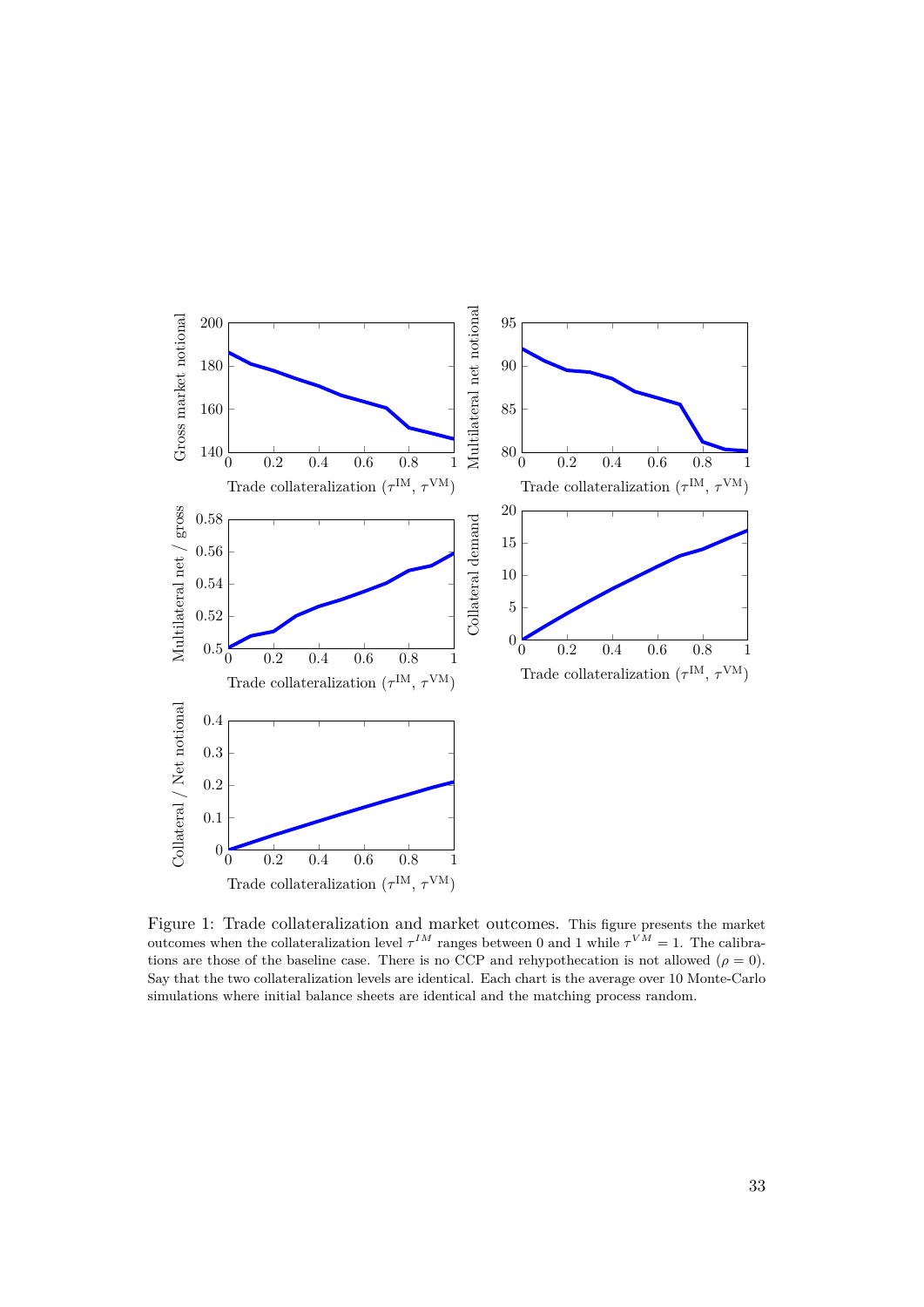<span id="page-34-0"></span>

Figure 1: Trade collateralization and market outcomes. This figure presents the market outcomes when the collateralization level  $\tau^{IM}$  ranges between 0 and 1 while  $\tau^{VM} = 1$ . The calibrations are those of the baseline case. There is no CCP and rehypothecation is not allowed ( $\rho = 0$ ). Say that the two collateralization levels are identical. Each chart is the average over 10 Monte-Carlo simulations where initial balance sheets are identical and the matching process random.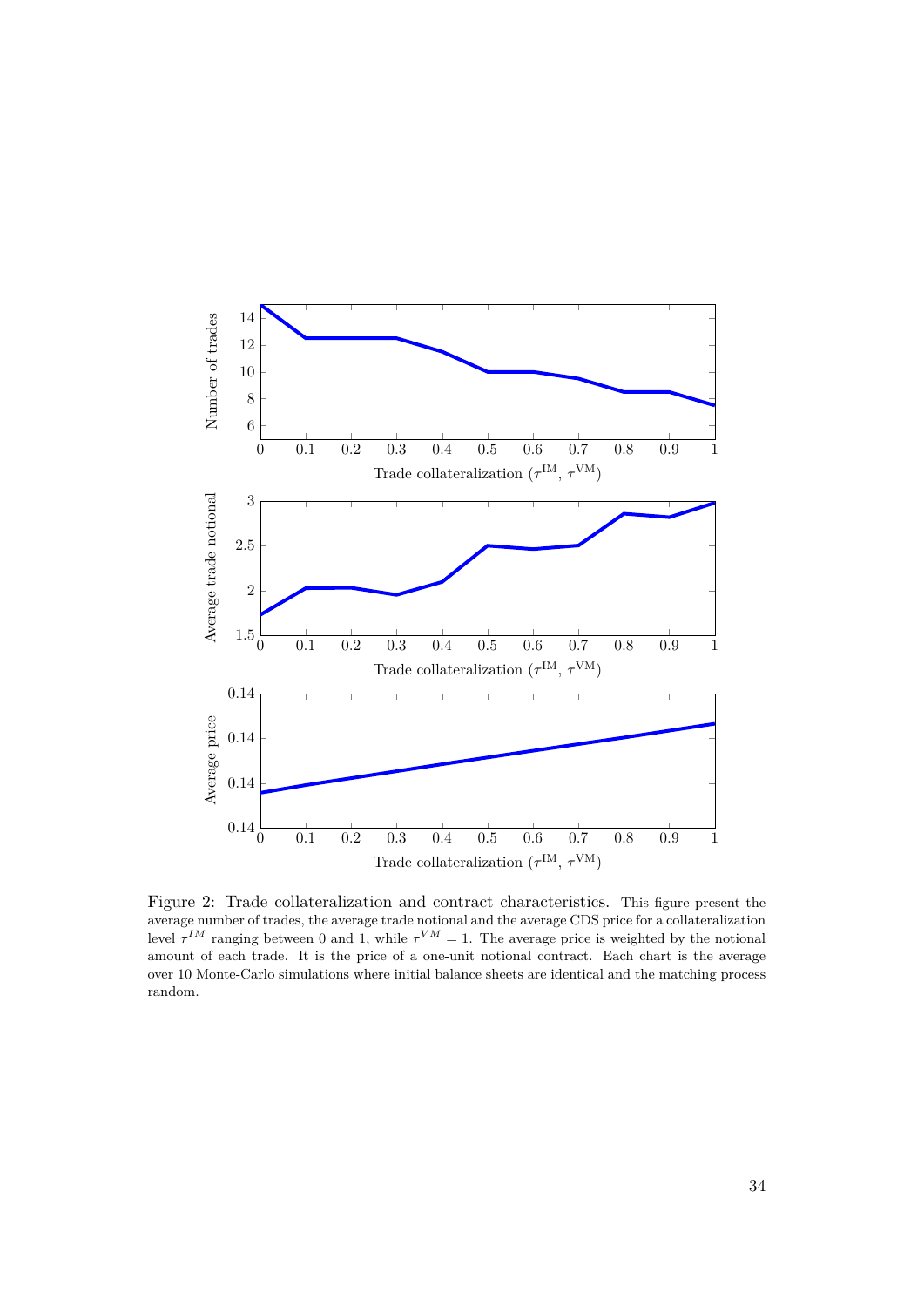<span id="page-35-0"></span>

Figure 2: Trade collateralization and contract characteristics. This figure present the average number of trades, the average trade notional and the average CDS price for a collateralization level  $\tau^{IM}$  ranging between 0 and 1, while  $\tau^{VM} = 1$ . The average price is weighted by the notional amount of each trade. It is the price of a one-unit notional contract. Each chart is the average over 10 Monte-Carlo simulations where initial balance sheets are identical and the matching process random.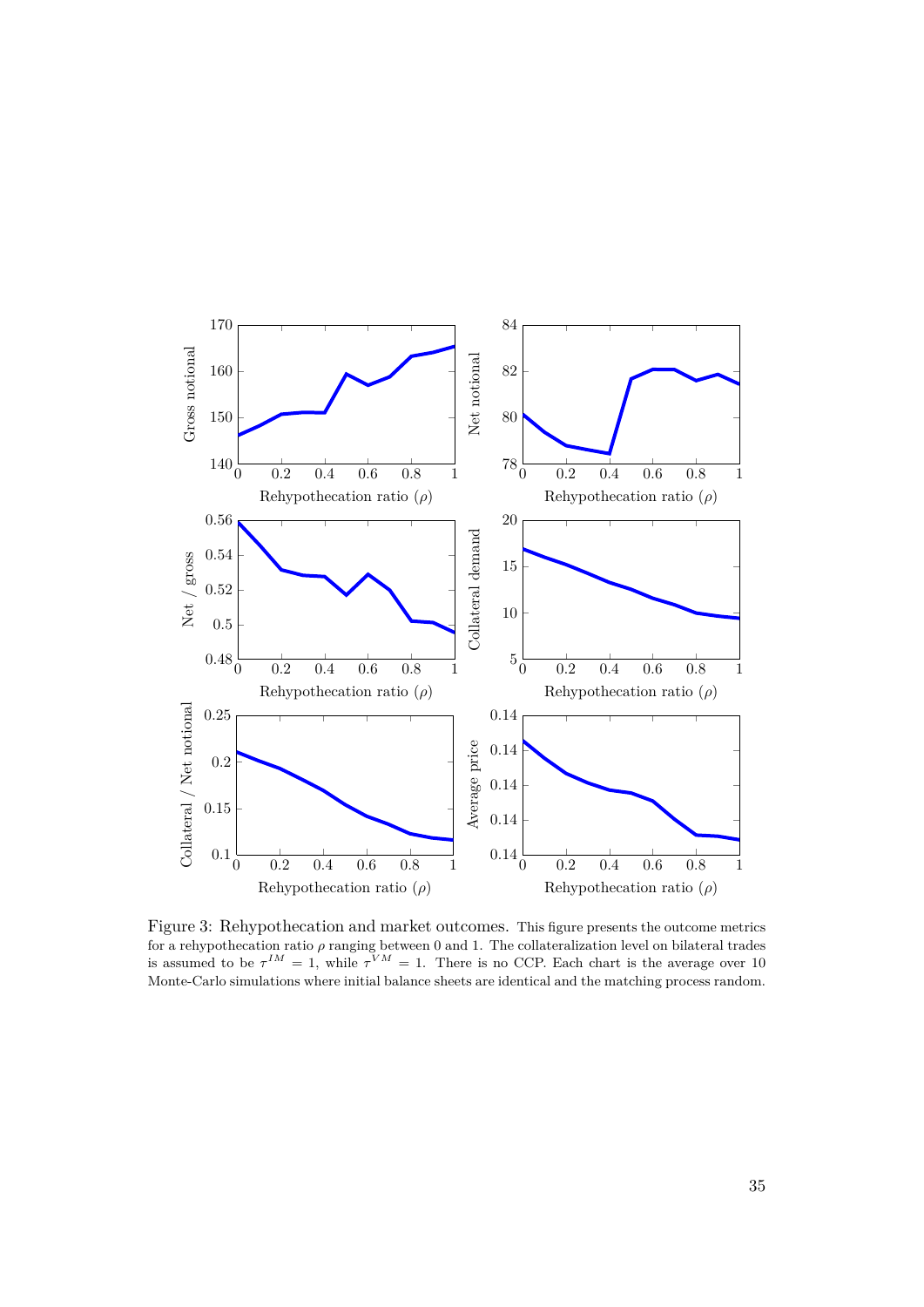<span id="page-36-0"></span>

Figure 3: Rehypothecation and market outcomes. This figure presents the outcome metrics for a rehypothecation ratio  $\rho$  ranging between 0 and 1. The collateralization level on bilateral trades is assumed to be  $\tau^{IM} = 1$ , while  $\tau^{VM} = 1$ . There is no CCP. Each chart is the average over 10 Monte-Carlo simulations where initial balance sheets are identical and the matching process random.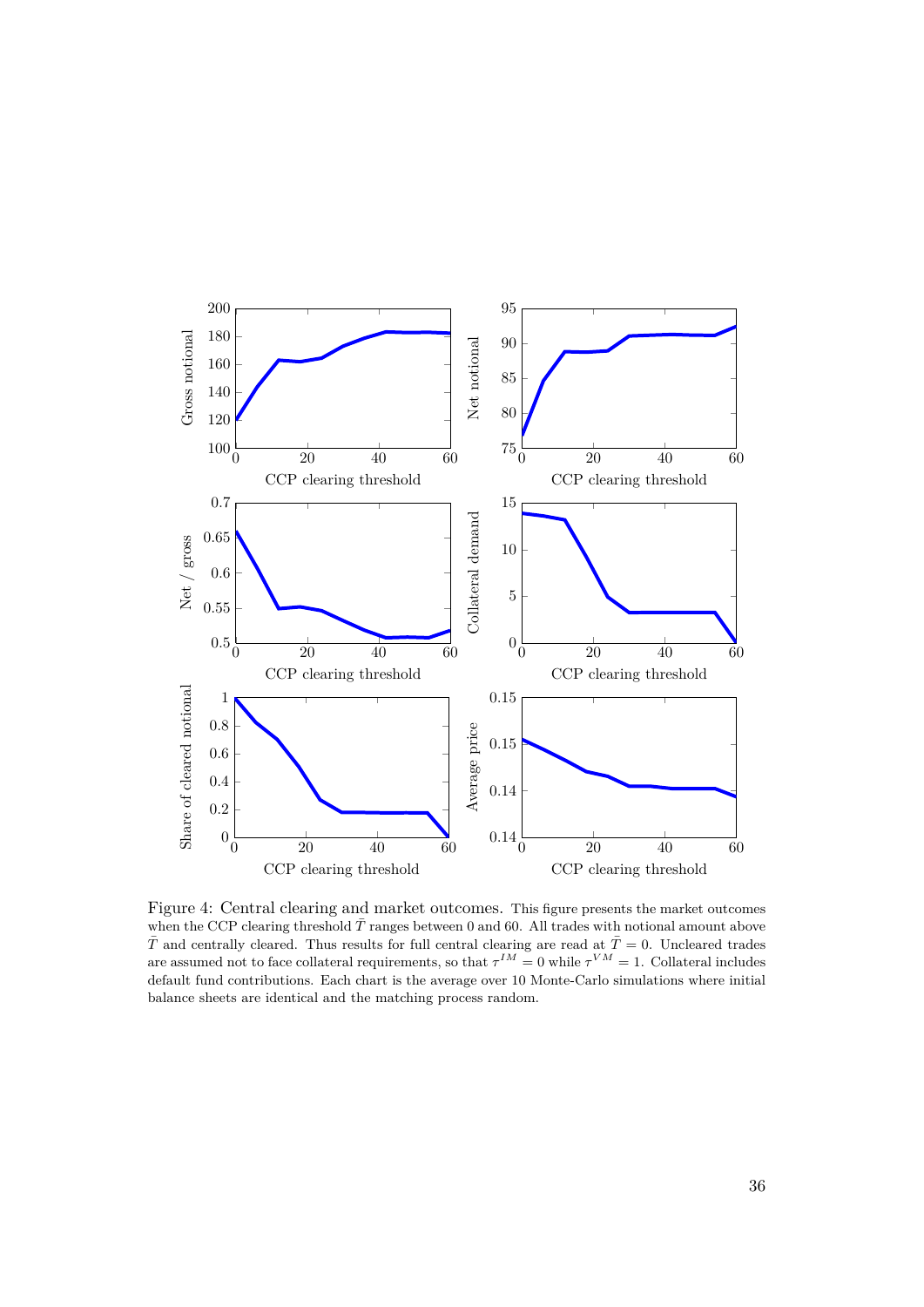<span id="page-37-0"></span>

Figure 4: Central clearing and market outcomes. This figure presents the market outcomes when the CCP clearing threshold  $\bar{T}$  ranges between 0 and 60. All trades with notional amount above  $\bar{T}$  and centrally cleared. Thus results for full central clearing are read at  $\bar{T}=0$ . Uncleared trades are assumed not to face collateral requirements, so that  $\tau^{IM} = 0$  while  $\tau^{VM} = 1$ . Collateral includes default fund contributions. Each chart is the average over 10 Monte-Carlo simulations where initial balance sheets are identical and the matching process random.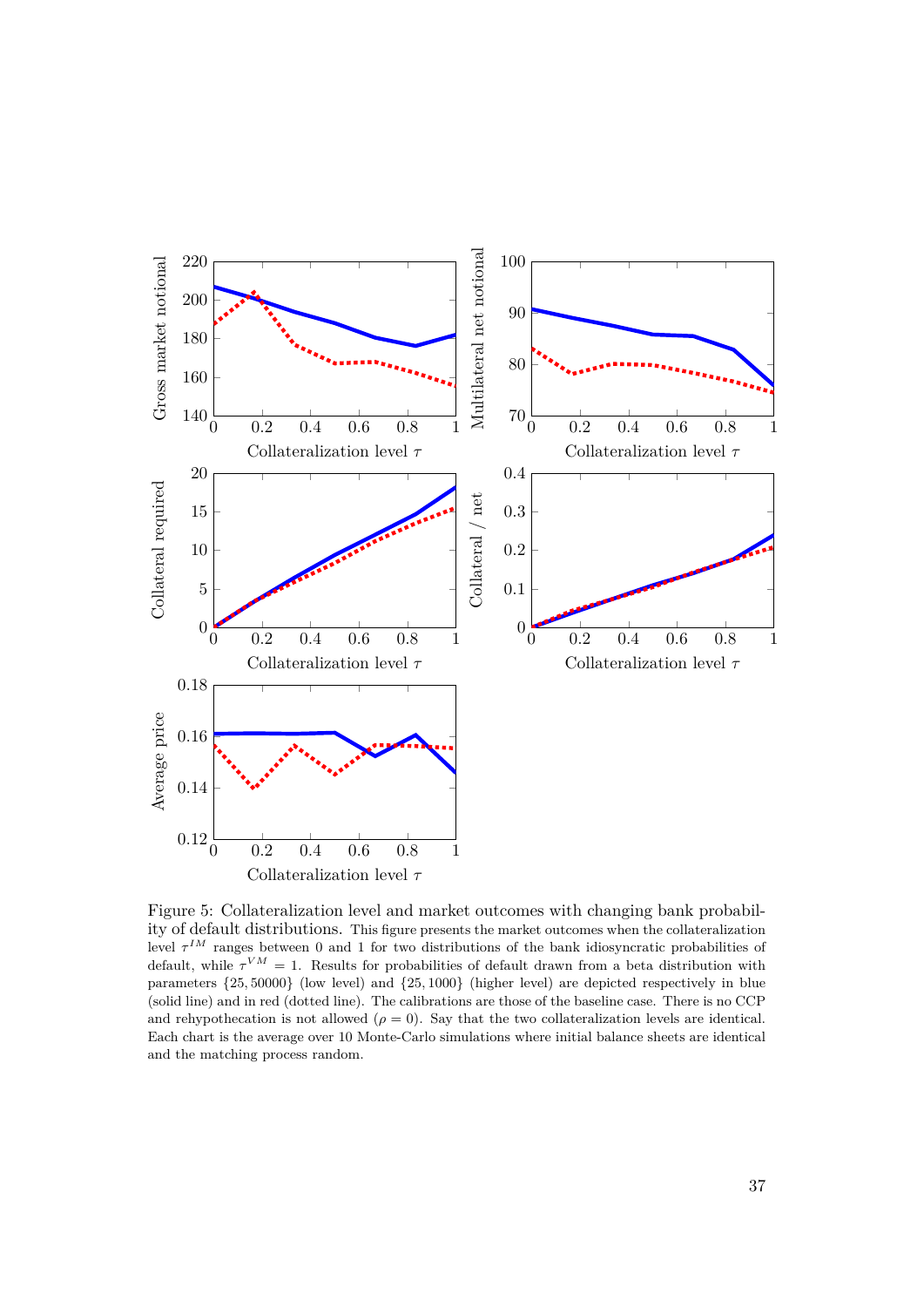<span id="page-38-0"></span>

Figure 5: Collateralization level and market outcomes with changing bank probability of default distributions. This figure presents the market outcomes when the collateralization level  $\tau^{IM}$  ranges between 0 and 1 for two distributions of the bank idiosyncratic probabilities of default, while  $\tau^{VM} = 1$ . Results for probabilities of default drawn from a beta distribution with parameters {25*,* 50000} (low level) and {25*,* 1000} (higher level) are depicted respectively in blue (solid line) and in red (dotted line). The calibrations are those of the baseline case. There is no CCP and rehypothecation is not allowed  $(\rho = 0)$ . Say that the two collateralization levels are identical. Each chart is the average over 10 Monte-Carlo simulations where initial balance sheets are identical and the matching process random.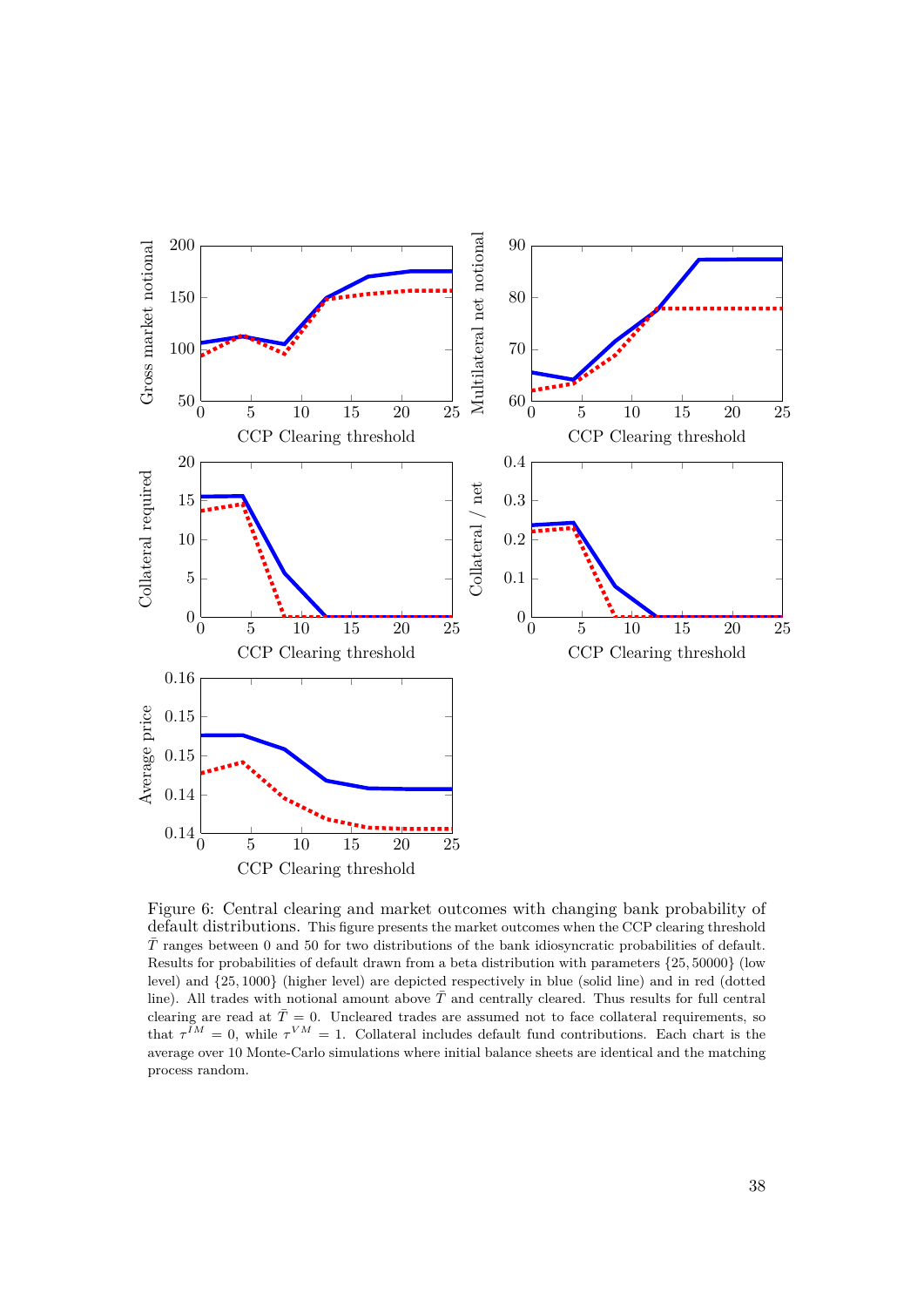<span id="page-39-0"></span>

Figure 6: Central clearing and market outcomes with changing bank probability of default distributions. This figure presents the market outcomes when the CCP clearing threshold  $\bar{T}$  ranges between 0 and 50 for two distributions of the bank idiosyncratic probabilities of default. Results for probabilities of default drawn from a beta distribution with parameters {25*,* 50000} (low level) and {25*,* 1000} (higher level) are depicted respectively in blue (solid line) and in red (dotted line). All trades with notional amount above  $\overline{T}$  and centrally cleared. Thus results for full central clearing are read at  $\bar{T}=0$ . Uncleared trades are assumed not to face collateral requirements, so that  $\tau^{IM} = 0$ , while  $\tau^{VM} = 1$ . Collateral includes default fund contributions. Each chart is the average over 10 Monte-Carlo simulations where initial balance sheets are identical and the matching process random.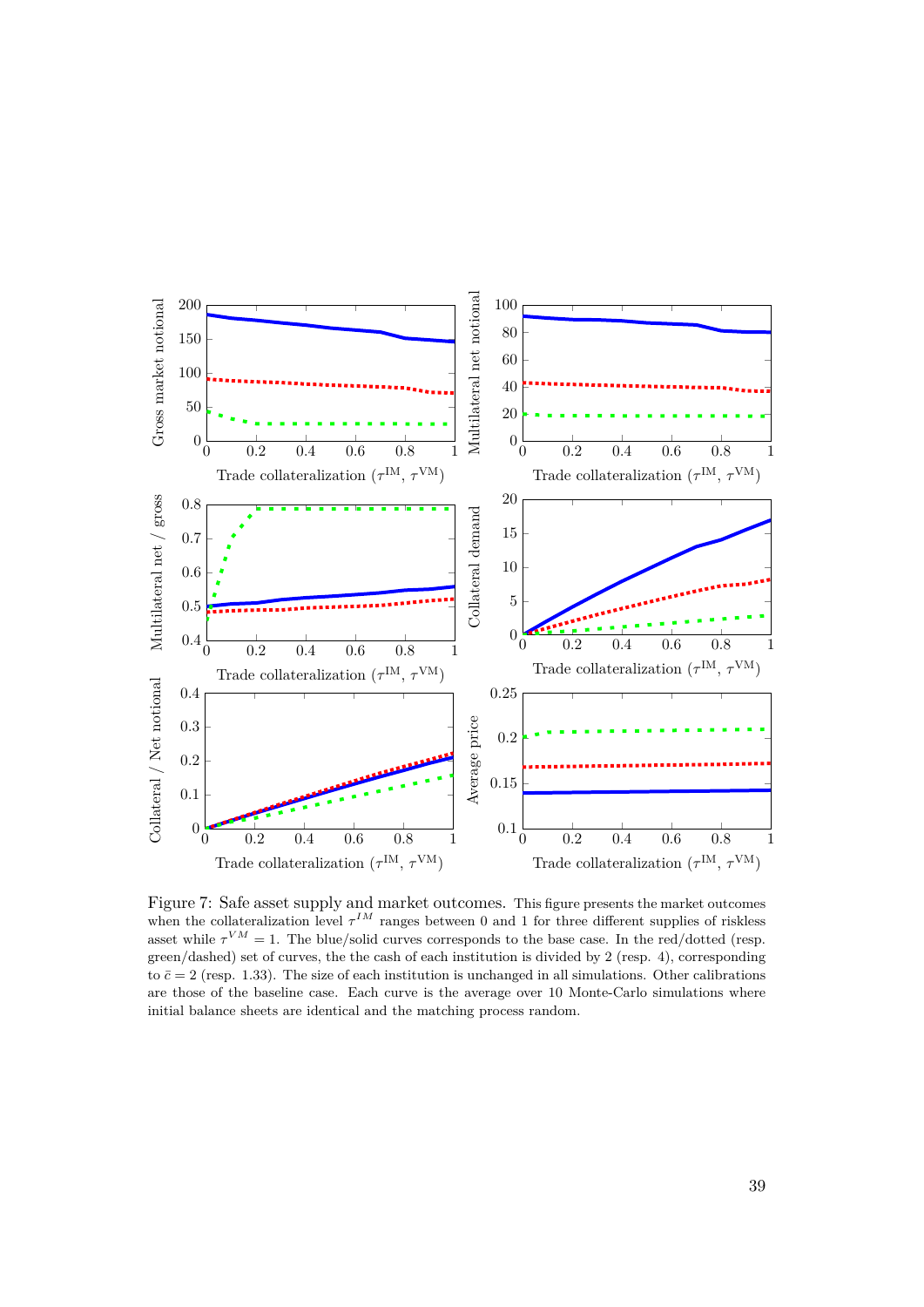<span id="page-40-0"></span>

Figure 7: Safe asset supply and market outcomes. This figure presents the market outcomes when the collateralization level  $\tau^{IM}$  ranges between 0 and 1 for three different supplies of riskless asset while  $\tau^{VM} = 1$ . The blue/solid curves corresponds to the base case. In the red/dotted (resp. green/dashed) set of curves, the the cash of each institution is divided by 2 (resp. 4), corresponding to  $\bar{c} = 2$  (resp. 1.33). The size of each institution is unchanged in all simulations. Other calibrations are those of the baseline case. Each curve is the average over 10 Monte-Carlo simulations where initial balance sheets are identical and the matching process random.